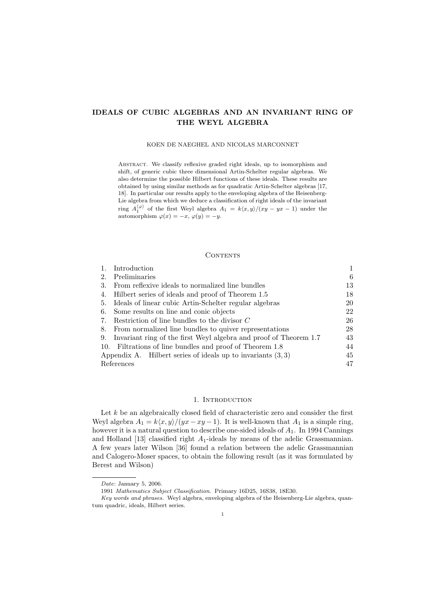# IDEALS OF CUBIC ALGEBRAS AND AN INVARIANT RING OF THE WEYL ALGEBRA

### KOEN DE NAEGHEL AND NICOLAS MARCONNET

Abstract. We classify reflexive graded right ideals, up to isomorphism and shift, of generic cubic three dimensional Artin-Schelter regular algebras. We also determine the possible Hilbert functions of these ideals. These results are obtained by using similar methods as for quadratic Artin-Schelter algebras [17, 18]. In particular our results apply to the enveloping algebra of the Heisenberg-Lie algebra from which we deduce a classification of right ideals of the invariant ring  $A_1^{(\varphi)}$  of the first Weyl algebra  $A_1 = k\langle x, y \rangle / (xy - yx - 1)$  under the automorphism  $\varphi(x) = -x, \varphi(y) = -y$ .

### CONTENTS

|                                                               | Introduction                                                         |    |  |
|---------------------------------------------------------------|----------------------------------------------------------------------|----|--|
| 2.                                                            | Preliminaries                                                        | 6  |  |
| 3.                                                            | From reflexive ideals to normalized line bundles                     | 13 |  |
|                                                               | 4. Hilbert series of ideals and proof of Theorem 1.5                 | 18 |  |
|                                                               | 5. Ideals of linear cubic Artin-Schelter regular algebras            | 20 |  |
|                                                               | 6. Some results on line and conic objects                            | 22 |  |
| 7.                                                            | Restriction of line bundles to the divisor $C$                       | 26 |  |
|                                                               | 8. From normalized line bundles to quiver representations            |    |  |
|                                                               | 9. Invariant ring of the first Weyl algebra and proof of Theorem 1.7 | 43 |  |
|                                                               | 10. Filtrations of line bundles and proof of Theorem 1.8             | 44 |  |
| Appendix A. Hilbert series of ideals up to invariants $(3,3)$ |                                                                      |    |  |
| References                                                    |                                                                      |    |  |

# 1. INTRODUCTION

Let  $k$  be an algebraically closed field of characteristic zero and consider the first Weyl algebra  $A_1 = k\langle x, y \rangle / (yx - xy - 1)$ . It is well-known that  $A_1$  is a simple ring, however it is a natural question to describe one-sided ideals of  $A_1$ . In 1994 Cannings and Holland  $[13]$  classified right  $A_1$ -ideals by means of the adelic Grassmannian. A few years later Wilson [36] found a relation between the adelic Grassmannian and Calogero-Moser spaces, to obtain the following result (as it was formulated by Berest and Wilson)

Date: January 5, 2006.

<sup>1991</sup> Mathematics Subject Classification. Primary 16D25, 16S38, 18E30.

Key words and phrases. Weyl algebra, enveloping algebra of the Heisenberg-Lie algebra, quantum quadric, ideals, Hilbert series.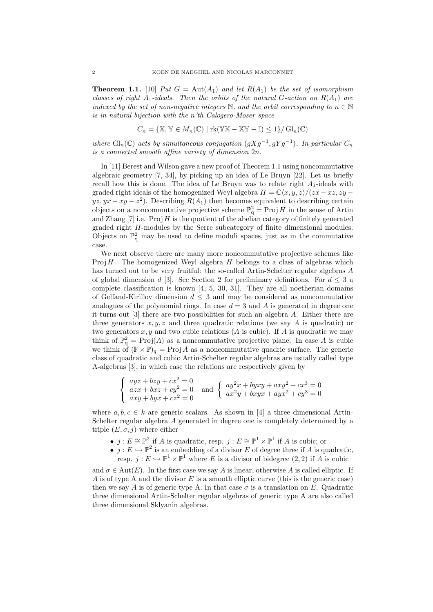**Theorem 1.1.** [10] Put  $G = Aut(A_1)$  and let  $R(A_1)$  be the set of isomorphism classes of right  $A_1$ -ideals. Then the orbits of the natural G-action on  $R(A_1)$  are indexed by the set of non-negative integers  $\mathbb N$ , and the orbit corresponding to  $n \in \mathbb N$ is in natural bijection with the n'th Calogero-Moser space

$$
C_n = \{ \mathbb{X}, \mathbb{Y} \in M_n(\mathbb{C}) \mid \text{rk}(\mathbb{Y}\mathbb{X} - \mathbb{X}\mathbb{Y} - \mathbb{I}) \le 1 \} / \operatorname{Gl}_n(\mathbb{C})
$$

where  $\text{Gl}_n(\mathbb{C})$  acts by simultaneous conjugation  $(gXg^{-1}, gYg^{-1})$ . In particular  $C_n$ is a connected smooth affine variety of dimension 2n.

In [11] Berest and Wilson gave a new proof of Theorem 1.1 using noncommutative algebraic geometry [7, 34], by picking up an idea of Le Bruyn [22]. Let us briefly recall how this is done. The idea of Le Bruyn was to relate right  $A_1$ -ideals with graded right ideals of the homogenized Weyl algebra  $H = \mathbb{C}\langle x, y, z\rangle/(zx - xz, zy - zz)$  $yz, yx - xy - z^2$ ). Describing  $R(A_1)$  then becomes equivalent to describing certain objects on a noncommutative projective scheme  $\mathbb{P}^2_q = \text{Proj } H$  in the sense of Artin and Zhang  $[7]$  i.e. Proj H is the quotient of the abelian category of finitely generated graded right H-modules by the Serre subcategory of finite dimensional modules. Objects on  $\mathbb{P}^2_q$  may be used to define moduli spaces, just as in the commutative case.

We next observe there are many more noncommutative projective schemes like Proj  $H$ . The homogenized Weyl algebra  $H$  belongs to a class of algebras which has turned out to be very fruitful: the so-called Artin-Schelter regular algebras A of global dimension d [3]. See Section 2 for preliminary definitions. For  $d \leq 3$  a complete classification is known [4, 5, 30, 31]. They are all noetherian domains of Gelfand-Kirillov dimension  $d \leq 3$  and may be considered as noncommutative analogues of the polynomial rings. In case  $d = 3$  and A is generated in degree one it turns out [3] there are two possibilities for such an algebra A. Either there are three generators  $x, y, z$  and three quadratic relations (we say A is quadratic) or two generators  $x, y$  and two cubic relations (A is cubic). If A is quadratic we may think of  $\mathbb{P}^2_{q} = \text{Proj}(A)$  as a noncommutative projective plane. In case A is cubic we think of  $(\mathbb{P} \times \mathbb{P})_q = \text{Proj } A$  as a noncommutative quadric surface. The generic class of quadratic and cubic Artin-Schelter regular algebras are usually called type A-algebras [3], in which case the relations are respectively given by

$$
\begin{cases}\nayz + bzy + cx^2 = 0 \\
azx + bxz + cy^2 = 0 \\
axy + byx + cz^2 = 0\n\end{cases}\n\text{ and }\n\begin{cases}\nay^2x + byxy + axy^2 + cx^3 = 0 \\
ax^2y + bxyx + ayx^2 + cy^3 = 0\n\end{cases}
$$

where  $a, b, c \in k$  are generic scalars. As shown in [4] a three dimensional Artin-Schelter regular algebra A generated in degree one is completely determined by a triple  $(E, \sigma, j)$  where either

- $j: E \cong \mathbb{P}^2$  if A is quadratic, resp.  $j: E \cong \mathbb{P}^1 \times \mathbb{P}^1$  if A is cubic; or
- $j: E \hookrightarrow \mathbb{P}^2$  is an embedding of a divisor E of degree three if A is quadratic, resp.  $j: E \hookrightarrow \mathbb{P}^1 \times \mathbb{P}^1$  where E is a divisor of bidegree  $(2, 2)$  if A is cubic

and  $\sigma \in \text{Aut}(E)$ . In the first case we say A is linear, otherwise A is called elliptic. If A is of type A and the divisor  $E$  is a smooth elliptic curve (this is the generic case) then we say A is of generic type A. In that case  $\sigma$  is a translation on E. Quadratic three dimensional Artin-Schelter regular algebras of generic type A are also called three dimensional Sklyanin algebras.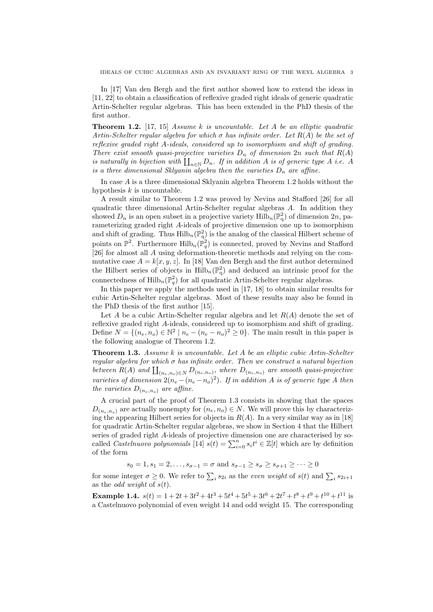In [17] Van den Bergh and the first author showed how to extend the ideas in [11, 22] to obtain a classification of reflexive graded right ideals of generic quadratic Artin-Schelter regular algebras. This has been extended in the PhD thesis of the first author.

**Theorem 1.2.** [17, 15] Assume k is uncountable. Let A be an elliptic quadratic Artin-Schelter regular algebra for which  $\sigma$  has infinite order. Let  $R(A)$  be the set of reflexive graded right A-ideals, considered up to isomorphism and shift of grading. There exist smooth quasi-projective varieties  $D_n$  of dimension 2n such that  $R(A)$ is naturally in bijection with  $\prod_{n\in\mathbb{N}} D_n$ . If in addition A is of generic type A i.e. A is a three dimensional Sklyanin algebra then the varieties  $D_n$  are affine.

In case A is a three dimensional Sklyanin algebra Theorem 1.2 holds without the hypothesis  $k$  is uncountable.

A result similar to Theorem 1.2 was proved by Nevins and Stafford [26] for all quadratic three dimensional Artin-Schelter regular algebras A. In addition they showed  $D_n$  is an open subset in a projective variety  $\mathrm{Hilb}_n(\mathbb{P}^2_q)$  of dimension  $2n$ , parameterizing graded right A-ideals of projective dimension one up to isomorphism and shift of grading. Thus  $\text{Hilb}_n(\mathbb{P}_q^2)$  is the analog of the classical Hilbert scheme of points on  $\mathbb{P}^2$ . Furthermore  $\text{Hilb}_n(\mathbb{P}^2_q)$  is connected, proved by Nevins and Stafford [26] for almost all A using deformation-theoretic methods and relying on the commutative case  $A = k[x, y, z]$ . In [18] Van den Bergh and the first author determined the Hilbert series of objects in  $\mathrm{Hilb}_{n}(\mathbb{P}_{q}^{2})$  and deduced an intrinsic proof for the connectedness of  $\mathrm{Hilb}_{n}(\mathbb{P}_{q}^{2})$  for all quadratic Artin-Schelter regular algebras.

In this paper we apply the methods used in [17, 18] to obtain similar results for cubic Artin-Schelter regular algebras. Most of these results may also be found in the PhD thesis of the first author [15].

Let A be a cubic Artin-Schelter regular algebra and let  $R(A)$  denote the set of reflexive graded right A-ideals, considered up to isomorphism and shift of grading. Define  $N = \{(n_e, n_o) \in \mathbb{N}^2 \mid n_e - (n_e - n_o)^2 \ge 0\}$ . The main result in this paper is the following analogue of Theorem 1.2.

**Theorem 1.3.** Assume  $k$  is uncountable. Let  $A$  be an elliptic cubic Artin-Schelter regular algebra for which  $\sigma$  has infinite order. Then we construct a natural bijection between  $R(A)$  and  $\prod_{(n_e,n_o)\in N} D_{(n_e,n_o)}$ , where  $D_{(n_e,n_o)}$  are smooth quasi-projective varieties of dimension  $2(n_e - (n_e - n_o)^2)$ . If in addition A is of generic type A then the varieties  $D_{(n_e,n_o)}$  are affine.

A crucial part of the proof of Theorem 1.3 consists in showing that the spaces  $D_{(n_e,n_o)}$  are actually nonempty for  $(n_e,n_o) \in N$ . We will prove this by characterizing the appearing Hilbert series for objects in  $R(A)$ . In a very similar way as in [18] for quadratic Artin-Schelter regular algebras, we show in Section 4 that the Hilbert series of graded right A-ideals of projective dimension one are characterised by socalled *Castelnuovo* polynomials [14]  $s(t) = \sum_{i=0}^{n} s_i t^i \in \mathbb{Z}[t]$  which are by definition of the form

 $s_0 = 1, s_1 = 2, \ldots, s_{\sigma-1} = \sigma$  and  $s_{\sigma-1} \geq s_{\sigma} \geq s_{\sigma+1} \geq \cdots \geq 0$ 

for some integer  $\sigma \geq 0$ . We refer to  $\sum_i s_{2i}$  as the *even weight* of  $s(t)$  and  $\sum_i s_{2i+1}$ as the *odd weight* of  $s(t)$ .

**Example 1.4.**  $s(t) = 1 + 2t + 3t^2 + 4t^3 + 5t^4 + 5t^5 + 3t^6 + 2t^7 + t^8 + t^9 + t^{10} + t^{11}$  is a Castelnuovo polynomial of even weight 14 and odd weight 15. The corresponding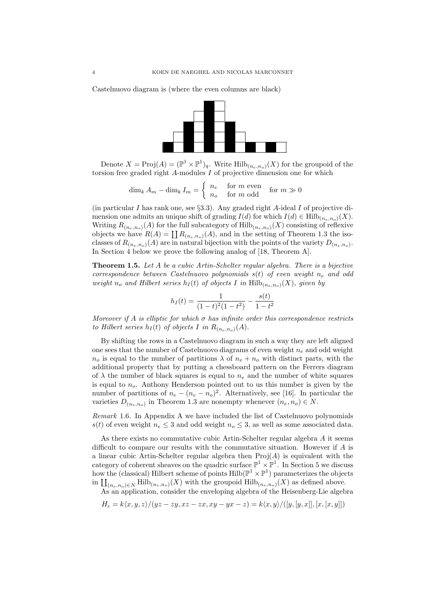Castelnuovo diagram is (where the even columns are black)



Denote  $X = \text{Proj}(A) = (\mathbb{P}^1 \times \mathbb{P}^1)_q$ . Write  $\text{Hilb}_{(n_e, n_o)}(X)$  for the groupoid of the torsion free graded right  $A$ -modules  $I$  of projective dimension one for which

$$
\dim_k A_m - \dim_k I_m = \begin{cases} n_e & \text{for } m \text{ even} \\ n_o & \text{for } m \text{ odd} \end{cases} \text{ for } m \gg 0
$$

(in particular I has rank one, see  $\S 3.3$ ). Any graded right A-ideal I of projective dimension one admits an unique shift of grading  $I(d)$  for which  $I(d) \in \text{Hilb}_{(n_e,n_o)}(X)$ . Writing  $R_{(n_e,n_o)}(A)$  for the full subcategory of  $\text{Hilb}_{(n_e,n_o)}(X)$  consisting of reflexive objects we have  $R(A) = \coprod R_{(n_e,n_o)}(A)$ , and in the setting of Theorem 1.3 the isoclasses of  $R_{(n_e,n_o)}(A)$  are in natural bijection with the points of the variety  $D_{(n_e,n_o)}$ . In Section 4 below we prove the following analog of [18, Theorem A].

Theorem 1.5. Let A be a cubic Artin-Schelter regular algebra. There is a bijective correspondence between Castelnuovo polynomials  $s(t)$  of even weight  $n_e$  and odd weight  $n_o$  and Hilbert series  $h_I(t)$  of objects I in Hilb $_{(n_e,n_o)}(X)$ , given by

$$
h_I(t) = \frac{1}{(1-t)^2(1-t^2)} - \frac{s(t)}{1-t^2}
$$

Moreover if A is elliptic for which  $\sigma$  has infinite order this correspondence restricts to Hilbert series  $h_I(t)$  of objects I in  $R_{(n_e,n_o)}(A)$ .

By shifting the rows in a Castelnuovo diagram in such a way they are left aligned one sees that the number of Castelnuovo diagrams of even weight  $n_e$  and odd weight  $n_o$  is equal to the number of partitions  $\lambda$  of  $n_e + n_o$  with distinct parts, with the additional property that by putting a chessboard pattern on the Ferrers diagram of  $\lambda$  the number of black squares is equal to  $n_e$  and the number of white squares is equal to  $n<sub>o</sub>$ . Anthony Henderson pointed out to us this number is given by the number of partitions of  $n_e - (n_e - n_o)^2$ . Alternatively, see [16]. In particular the varieties  $D_{(n_e,n_o)}$  in Theorem 1.3 are nonempty whenever  $(n_e, n_o) \in N$ .

Remark 1.6. In Appendix A we have included the list of Castelnuovo polynomials s(t) of even weight  $n_e \leq 3$  and odd weight  $n_o \leq 3$ , as well as some associated data.

As there exists no commutative cubic Artin-Schelter regular algebra A it seems difficult to compare our results with the commutative situation. However if A is a linear cubic Artin-Schelter regular algebra then  $Proj(A)$  is equivalent with the category of coherent sheaves on the quadric surface  $\mathbb{P}^1 \times \mathbb{P}^1$ . In Section 5 we discuss how the (classical) Hilbert scheme of points  $\mathrm{Hilb}(\mathbb{P}^1 \times \mathbb{P}^1)$  parameterizes the objects in  $\coprod_{(n_e,n_o)\in N} \text{Hilb}_{(n_e,n_o)}(X)$  with the groupoid  $\text{Hilb}_{(n_e,n_o)}(X)$  as defined above.

As an application, consider the enveloping algebra of the Heisenberg-Lie algebra

$$
H_c = k\langle x, y, z \rangle / (yz - zy, xz - zx, xy - yx - z) = k\langle x, y \rangle / ([y, [y, x]], [x, [x, y]])
$$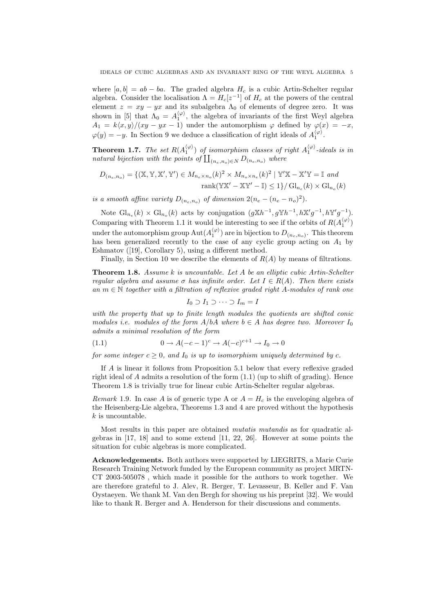where  $[a, b] = ab - ba$ . The graded algebra  $H_c$  is a cubic Artin-Schelter regular algebra. Consider the localisation  $\Lambda = H_c[z^{-1}]$  of  $H_c$  at the powers of the central element  $z = xy - yx$  and its subalgebra  $\Lambda_0$  of elements of degree zero. It was shown in [5] that  $\Lambda_0 = A_1^{\langle \varphi \rangle}$ , the algebra of invariants of the first Weyl algebra  $A_1 = k\langle x, y \rangle / (xy - yx - 1)$  under the automorphism  $\varphi$  defined by  $\varphi(x) = -x$ ,  $\varphi(y) = -y$ . In Section 9 we deduce a classification of right ideals of  $A_1^{\langle \varphi \rangle}$ .

**Theorem 1.7.** The set  $R(A_1^{(\varphi)})$  of isomorphism classes of right  $A_1^{(\varphi)}$ -ideals is in natural bijection with the points of  $\prod_{(n_e,n_o)\in N} D_{(n_e,n_o)}$  where

$$
D_{(n_e, n_o)} = \{ (\mathbb{X}, \mathbb{Y}, \mathbb{X}', \mathbb{Y}') \in M_{n_e \times n_o}(k)^2 \times M_{n_o \times n_e}(k)^2 \mid \mathbb{Y}'\mathbb{X} - \mathbb{X}'\mathbb{Y} = \mathbb{I} \text{ and}
$$
  
rank
$$
(\mathbb{Y}\mathbb{X}' - \mathbb{X}\mathbb{Y}' - \mathbb{I}) \le 1 \} / \operatorname{Gl}_{n_e}(k) \times \operatorname{Gl}_{n_o}(k)
$$

is a smooth affine variety  $D_{(n_e,n_o)}$  of dimension  $2(n_e - (n_e - n_o)^2)$ .

Note  $\mathrm{Gl}_{n_e}(k) \times \mathrm{Gl}_{n_o}(k)$  acts by conjugation  $(g \mathbb{X} h^{-1}, g \mathbb{Y} h^{-1}, h \mathbb{X}' g^{-1}, h \mathbb{Y}' g^{-1}).$ Comparing with Theorem 1.1 it would be interesting to see if the orbits of  $R(A_1^{(\varphi)})$ under the automorphism group  $\text{Aut}(A_1^{\langle \varphi \rangle})$  are in bijection to  $D_{(n_e,n_o)}$ . This theorem has been generalized recently to the case of any cyclic group acting on  $A_1$  by Eshmatov ([19], Corollary 5), using a different method.

Finally, in Section 10 we describe the elements of  $R(A)$  by means of filtrations.

**Theorem 1.8.** Assume k is uncountable. Let A be an elliptic cubic Artin-Schelter regular algebra and assume  $\sigma$  has infinite order. Let  $I \in R(A)$ . Then there exists an  $m \in \mathbb{N}$  together with a filtration of reflexive graded right A-modules of rank one

$$
I_0 \supset I_1 \supset \cdots \supset I_m = I
$$

with the property that up to finite length modules the quotients are shifted conic modules i.e. modules of the form  $A/bA$  where  $b \in A$  has degree two. Moreover  $I_0$ admits a minimal resolution of the form

(1.1) 
$$
0 \to A(-c-1)^c \to A(-c)^{c+1} \to I_0 \to 0
$$

for some integer  $c \geq 0$ , and  $I_0$  is up to isomorphism uniquely determined by c.

If A is linear it follows from Proposition 5.1 below that every reflexive graded right ideal of  $A$  admits a resolution of the form  $(1.1)$  (up to shift of grading). Hence Theorem 1.8 is trivially true for linear cubic Artin-Schelter regular algebras.

Remark 1.9. In case A is of generic type A or  $A = H_c$  is the enveloping algebra of the Heisenberg-Lie algebra, Theorems 1.3 and 4 are proved without the hypothesis  $k$  is uncountable.

Most results in this paper are obtained mutatis mutandis as for quadratic algebras in [17, 18] and to some extend [11, 22, 26]. However at some points the situation for cubic algebras is more complicated.

Acknowledgements. Both authors were supported by LIEGRITS, a Marie Curie Research Training Network funded by the European community as project MRTN-CT 2003-505078 , which made it possible for the authors to work together. We are therefore grateful to J. Alev, R. Berger, T. Levasseur, B. Keller and F. Van Oystaeyen. We thank M. Van den Bergh for showing us his preprint [32]. We would like to thank R. Berger and A. Henderson for their discussions and comments.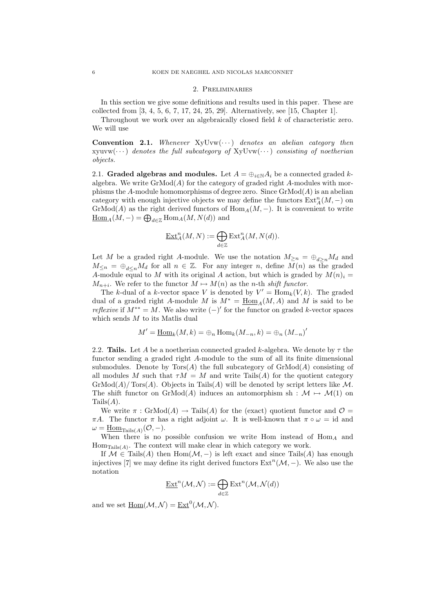#### 2. Preliminaries

In this section we give some definitions and results used in this paper. These are collected from [3, 4, 5, 6, 7, 17, 24, 25, 29]. Alternatively, see [15, Chapter 1].

Throughout we work over an algebraically closed field k of characteristic zero. We will use

**Convention 2.1.** Whenever  $XyUvw(\cdots)$  denotes an abelian category then  $xyuvw(\cdots)$  denotes the full subcategory of  $xyUvw(\cdots)$  consisting of noetherian objects.

2.1. Graded algebras and modules. Let  $A = \bigoplus_{i \in \mathbb{N}} A_i$  be a connected graded kalgebra. We write  $\mathrm{GrMod}(A)$  for the category of graded right A-modules with morphisms the A-module homomorphisms of degree zero. Since  $\mathrm{GrMod}(A)$  is an abelian category with enough injective objects we may define the functors  $\mathrm{Ext}^n_A(M,-)$  on  $\mathrm{GrMod}(A)$  as the right derived functors of  $\mathrm{Hom}_A(M, -)$ . It is convenient to write  $\underline{\mathrm{Hom}}_A(M,-) = \bigoplus_{d \in \mathbb{Z}} \mathrm{Hom}_A(M,N(d))$  and

$$
\underline{\operatorname{Ext}\nolimits}_A^n(M,N):=\bigoplus_{d\in\mathbb{Z}}\operatorname{Ext}\nolimits_A^n(M,N(d)).
$$

Let M be a graded right A-module. We use the notation  $M_{\geq n} = \bigoplus_{d>n} M_d$  and  $M_{\leq n} = \bigoplus_{d \leq n} M_d$  for all  $n \in \mathbb{Z}$ . For any integer n, define  $M(n)$  as the graded A-module equal to M with its original A action, but which is graded by  $M(n)_{i} =$  $M_{n+i}$ . We refer to the functor  $M \mapsto M(n)$  as the n-th shift functor.

The k-dual of a k-vector space V is denoted by  $V' = \text{Hom}_k(V, k)$ . The graded dual of a graded right A-module M is  $M^* = \text{Hom}_A(M, A)$  and M is said to be *reflexive* if  $M^{**} = M$ . We also write  $(-)'$  for the functor on graded k-vector spaces which sends M to its Matlis dual

$$
M' = \underline{\operatorname{Hom}}_k(M, k) = \bigoplus_n \operatorname{Hom}_k(M_{-n}, k) = \bigoplus_n (M_{-n})'
$$

2.2. Tails. Let A be a noetherian connected graded k-algebra. We denote by  $\tau$  the functor sending a graded right A-module to the sum of all its finite dimensional submodules. Denote by  $Tors(A)$  the full subcategory of  $GrMod(A)$  consisting of all modules M such that  $\tau M = M$  and write Tails(A) for the quotient category  $\mathrm{GrMod}(A)/\mathrm{Tors}(A)$ . Objects in Tails(A) will be denoted by script letters like M. The shift functor on GrMod(A) induces an automorphism sh :  $\mathcal{M} \mapsto \mathcal{M}(1)$  on  $Tails(A).$ 

We write  $\pi$ : GrMod(A)  $\rightarrow$  Tails(A) for the (exact) quotient functor and  $\mathcal{O}$  =  $\pi A$ . The functor  $\pi$  has a right adjoint  $\omega$ . It is well-known that  $\pi \circ \omega = id$  and  $\omega = \underline{\mathrm{Hom}}_{\mathrm{Tails}(A)}(\mathcal{O},-) .$ 

When there is no possible confusion we write Hom instead of  $\text{Hom}_A$  and  $Hom_{\text{Tails}(A)}$ . The context will make clear in which category we work.

If  $\mathcal{M} \in \text{Tails}(A)$  then  $\text{Hom}(\mathcal{M},-)$  is left exact and since Tails $(A)$  has enough injectives [7] we may define its right derived functors  $\text{Ext}^n(\mathcal{M},-)$ . We also use the notation

$$
\underline{\operatorname{Ext}}^n(\mathcal{M},\mathcal{N}):=\bigoplus_{d\in\mathbb{Z}}\operatorname{Ext}^n(\mathcal{M},\mathcal{N}(d))
$$

and we set  $\underline{\text{Hom}}(\mathcal{M}, \mathcal{N}) = \underline{\text{Ext}}^0(\mathcal{M}, \mathcal{N}).$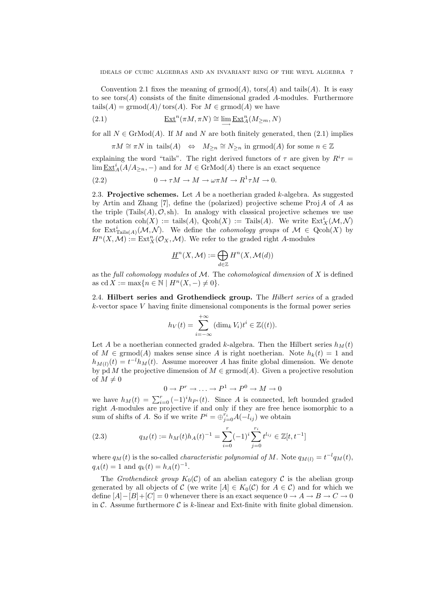Convention 2.1 fixes the meaning of  $\mathrm{grmod}(A)$ ,  $\mathrm{tors}(A)$  and  $\mathrm{tails}(A)$ . It is easy to see tors $(A)$  consists of the finite dimensional graded A-modules. Furthermore tails( $A$ ) = grmod( $A$ )/ $t$ ors( $A$ ). For  $M \in \mathrm{grmod}(A)$  we have

(2.1) 
$$
\underline{\operatorname{Ext}}^n(\pi M, \pi N) \cong \lim_{\longrightarrow} \underline{\operatorname{Ext}}^n_A(M_{\geq m}, N)
$$

for all  $N \in \text{GrMod}(A)$ . If M and N are both finitely generated, then (2.1) implies

$$
\pi M \cong \pi N \text{ in } \text{tails}(A) \iff M_{\geq n} \cong N_{\geq n} \text{ in } \text{grmod}(A) \text{ for some } n \in \mathbb{Z}
$$

explaining the word "tails". The right derived functors of  $\tau$  are given by  $R^i \tau =$  $\lim \underline{\text{Ext}}_A^i(A/A_{\geq n},-)$  and for  $M \in \text{GrMod}(A)$  there is an exact sequence

(2.2) 
$$
0 \to \tau M \to M \to \omega \pi M \to R^1 \tau M \to 0.
$$

2.3. Projective schemes. Let  $A$  be a noetherian graded  $k$ -algebra. As suggested by Artin and Zhang [7], define the (polarized) projective scheme  $\text{Proj} A$  of A as the triple  $(Tails(A), \mathcal{O}, sh)$ . In analogy with classical projective schemes we use the notation  $\text{coh}(X) := \text{tails}(A), \text{ Qcoh}(X) := \text{Tails}(A)$ . We write  $\text{Ext}^i_X(\mathcal{M}, \mathcal{N})$ for  $\mathrm{Ext}^i_{\mathrm{Tails}(A)}(\mathcal{M},\mathcal{N})$ . We define the *cohomology groups* of  $\mathcal{M} \in \mathrm{Qcoh}(X)$  by  $H^n(X, \mathcal{M}) := \text{Ext}^n_X(\mathcal{O}_X, \mathcal{M})$ . We refer to the graded right A-modules

$$
\underline{H}^n(X, \mathcal{M}):=\bigoplus_{d\in \mathbb{Z}}H^n(X, \mathcal{M}(d))
$$

as the full cohomology modules of  $M$ . The cohomological dimension of X is defined as cd  $X := \max\{n \in \mathbb{N} \mid H^n(X, -) \neq 0\}.$ 

2.4. Hilbert series and Grothendieck group. The Hilbert series of a graded  $k$ -vector space  $V$  having finite dimensional components is the formal power series

$$
h_V(t) = \sum_{i=-\infty}^{+\infty} (\dim_k V_i) t^i \in \mathbb{Z}((t)).
$$

Let A be a noetherian connected graded k-algebra. Then the Hilbert series  $h_M(t)$ of  $M \in \mathrm{grmod}(A)$  makes sense since A is right noetherian. Note  $h_k(t) = 1$  and  $h_{M(l)}(t) = t^{-l}h_M(t)$ . Assume moreover A has finite global dimension. We denote by pd M the projective dimension of  $M \in \mathrm{grmod}(A)$ . Given a projective resolution of  $M \neq 0$ 

$$
0 \to P^r \to \ldots \to P^1 \to P^0 \to M \to 0
$$

we have  $h_M(t) = \sum_{i=0}^r (-1)^i h_{P^i}(t)$ . Since A is connected, left bounded graded right A-modules are projective if and only if they are free hence isomorphic to a sum of shifts of A. So if we write  $P^i = \bigoplus_{j=0}^{r_i} A(-l_{ij})$  we obtain

(2.3) 
$$
q_M(t) := h_M(t)h_A(t)^{-1} = \sum_{i=0}^r (-1)^i \sum_{j=0}^{r_i} t^{l_{ij}} \in \mathbb{Z}[t, t^{-1}]
$$

where  $q_M(t)$  is the so-called *characteristic polynomial of* M. Note  $q_{M(l)} = t^{-l}q_M(t)$ ,  $q_A(t) = 1$  and  $q_k(t) = h_A(t)^{-1}$ .

The Grothendieck group  $K_0(\mathcal{C})$  of an abelian category  $\mathcal C$  is the abelian group generated by all objects of C (we write  $[A] \in K_0(\mathcal{C})$  for  $A \in \mathcal{C}$ ) and for which we define  $[A]-[B]+[C] = 0$  whenever there is an exact sequence  $0 \to A \to B \to C \to 0$ in C. Assume furthermore C is k-linear and Ext-finite with finite global dimension.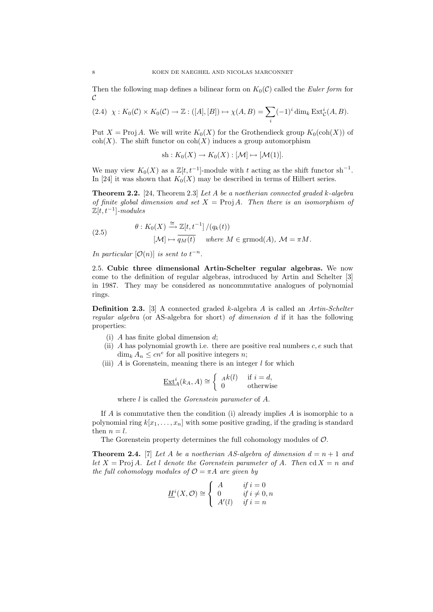Then the following map defines a bilinear form on  $K_0(\mathcal{C})$  called the Euler form for  $\mathcal{C}_{0}$ 

$$
(2.4) \ \ \chi: K_0(\mathcal{C}) \times K_0(\mathcal{C}) \to \mathbb{Z}: ([A], [B]) \mapsto \chi(A, B) = \sum_i (-1)^i \dim_k \operatorname{Ext}^i_{\mathcal{C}}(A, B).
$$

Put  $X = \text{Proj } A$ . We will write  $K_0(X)$  for the Grothendieck group  $K_0(\text{coh}(X))$  of  $\text{coh}(X)$ . The shift functor on  $\text{coh}(X)$  induces a group automorphism

sh: 
$$
K_0(X) \to K_0(X): [\mathcal{M}] \mapsto [\mathcal{M}(1)].
$$

We may view  $K_0(X)$  as a  $\mathbb{Z}[t, t^{-1}]$ -module with t acting as the shift functor sh<sup>-1</sup>. In [24] it was shown that  $K_0(X)$  may be described in terms of Hilbert series.

**Theorem 2.2.** [24, Theorem 2.3] Let A be a noetherian connected graded k-algebra of finite global dimension and set  $X = \text{Proj } A$ . Then there is an isomorphism of  $\mathbb{Z}[t,t^{-1}]$ -modules

(2.5) 
$$
\theta: K_0(X) \xrightarrow{\cong} \mathbb{Z}[t, t^{-1}] / (q_k(t))
$$

$$
[\mathcal{M}] \mapsto \overline{q_M(t)} \quad \text{where } M \in \text{grmod}(A), \ \mathcal{M} = \pi M.
$$

In particular  $[O(n)]$  is sent to  $t^{-n}$ .

2.5. Cubic three dimensional Artin-Schelter regular algebras. We now come to the definition of regular algebras, introduced by Artin and Schelter [3] in 1987. They may be considered as noncommutative analogues of polynomial rings.

**Definition 2.3.** [3] A connected graded k-algebra A is called an  $Artin-Schelter$ regular algebra (or AS-algebra for short) of dimension d if it has the following properties:

- (i)  $A$  has finite global dimension  $d$ ;
- (ii) A has polynomial growth i.e. there are positive real numbers  $c, e$  such that  $\dim_k A_n \leq cn^e$  for all positive integers *n*;
- (iii)  $A$  is Gorenstein, meaning there is an integer  $l$  for which

$$
\underline{\operatorname{Ext}}_A^i(k_A, A) \cong \begin{cases} Ak(l) & \text{if } i = d, \\ 0 & \text{otherwise} \end{cases}
$$

where *l* is called the *Gorenstein parameter* of *A*.

If A is commutative then the condition (i) already implies A is isomorphic to a polynomial ring  $k[x_1, \ldots, x_n]$  with some positive grading, if the grading is standard then  $n = l$ .

The Gorenstein property determines the full cohomology modules of O.

**Theorem 2.4.** [7] Let A be a noetherian AS-algebra of dimension  $d = n + 1$  and let  $X = \text{Proj } A$ . Let l denote the Gorenstein parameter of A. Then  $\text{cd } X = n$  and the full cohomology modules of  $\mathcal{O} = \pi A$  are given by

$$
\underline{H}^i(X, \mathcal{O}) \cong \begin{cases} A & \text{if } i = 0 \\ 0 & \text{if } i \neq 0, n \\ A'(l) & \text{if } i = n \end{cases}
$$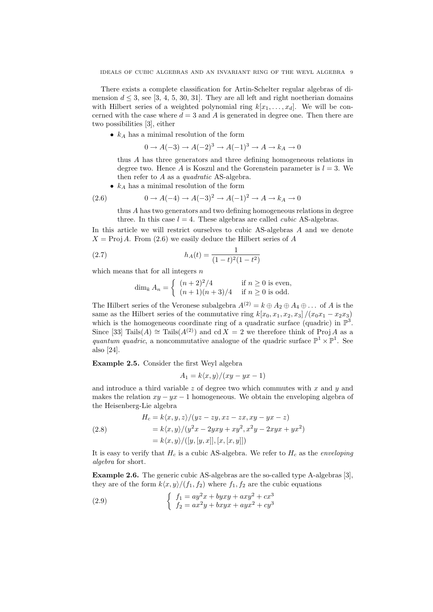There exists a complete classification for Artin-Schelter regular algebras of dimension  $d \leq 3$ , see [3, 4, 5, 30, 31]. They are all left and right noetherian domains with Hilbert series of a weighted polynomial ring  $k[x_1, \ldots, x_d]$ . We will be concerned with the case where  $d = 3$  and A is generated in degree one. Then there are two possibilities [3], either

•  $k_A$  has a minimal resolution of the form

$$
0 \to A(-3) \to A(-2)^3 \to A(-1)^3 \to A \to k_A \to 0
$$

thus A has three generators and three defining homogeneous relations in degree two. Hence A is Koszul and the Gorenstein parameter is  $l = 3$ . We then refer to A as a *quadratic* AS-algebra.

•  $k_A$  has a minimal resolution of the form

(2.6) 
$$
0 \to A(-4) \to A(-3)^2 \to A(-1)^2 \to A \to k_A \to 0
$$

thus A has two generators and two defining homogeneous relations in degree three. In this case  $l = 4$ . These algebras are called *cubic* AS-algebras.

In this article we will restrict ourselves to cubic AS-algebras A and we denote  $X = \text{Proj } A$ . From (2.6) we easily deduce the Hilbert series of A

(2.7) 
$$
h_A(t) = \frac{1}{(1-t)^2(1-t^2)}
$$

which means that for all integers  $n$ 

$$
\dim_k A_n = \begin{cases} (n+2)^2/4 & \text{if } n \ge 0 \text{ is even,} \\ (n+1)(n+3)/4 & \text{if } n \ge 0 \text{ is odd.} \end{cases}
$$

The Hilbert series of the Veronese subalgebra  $A^{(2)} = k \oplus A_2 \oplus A_4 \oplus \ldots$  of A is the same as the Hilbert series of the commutative ring  $k[x_0, x_1, x_2, x_3]/(x_0x_1 - x_2x_3)$ which is the homogeneous coordinate ring of a quadratic surface (quadric) in  $\mathbb{P}^3$ . Since [33] Tails(A) ≅ Tails(A<sup>(2)</sup>) and cd  $\overline{X} = 2$  we therefore think of ProjA as a quantum quadric, a noncommutative analogue of the quadric surface  $\mathbb{P}^1 \times \mathbb{P}^1$ . See also [24].

Example 2.5. Consider the first Weyl algebra

$$
A_1 = k \langle x, y \rangle / (xy - yx - 1)
$$

and introduce a third variable  $z$  of degree two which commutes with  $x$  and  $y$  and makes the relation  $xy - yx - 1$  homogeneous. We obtain the enveloping algebra of the Heisenberg-Lie algebra

(2.8)  
\n
$$
H_c = k \langle x, y, z \rangle / (yz - zy, xz - zx, xy - yx - z)
$$
\n
$$
= k \langle x, y \rangle / (y^2 x - 2yxy + xy^2, x^2 y - 2xyx + yx^2)
$$
\n
$$
= k \langle x, y \rangle / ([y, [y, x]], [x, [x, y]])
$$

It is easy to verify that  $H_c$  is a cubic AS-algebra. We refer to  $H_c$  as the *enveloping* algebra for short.

Example 2.6. The generic cubic AS-algebras are the so-called type A-algebras [3], they are of the form  $k\langle x, y\rangle/(f_1, f_2)$  where  $f_1, f_2$  are the cubic equations

(2.9) 
$$
\begin{cases} f_1 = ay^2x + byxy + axy^2 + cx^3 \\ f_2 = ax^2y + bxyx + ayx^2 + cy^3 \end{cases}
$$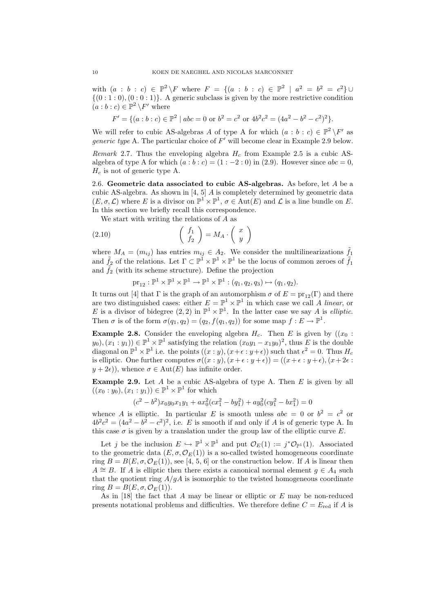with  $(a : b : c) \in \mathbb{P}^2 \backslash F$  where  $F = \{(a : b : c) \in \mathbb{P}^2 \mid a^2 = b^2 = c^2\} \cup$  $\{(0:1:0),(0:0:1)\}\$ . A generic subclass is given by the more restrictive condition  $(a:b:c) \in \mathbb{P}^2 \backslash F'$  where

$$
F' = \{(a : b : c) \in \mathbb{P}^2 \mid abc = 0 \text{ or } b^2 = c^2 \text{ or } 4b^2c^2 = (4a^2 - b^2 - c^2)^2\}.
$$

We will refer to cubic AS-algebras A of type A for which  $(a : b : c) \in \mathbb{P}^2 \backslash F'$  as *generic type* A. The particular choice of  $F'$  will become clear in Example 2.9 below.

Remark 2.7. Thus the enveloping algebra  $H_c$  from Example 2.5 is a cubic ASalgebra of type A for which  $(a : b : c) = (1 : -2 : 0)$  in (2.9). However since  $abc = 0$ ,  $H_c$  is not of generic type A.

2.6. Geometric data associated to cubic AS-algebras. As before, let  $A$  be a cubic AS-algebra. As shown in  $[4, 5]$  A is completely determined by geometric data  $(E, \sigma, \mathcal{L})$  where E is a divisor on  $\mathbb{P}^1 \times \mathbb{P}^1$ ,  $\sigma \in \text{Aut}(E)$  and  $\mathcal{L}$  is a line bundle on E. In this section we briefly recall this correspondence.

We start with writing the relations of A as

(2.10) 
$$
\begin{pmatrix} f_1 \\ f_2 \end{pmatrix} = M_A \cdot \begin{pmatrix} x \\ y \end{pmatrix}
$$

where  $M_A = (m_{ij})$  has entries  $m_{ij} \in A_2$ . We consider the multilinearizations  $\tilde{f}_1$ and  $\tilde{f}_2$  of the relations. Let  $\Gamma \subset \mathbb{P}^1 \times \mathbb{P}^1 \times \mathbb{P}^1$  be the locus of common zeroes of  $\tilde{f}_1$ and  $\tilde{f}_2$  (with its scheme structure). Define the projection

$$
\mathrm{pr}_{12} : \mathbb{P}^1 \times \mathbb{P}^1 \times \mathbb{P}^1 \to \mathbb{P}^1 \times \mathbb{P}^1 : (q_1, q_2, q_3) \mapsto (q_1, q_2).
$$

It turns out [4] that  $\Gamma$  is the graph of an automorphism  $\sigma$  of  $E = \text{pr}_{12}(\Gamma)$  and there are two distinguished cases: either  $E = \mathbb{P}^1 \times \mathbb{P}^1$  in which case we call A linear, or E is a divisor of bidegree  $(2, 2)$  in  $\mathbb{P}^1 \times \mathbb{P}^1$ . In the latter case we say A is *elliptic*. Then  $\sigma$  is of the form  $\sigma(q_1, q_2) = (q_2, f(q_1, q_2))$  for some map  $f : E \to \mathbb{P}^1$ .

**Example 2.8.** Consider the enveloping algebra  $H_c$ . Then E is given by  $((x_0 :$  $(y_0), (x_1 : y_1) \in \mathbb{P}^1 \times \mathbb{P}^1$  satisfying the relation  $(x_0y_1 - x_1y_0)^2$ , thus E is the double diagonal on  $\mathbb{P}^1 \times \mathbb{P}^1$  i.e. the points  $((x : y), (x + \epsilon : y + \epsilon))$  such that  $\epsilon^2 = 0$ . Thus  $H_c$ is elliptic. One further computes  $\sigma((x : y), (x + \epsilon : y + \epsilon)) = ((x + \epsilon : y + \epsilon), (x + 2\epsilon : y + \epsilon))$  $y + 2\epsilon$ ), whence  $\sigma \in \text{Aut}(E)$  has infinite order.

**Example 2.9.** Let  $A$  be a cubic AS-algebra of type A. Then  $E$  is given by all  $((x_0:y_0),(x_1:y_1))\in\mathbb{P}^1\times\mathbb{P}^1$  for which

$$
(c2 - b2)x0y0x1y1 + ax02(cx12 - by12) + ay02(cy12 - bx12) = 0
$$

whence A is elliptic. In particular E is smooth unless  $abc = 0$  or  $b^2 = c^2$  or  $4b^2c^2 = (4a^2 - b^2 - c^2)^2$ , i.e. E is smooth if and only if A is of generic type A. In this case  $\sigma$  is given by a translation under the group law of the elliptic curve E.

Let j be the inclusion  $E \hookrightarrow \mathbb{P}^1 \times \mathbb{P}^1$  and put  $\mathcal{O}_E(1) := j^* \mathcal{O}_{\mathbb{P}^1}(1)$ . Associated to the geometric data  $(E, \sigma, \mathcal{O}_E(1))$  is a so-called twisted homogeneous coordinate ring  $B = B(E, \sigma, O_E(1))$ , see [4, 5, 6] or the construction below. If A is linear then  $A \cong B$ . If A is elliptic then there exists a canonical normal element  $g \in A_4$  such that the quotient ring  $A/qA$  is isomorphic to the twisted homogeneous coordinate ring  $B = B(E, \sigma, \mathcal{O}_E(1)).$ 

As in  $[18]$  the fact that A may be linear or elliptic or E may be non-reduced presents notational problems and difficulties. We therefore define  $C = E_{\text{red}}$  if A is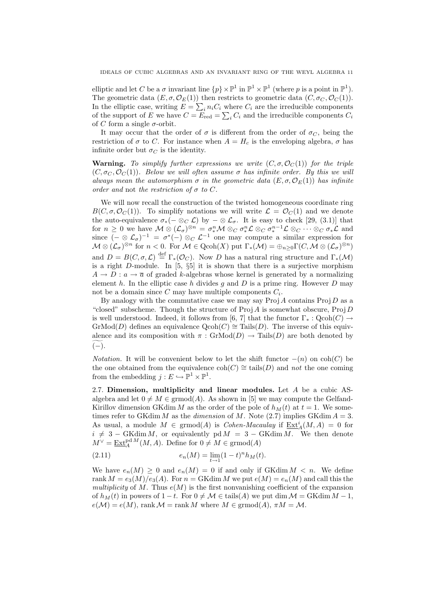elliptic and let C be a  $\sigma$  invariant line  $\{p\}\times\mathbb{P}^1$  in  $\mathbb{P}^1\times\mathbb{P}^1$  (where p is a point in  $\mathbb{P}^1$ ). The geometric data  $(E, \sigma, \mathcal{O}_E(1))$  then restricts to geometric data  $(C, \sigma_C, \mathcal{O}_C(1))$ . In the elliptic case, writing  $E = \sum_i n_i C_i$  where  $C_i$  are the irreducible components of the support of E we have  $C = E_{\text{red}} = \sum_i C_i$  and the irreducible components  $C_i$ of C form a single  $\sigma$ -orbit.

It may occur that the order of  $\sigma$  is different from the order of  $\sigma_C$ , being the restriction of  $\sigma$  to C. For instance when  $A = H_c$  is the enveloping algebra,  $\sigma$  has infinite order but  $\sigma_C$  is the identity.

**Warning.** To simplify further expressions we write  $(C, \sigma, \mathcal{O}_C(1))$  for the triple  $(C, \sigma_C, \mathcal{O}_C(1))$ . Below we will often assume  $\sigma$  has infinite order. By this we will always mean the automorphism  $\sigma$  in the geometric data  $(E, \sigma, \mathcal{O}_E(1))$  has infinite order and not the restriction of  $\sigma$  to C.

We will now recall the construction of the twisted homogeneous coordinate ring  $B(C, \sigma, \mathcal{O}_C(1))$ . To simplify notations we will write  $\mathcal{L} = \mathcal{O}_C(1)$  and we denote the auto-equivalence  $\sigma_*(- \otimes_C \mathcal{L})$  by  $-\otimes \mathcal{L}_{\sigma}$ . It is easy to check [29, (3.1)] that for  $n \geq 0$  we have  $\mathcal{M} \otimes (\mathcal{L}_{\sigma})^{\otimes n} = \sigma^n_* \mathcal{M} \otimes_C \sigma^n_* \mathcal{L} \otimes_C \sigma^{n-1}_* \mathcal{L} \otimes_C \cdots \otimes_C \sigma^* \mathcal{L}$  and since  $(-\otimes \mathcal{L}_{\sigma})^{-1} = \sigma^*(-) \otimes_{C} \mathcal{L}^{-1}$  one may compute a similar expression for  $\mathcal{M} \otimes (\mathcal{L}_{\sigma})^{\otimes n}$  for  $n < 0$ . For  $\mathcal{M} \in \mathrm{Qcoh}(X)$  put  $\Gamma_*(\mathcal{M}) = \bigoplus_{n \geq 0} \Gamma(C, \mathcal{M} \otimes (\mathcal{L}_{\sigma})^{\otimes n})$ and  $D = B(C, \sigma, \mathcal{L}) \stackrel{\text{def}}{=} \Gamma_*(\mathcal{O}_C)$ . Now D has a natural ring structure and  $\Gamma_*(\mathcal{M})$ is a right  $D$ -module. In [5, §5] it is shown that there is a surjective morphism  $A \rightarrow D : a \rightarrow \overline{a}$  of graded k-algebras whose kernel is generated by a normalizing element h. In the elliptic case h divides q and D is a prime ring. However D may not be a domain since  $C$  may have multiple components  $C_i$ .

By analogy with the commutative case we may say  $\text{Proj } A$  contains  $\text{Proj } D$  as a "closed" subscheme. Though the structure of  $Proj A$  is somewhat obscure,  $Proj D$ is well understood. Indeed, it follows from [6, 7] that the functor  $\Gamma_* : \text{Qcoh}(C) \to$  $\mathrm{GrMod}(D)$  defines an equivalence  $\mathrm{Qcoh}(C) \cong \mathrm{Tails}(D)$ . The inverse of this equivalence and its composition with  $\pi$ : GrMod $(D) \rightarrow$  Tails $(D)$  are both denoted by  $(-).$ 

*Notation.* It will be convenient below to let the shift functor  $-(n)$  on coh(C) be the one obtained from the equivalence  $\text{coh}(C) \cong \text{tails}(D)$  and not the one coming from the embedding  $j: E \hookrightarrow \mathbb{P}^1 \times \mathbb{P}^1$ .

2.7. Dimension, multiplicity and linear modules. Let  $A$  be a cubic ASalgebra and let  $0 \neq M \in \text{grmod}(A)$ . As shown in [5] we may compute the Gelfand-Kirillov dimension GKdim M as the order of the pole of  $h<sub>M</sub>(t)$  at  $t = 1$ . We sometimes refer to GKdim M as the dimension of M. Note (2.7) implies GKdim  $A = 3$ . As usual, a module  $M \in \mathrm{grmod}(A)$  is *Cohen-Macaulay* if  $\underline{\mathrm{Ext}}^i_A(M, A) = 0$  for  $i \neq 3 - \text{GKdim }M$ , or equivalently  $pd M = 3 - \text{GKdim }M$ . We then denote  $M^{\vee} = \underline{\operatorname{Ext}}_{A}^{\operatorname{pd} M}(M, A)$ . Define for  $0 \neq M \in \operatorname{grmod}(A)$ 

(2.11) 
$$
e_n(M) = \lim_{t \to 1} (1-t)^n h_M(t).
$$

We have  $e_n(M) \geq 0$  and  $e_n(M) = 0$  if and only if GKdim  $M < n$ . We define rank  $M = e_3(M)/e_3(A)$ . For  $n = GK \dim M$  we put  $e(M) = e_n(M)$  and call this the multiplicity of M. Thus  $e(M)$  is the first nonvanishing coefficient of the expansion of  $h_M(t)$  in powers of  $1-t$ . For  $0 \neq M \in \text{tails}(A)$  we put dim  $\mathcal{M} = \text{GKdim } M - 1$ ,  $e(M) = e(M)$ , rank  $M = \text{rank }M$  where  $M \in \text{grmod}(A)$ ,  $\pi M = M$ .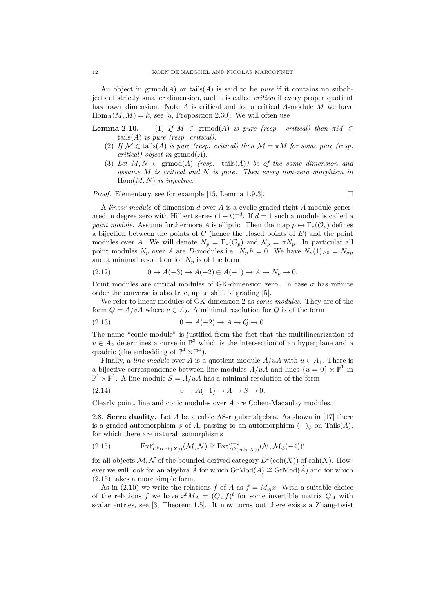An object in  $\mathrm{grmod}(A)$  or tails  $(A)$  is said to be *pure* if it contains no subobjects of strictly smaller dimension, and it is called critical if every proper quotient has lower dimension. Note  $A$  is critical and for a critical  $A$ -module  $M$  we have  $Hom_A(M, M) = k$ , see [5, Proposition 2.30]. We will often use

**Lemma 2.10.** (1) If  $M \in \text{grmod}(A)$  is pure (resp. critical) then  $\pi M \in$ tails $(A)$  is pure (resp. critical).

- (2) If  $\mathcal{M} \in \text{tails}(A)$  is pure (resp. critical) then  $\mathcal{M} = \pi M$  for some pure (resp. critical) object in  $\mathrm{grmod}(A)$ .
- (3) Let  $M, N \in \text{grmod}(A)$  (resp. tails(A)) be of the same dimension and assume M is critical and N is pure. Then every non-zero morphism in  $Hom(M, N)$  is injective.

*Proof.* Elementary, see for example [15, Lemma 1.9.3].

A linear module of dimension d over A is a cyclic graded right A-module generated in degree zero with Hilbert series  $(1-t)^{-d}$ . If  $d=1$  such a module is called a point module. Assume furthermore A is elliptic. Then the map  $p \mapsto \Gamma_*(\mathcal{O}_p)$  defines a bijection between the points of  $C$  (hence the closed points of  $E$ ) and the point modules over A. We will denote  $N_p = \Gamma_*(\mathcal{O}_p)$  and  $\mathcal{N}_p = \pi N_p$ . In particular all point modules  $N_p$  over A are D-modules i.e.  $N_p h = 0$ . We have  $N_p(1)_{\geq 0} = N_{\sigma p}$ and a minimal resolution for  $N_p$  is of the form

$$
(2.12) \qquad \qquad 0 \to A(-3) \to A(-2) \oplus A(-1) \to A \to N_p \to 0.
$$

Point modules are critical modules of GK-dimension zero. In case  $\sigma$  has infinite order the converse is also true, up to shift of grading [5].

We refer to linear modules of GK-dimension 2 as *conic modules*. They are of the form  $Q = A/vA$  where  $v \in A_2$ . A minimal resolution for Q is of the form

$$
(2.13) \t\t 0 \to A(-2) \to A \to Q \to 0.
$$

The name "conic module" is justified from the fact that the multilinearization of  $v \in A_2$  determines a curve in  $\mathbb{P}^3$  which is the intersection of an hyperplane and a quadric (the embedding of  $\mathbb{P}^1 \times \mathbb{P}^1$ ).

Finally, a *line module* over A is a quotient module  $A/uA$  with  $u \in A_1$ . There is a bijective correspondence between line modules  $A/uA$  and lines  $\{u=0\}\times\mathbb{P}^1$  in  $\mathbb{P}^1 \times \mathbb{P}^1$ . A line module  $S = A/uA$  has a minimal resolution of the form

$$
(2.14) \t\t 0 \to A(-1) \to A \to S \to 0.
$$

Clearly point, line and conic modules over A are Cohen-Macaulay modules.

2.8. Serre duality. Let  $A$  be a cubic AS-regular algebra. As shown in [17] there is a graded automorphism  $\phi$  of A, passing to an automorphism  $(-)_{\phi}$  on Tails(A), for which there are natural isomorphisms

(2.15) 
$$
\operatorname{Ext}^i_{D^b(\operatorname{coh}(X))}(\mathcal{M}, \mathcal{N}) \cong \operatorname{Ext}^{n-i}_{D^b(\operatorname{coh}(X))}(\mathcal{N}, \mathcal{M}_{\phi}(-4))'
$$

for all objects  $\mathcal{M}, \mathcal{N}$  of the bounded derived category  $D^b(\text{coh}(X))$  of  $\text{coh}(X)$ . However we will look for an algebra  $\hat{A}$  for which GrMod(A)  $\cong$  GrMod(A) and for which (2.15) takes a more simple form.

As in (2.10) we write the relations f of A as  $f = M_A x$ . With a suitable choice of the relations f we have  $x^t M_A = (Q_A f)^t$  for some invertible matrix  $Q_A$  with scalar entries, see [3, Theorem 1.5]. It now turns out there exists a Zhang-twist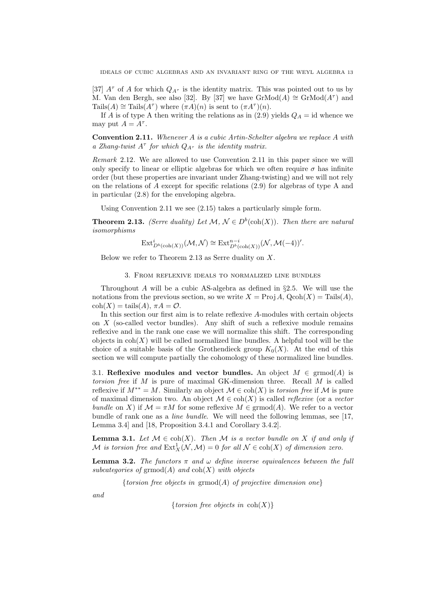[37]  $A^{\tau}$  of A for which  $Q_{A^{\tau}}$  is the identity matrix. This was pointed out to us by M. Van den Bergh, see also [32]. By [37] we have  $\mathrm{GrMod}(A) \cong \mathrm{GrMod}(A^{\tau})$  and Tails(A)  $\cong$  Tails( $A^{\tau}$ ) where  $(\pi A)(n)$  is sent to  $(\pi A^{\tau})(n)$ .

If A is of type A then writing the relations as in (2.9) yields  $Q_A = id$  whence we may put  $A = A^{\tau}$ .

Convention 2.11. Whenever A is a cubic Artin-Schelter algebra we replace A with a Zhang-twist  $A^{\tau}$  for which  $Q_{A^{\tau}}$  is the identity matrix.

Remark 2.12. We are allowed to use Convention 2.11 in this paper since we will only specify to linear or elliptic algebras for which we often require  $\sigma$  has infinite order (but these properties are invariant under Zhang-twisting) and we will not rely on the relations of A except for specific relations (2.9) for algebras of type A and in particular (2.8) for the enveloping algebra.

Using Convention 2.11 we see (2.15) takes a particularly simple form.

**Theorem 2.13.** (Serre duality) Let  $\mathcal{M}, \mathcal{N} \in D^b(\text{coh}(X))$ . Then there are natural isomorphisms

$$
\mathrm{Ext}^i_{D^b(\mathrm{coh}(X))}(\mathcal{M},\mathcal{N})\cong \mathrm{Ext}^{n-i}_{D^b(\mathrm{coh}(X))}(\mathcal{N},\mathcal{M}(-4))'.
$$

Below we refer to Theorem 2.13 as Serre duality on X.

3. From reflexive ideals to normalized line bundles

Throughout A will be a cubic AS-algebra as defined in §2.5. We will use the notations from the previous section, so we write  $X = \text{Proj } A$ ,  $\text{Qcoh}(X) = \text{Tails}(A)$ ,  $\text{coh}(X) = \text{tails}(A), \ \pi A = \mathcal{O}.$ 

In this section our first aim is to relate reflexive A-modules with certain objects on  $X$  (so-called vector bundles). Any shift of such a reflexive module remains reflexive and in the rank one case we will normalize this shift. The corresponding objects in  $\text{coh}(X)$  will be called normalized line bundles. A helpful tool will be the choice of a suitable basis of the Grothendieck group  $K_0(X)$ . At the end of this section we will compute partially the cohomology of these normalized line bundles.

3.1. Reflexive modules and vector bundles. An object  $M \in \text{grmod}(A)$  is torsion free if  $M$  is pure of maximal GK-dimension three. Recall  $M$  is called reflexive if  $M^{**} = M$ . Similarly an object  $\mathcal{M} \in \text{coh}(X)$  is torsion free if  $\mathcal M$  is pure of maximal dimension two. An object  $\mathcal{M} \in \text{coh}(X)$  is called *reflexive* (or a *vector* bundle on X) if  $\mathcal{M} = \pi M$  for some reflexive  $M \in \mathrm{grmod}(A)$ . We refer to a vector bundle of rank one as a line bundle. We will need the following lemmas, see [17, Lemma 3.4] and [18, Proposition 3.4.1 and Corollary 3.4.2].

**Lemma 3.1.** Let  $M \in \text{coh}(X)$ . Then M is a vector bundle on X if and only if M is torsion free and  $\text{Ext}^1_X(\mathcal{N},\mathcal{M})=0$  for all  $\mathcal{N} \in \text{coh}(X)$  of dimension zero.

**Lemma 3.2.** The functors  $\pi$  and  $\omega$  define inverse equivalences between the full subcategories of  $\mathrm{grmod}(A)$  and  $\mathrm{coh}(X)$  with objects

{torsion free objects in  $\operatorname{grmod}(A)$  of projective dimension one}

and

{torsion free objects in  $\text{coh}(X)$ }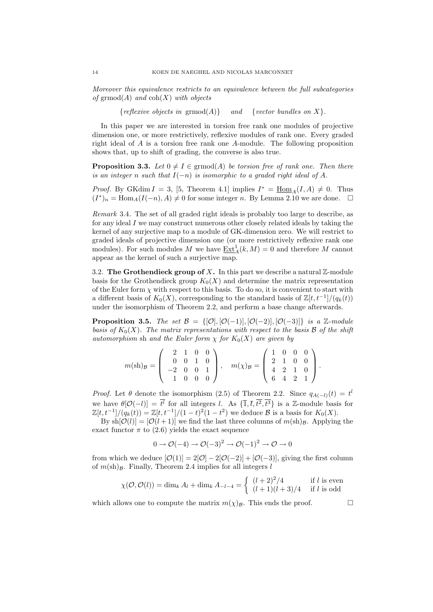Moreover this equivalence restricts to an equivalence between the full subcategories of grmod(A) and  $\text{coh}(X)$  with objects

{*reflexive objects in*  $\operatorname{grmod}(A)$ } and {*vector bundles on X*}.

In this paper we are interested in torsion free rank one modules of projective dimension one, or more restrictively, reflexive modules of rank one. Every graded right ideal of A is a torsion free rank one A-module. The following proposition shows that, up to shift of grading, the converse is also true.

**Proposition 3.3.** Let  $0 \neq I \in \mathrm{grmod}(A)$  be torsion free of rank one. Then there is an integer n such that  $I(-n)$  is isomorphic to a graded right ideal of A.

*Proof.* By GKdim  $I = 3$ , [5, Theorem 4.1] implies  $I^* = \underline{\text{Hom}}_A(I, A) \neq 0$ . Thus  $(I^*)_n = \text{Hom}_A(I(-n), A) \neq 0$  for some integer n. By Lemma 2.10 we are done.  $\square$ 

Remark 3.4. The set of all graded right ideals is probably too large to describe, as for any ideal  $I$  we may construct numerous other closely related ideals by taking the kernel of any surjective map to a module of GK-dimension zero. We will restrict to graded ideals of projective dimension one (or more restrictively reflexive rank one modules). For such modules M we have  $\underline{\operatorname{Ext}}^1_A(k,M) = 0$  and therefore M cannot appear as the kernel of such a surjective map.

3.2. The Grothendieck group of X. In this part we describe a natural  $\mathbb{Z}$ -module basis for the Grothendieck group  $K_0(X)$  and determine the matrix representation of the Euler form  $\chi$  with respect to this basis. To do so, it is convenient to start with a different basis of  $K_0(X)$ , corresponding to the standard basis of  $\mathbb{Z}[t, t^{-1}]/(q_k(t))$ under the isomorphism of Theorem 2.2, and perform a base change afterwards.

**Proposition 3.5.** The set  $\mathcal{B} = \{[\mathcal{O}], [\mathcal{O}(-1)], [\mathcal{O}(-2)], [\mathcal{O}(-3)]\}$  is a Z-module basis of  $K_0(X)$ . The matrix representations with respect to the basis B of the shift automorphism sh and the Euler form  $\chi$  for  $K_0(X)$  are given by

$$
m(\text{sh})_{\mathcal{B}} = \left( \begin{array}{rrr} 2 & 1 & 0 & 0 \\ 0 & 0 & 1 & 0 \\ -2 & 0 & 0 & 1 \\ 1 & 0 & 0 & 0 \end{array} \right), \quad m(\chi)_{\mathcal{B}} = \left( \begin{array}{rrr} 1 & 0 & 0 & 0 \\ 2 & 1 & 0 & 0 \\ 4 & 2 & 1 & 0 \\ 6 & 4 & 2 & 1 \end{array} \right).
$$

*Proof.* Let  $\theta$  denote the isomorphism (2.5) of Theorem 2.2. Since  $q_{A(-l)}(t) = t^l$ we have  $\theta[O(-l)] = t^l$  for all integers l. As  $\{\overline{1}, \overline{t}, t^2, t^3\}$  is a Z-module basis for  $\mathbb{Z}[t, t^{-1}]/(q_k(t)) = \mathbb{Z}[t, t^{-1}]/(1-t)^2(1-t^2)$  we deduce  $\mathcal{B}$  is a basis for  $K_0(X)$ .

By  $\text{sh}[\mathcal{O}(l)] = [\mathcal{O}(l+1)]$  we find the last three columns of  $m(\text{sh})_B$ . Applying the exact functor  $\pi$  to (2.6) yields the exact sequence

$$
0 \to \mathcal{O}(-4) \to \mathcal{O}(-3)^2 \to \mathcal{O}(-1)^2 \to \mathcal{O} \to 0
$$

from which we deduce  $[\mathcal{O}(1)] = 2[\mathcal{O}]-2[\mathcal{O}(-2)] + [\mathcal{O}(-3)]$ , giving the first column of  $m(\text{sh})_B$ . Finally, Theorem 2.4 implies for all integers l

$$
\chi(\mathcal{O}, \mathcal{O}(l)) = \dim_k A_l + \dim_k A_{-l-4} = \begin{cases} (l+2)^2/4 & \text{if } l \text{ is even} \\ (l+1)(l+3)/4 & \text{if } l \text{ is odd} \end{cases}
$$

which allows one to compute the matrix  $m(\chi)_{\mathcal{B}}$ . This ends the proof.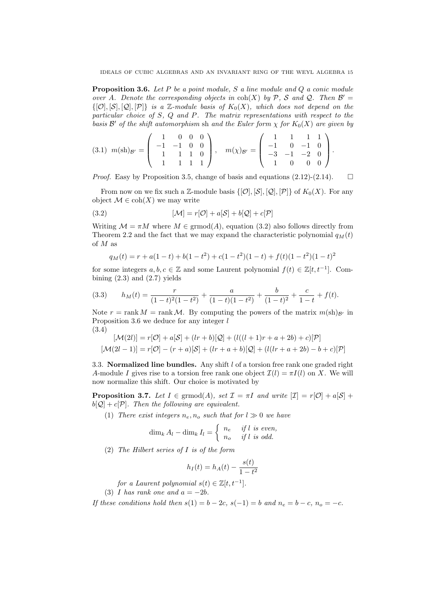**Proposition 3.6.** Let P be a point module, S a line module and Q a conic module over A. Denote the corresponding objects in  $\text{coh}(X)$  by P, S and Q. Then  $\mathcal{B}' =$  $\{[\mathcal{O}], [\mathcal{S}], [\mathcal{Q}], [\mathcal{P}]\}$  is a Z-module basis of  $K_0(X)$ , which does not depend on the particular choice of S, Q and P. The matrix representations with respect to the basis  $\mathcal{B}'$  of the shift automorphism sh and the Euler form  $\chi$  for  $K_0(X)$  are given by

$$
(3.1) \ \ m(\text{sh})_{\mathcal{B}'} = \left( \begin{array}{rrr} 1 & 0 & 0 & 0 \\ -1 & -1 & 0 & 0 \\ 1 & 1 & 1 & 0 \\ 1 & 1 & 1 & 1 \end{array} \right), \quad m(\chi)_{\mathcal{B}'} = \left( \begin{array}{rrr} 1 & 1 & 1 & 1 \\ -1 & 0 & -1 & 0 \\ -3 & -1 & -2 & 0 \\ 1 & 0 & 0 & 0 \end{array} \right).
$$

*Proof.* Easy by Proposition 3.5, change of basis and equations  $(2.12)-(2.14)$ .  $\Box$ 

From now on we fix such a Z-module basis  $\{[\mathcal{O}], [\mathcal{S}], [\mathcal{Q}], [\mathcal{P}]\}$  of  $K_0(X)$ . For any object  $\mathcal{M} \in \text{coh}(X)$  we may write

(3.2) 
$$
[\mathcal{M}] = r[\mathcal{O}] + a[\mathcal{S}] + b[\mathcal{Q}] + c[\mathcal{P}]
$$

Writing  $\mathcal{M} = \pi M$  where  $M \in \mathrm{grmod}(A)$ , equation (3.2) also follows directly from Theorem 2.2 and the fact that we may expand the characteristic polynomial  $q_M(t)$ of M as

$$
q_M(t) = r + a(1-t) + b(1-t^2) + c(1-t^2)(1-t) + f(t)(1-t^2)(1-t)^2
$$

for some integers  $a, b, c \in \mathbb{Z}$  and some Laurent polynomial  $f(t) \in \mathbb{Z}[t, t^{-1}]$ . Combining  $(2.3)$  and  $(2.7)$  yields

(3.3) 
$$
h_M(t) = \frac{r}{(1-t)^2(1-t^2)} + \frac{a}{(1-t)(1-t^2)} + \frac{b}{(1-t)^2} + \frac{c}{1-t} + f(t).
$$

Note  $r = \text{rank } M = \text{rank } M$ . By computing the powers of the matrix  $m(\text{sh})_{\mathcal{B}}$  in Proposition 3.6 we deduce for any integer  $l$ (3.4)

$$
[\mathcal{M}(2l)] = r[\mathcal{O}] + a[\mathcal{S}] + (lr + b)[\mathcal{Q}] + (l((l + 1)r + a + 2b) + c)[\mathcal{P}]
$$
  

$$
[\mathcal{M}(2l - 1)] = r[\mathcal{O}] - (r + a)[\mathcal{S}] + (lr + a + b)[\mathcal{Q}] + (l(lr + a + 2b) - b + c)[\mathcal{P}]
$$

3.3. Normalized line bundles. Any shift  $l$  of a torsion free rank one graded right A-module I gives rise to a torsion free rank one object  $\mathcal{I}(l) = \pi I(l)$  on X. We will now normalize this shift. Our choice is motivated by

**Proposition 3.7.** Let  $I \in \text{grmod}(A)$ , set  $\mathcal{I} = \pi I$  and write  $|\mathcal{I}| = r|\mathcal{O}| + a|\mathcal{S}| + d$  $b[Q] + c[P]$ . Then the following are equivalent.

(1) There exist integers  $n_e, n_o$  such that for  $l \gg 0$  we have

$$
\dim_k A_l - \dim_k I_l = \begin{cases} n_e & \text{if } l \text{ is even,} \\ n_o & \text{if } l \text{ is odd.} \end{cases}
$$

(2) The Hilbert series of I is of the form

$$
h_I(t) = h_A(t) - \frac{s(t)}{1 - t^2}
$$

for a Laurent polynomial  $s(t) \in \mathbb{Z}[t, t^{-1}]$ .

(3) I has rank one and  $a = -2b$ .

If these conditions hold then  $s(1) = b - 2c$ ,  $s(-1) = b$  and  $n_e = b - c$ ,  $n_o = -c$ .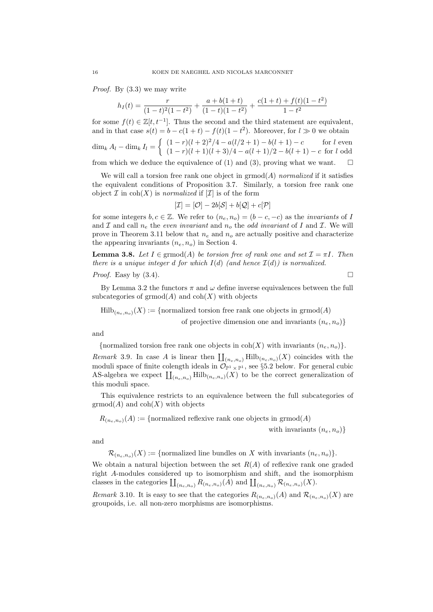Proof. By (3.3) we may write

$$
h_I(t) = \frac{r}{(1-t)^2(1-t^2)} + \frac{a+b(1+t)}{(1-t)(1-t^2)} + \frac{c(1+t) + f(t)(1-t^2)}{1-t^2}
$$

for some  $f(t) \in \mathbb{Z}[t, t^{-1}]$ . Thus the second and the third statement are equivalent, and in that case  $s(t) = b - c(1+t) - f(t)(1-t^2)$ . Moreover, for  $l \gg 0$  we obtain  $\dim_k A_l - \dim_k I_l =$  $\int (1 - r)(l + 2)^2/4 - a(l/2 + 1) - b(l + 1) - c$  for l even  $(1 - r)(l + 1)(l + 3)/4 - a(l + 1)/2 - b(l + 1) - c$  for l odd from which we deduce the equivalence of (1) and (3), proving what we want.  $\square$ 

We will call a torsion free rank one object in  $\mathrm{grmod}(A)$  normalized if it satisfies the equivalent conditions of Proposition 3.7. Similarly, a torsion free rank one object  $\mathcal I$  in  $\text{coh}(X)$  is normalized if  $[\mathcal I]$  is of the form

$$
[\mathcal{I}] = [\mathcal{O}] - 2b[\mathcal{S}] + b[\mathcal{Q}] + c[\mathcal{P}]
$$

for some integers  $b, c \in \mathbb{Z}$ . We refer to  $(n_e, n_o) = (b - c, -c)$  as the *invariants* of I and  $\mathcal I$  and call  $n_e$  the even invariant and  $n_o$  the odd invariant of I and  $\mathcal I$ . We will prove in Theorem 3.11 below that  $n_e$  and  $n_o$  are actually positive and characterize the appearing invariants  $(n_e, n_o)$  in Section 4.

**Lemma 3.8.** Let  $I \in \text{grmod}(A)$  be torsion free of rank one and set  $\mathcal{I} = \pi I$ . Then there is a unique integer d for which  $I(d)$  (and hence  $I(d)$ ) is normalized.

*Proof.* Easy by  $(3.4)$ .

By Lemma 3.2 the functors  $\pi$  and  $\omega$  define inverse equivalences between the full subcategories of  $\mathrm{grmod}(A)$  and  $\mathrm{coh}(X)$  with objects

 $Hilb_{(n_e,n_o)}(X) := \{normalized torsion free rank one objects in  $grmod(A)$$ of projective dimension one and invariants  $(n_e, n_o)$ 

and

{normalized torsion free rank one objects in  $\text{coh}(X)$  with invariants  $(n_e, n_o)$ }.

Remark 3.9. In case A is linear then  $\coprod_{(n_e,n_o)} \mathrm{Hilb}_{(n_e,n_o)}(X)$  coincides with the moduli space of finite colength ideals in  $\mathcal{O}_{\mathbb{P}^1 \times \mathbb{P}^1}$ , see §5.2 below. For general cubic AS-algebra we expect  $\coprod_{(n_e,n_o)} \mathrm{Hilb}_{(n_e,n_o)}(X)$  to be the correct generalization of this moduli space.

This equivalence restricts to an equivalence between the full subcategories of  $\mathrm{grmod}(A)$  and  $\mathrm{coh}(X)$  with objects

 $R_{(n_e,n_o)}(A) := \{$  normalized reflexive rank one objects in grmod $(A)$ 

with invariants  $(n_e, n_o)$ 

and

 $\mathcal{R}_{(n_e,n_o)}(X) := \{\text{normalized line bundles on } X \text{ with invariants } (n_e, n_o)\}.$ 

We obtain a natural bijection between the set  $R(A)$  of reflexive rank one graded right A-modules considered up to isomorphism and shift, and the isomorphism classes in the categories  $\coprod_{(n_e,n_o)} R_{(n_e,n_o)}(A)$  and  $\coprod_{(n_e,n_o)} \mathcal{R}_{(n_e,n_o)}(X)$ .

Remark 3.10. It is easy to see that the categories  $R_{(n_e,n_o)}(A)$  and  $\mathcal{R}_{(n_e,n_o)}(X)$  are groupoids, i.e. all non-zero morphisms are isomorphisms.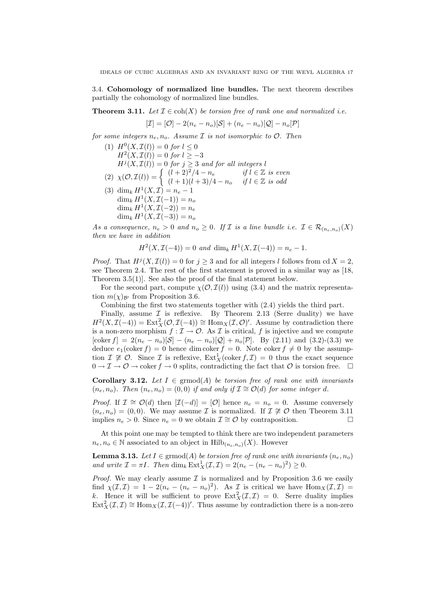3.4. Cohomology of normalized line bundles. The next theorem describes partially the cohomology of normalized line bundles.

**Theorem 3.11.** Let  $\mathcal{I} \in \text{coh}(X)$  be torsion free of rank one and normalized i.e.

$$
[\mathcal{I}] = [\mathcal{O}] - 2(n_e - n_o)[\mathcal{S}] + (n_e - n_o)[\mathcal{Q}] - n_o[\mathcal{P}]
$$

for some integers  $n_e, n_o$ . Assume  $\mathcal I$  is not isomorphic to  $\mathcal O$ . Then

- (1)  $H^0(X, \mathcal{I}(l)) = 0$  for  $l \leq 0$  $H<sup>2</sup>(X, \mathcal{I}(l)) = 0$  for  $l \ge -3$  $H<sup>j</sup>(X, \mathcal{I}(l)) = 0$  for  $j \geq 3$  and for all integers l  $(2) \ \chi(\mathcal{O}, \mathcal{I}(l)) = \begin{cases} (l+2)^2/4 - n_e & \text{if } l \in \mathbb{Z} \text{ is even} \\ (l+1)(l+2)/4 - n_e & \text{if } l \in \mathbb{Z} \text{ is odd} \end{cases}$  $(l+1)(l+3)/4-n_o$  if  $l \in \mathbb{Z}$  is odd (3) dim<sub>k</sub>  $H^1(X,\mathcal{I}) = n_e - 1$  $\dim_k H^1(X,\mathcal{I}(-1))=n_o$  $\dim_k H^1(X,\mathcal I(-2))=n_e$ 
	- dim<sub>k</sub>  $H^1(X, \mathcal{I}(-3)) = n_o$

As a consequence,  $n_e > 0$  and  $n_o \geq 0$ . If  $\mathcal I$  is a line bundle i.e.  $\mathcal I \in \mathcal R_{(n_e,n_o)}(X)$ then we have in addition

 $H^2(X, \mathcal{I}(-4)) = 0$  and  $\dim_k H^1(X, \mathcal{I}(-4)) = n_e - 1$ .

*Proof.* That  $H^j(X, \mathcal{I}(l)) = 0$  for  $j \geq 3$  and for all integers l follows from cd  $X = 2$ , see Theorem 2.4. The rest of the first statement is proved in a similar way as [18, Theorem 3.5(1)]. See also the proof of the final statement below.

For the second part, compute  $\chi(\mathcal{O}, \mathcal{I}(l))$  using (3.4) and the matrix representation  $m(\chi)_{\mathcal{B}'}$  from Proposition 3.6.

Combining the first two statements together with (2.4) yields the third part.

Finally, assume  $\mathcal I$  is reflexive. By Theorem 2.13 (Serre duality) we have  $H^2(X, \mathcal{I}(-4)) = \text{Ext}^2_X(\mathcal{O}, \mathcal{I}(-4)) \cong \text{Hom}_X(\mathcal{I}, \mathcal{O})'$ . Assume by contradiction there is a non-zero morphism  $f : \mathcal{I} \to \mathcal{O}$ . As  $\mathcal{I}$  is critical, f is injective and we compute [coker  $f$ ] = 2( $n_e - n_o$ )[S] – ( $n_e - n_o$ )[Q] +  $n_o$ [P]. By (2.11) and (3.2)-(3.3) we deduce  $e_1(\text{coker } f) = 0$  hence dim coker  $f = 0$ . Note coker  $f \neq 0$  by the assumption  $\mathcal{I} \not\cong \mathcal{O}$ . Since  $\mathcal{I}$  is reflexive,  $\text{Ext}^1_X(\text{coker } f, \mathcal{I}) = 0$  thus the exact sequence  $0 \to \mathcal{I} \to \mathcal{O} \to \text{coker } f \to 0$  splits, contradicting the fact that  $\mathcal{O}$  is torsion free.  $\Box$ 

Corollary 3.12. Let  $I \in \text{grmod}(A)$  be torsion free of rank one with invariants  $(n_e, n_o)$ . Then  $(n_e, n_o) = (0, 0)$  if and only if  $\mathcal{I} \cong \mathcal{O}(d)$  for some integer d.

*Proof.* If  $\mathcal{I} \cong \mathcal{O}(d)$  then  $[\mathcal{I}(-d)] = [\mathcal{O}]$  hence  $n_e = n_o = 0$ . Assume conversely  $(n_e, n_o) = (0, 0)$ . We may assume *I* is normalized. If  $\mathcal{I} \not\cong \mathcal{O}$  then Theorem 3.11 implies  $n_e > 0$ . Since  $n_e = 0$  we obtain  $\mathcal{I} \cong \mathcal{O}$  by contraposition.

At this point one may be tempted to think there are two independent parameters  $n_e, n_o \in \mathbb{N}$  associated to an object in  $\text{Hilb}_{(n_e,n_o)}(X)$ . However

**Lemma 3.13.** Let  $I \in \text{grmod}(A)$  be torsion free of rank one with invariants  $(n_e, n_o)$ and write  $\mathcal{I} = \pi I$ . Then  $\dim_k \operatorname{Ext}^1_X(\mathcal{I}, \mathcal{I}) = 2(n_e - (n_e - n_o)^2) \geq 0$ .

*Proof.* We may clearly assume  $\mathcal I$  is normalized and by Proposition 3.6 we easily find  $\chi(\mathcal{I},\mathcal{I}) = 1 - 2(n_e - (n_e - n_o)^2)$ . As  $\mathcal{I}$  is critical we have  $\text{Hom}_X(\mathcal{I},\mathcal{I}) =$ k. Hence it will be sufficient to prove  $\text{Ext}^2_X(\mathcal{I},\mathcal{I}) = 0$ . Serre duality implies  $\text{Ext}^2_X(\mathcal{I},\mathcal{I}) \cong \text{Hom}_X(\mathcal{I},\mathcal{I}(-4))'$ . Thus assume by contradiction there is a non-zero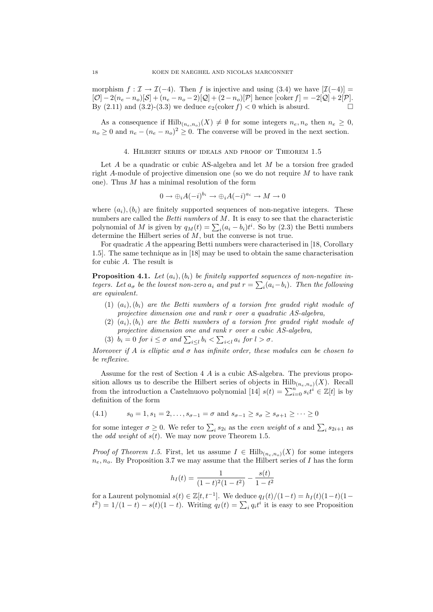morphism  $f : \mathcal{I} \to \mathcal{I}(-4)$ . Then f is injective and using (3.4) we have  $|\mathcal{I}(-4)| =$  $[O] - 2(n_e - n_o)[S] + (n_e - n_o - 2)[Q] + (2 - n_o)[P]$  hence  $[\text{coker } f] = -2[Q] + 2[P]$ . By  $(2.11)$  and  $(3.2)-(3.3)$  we deduce  $e_2(\text{coker } f) < 0$  which is absurd.

As a consequence if  $\text{Hilb}_{(n_e,n_o)}(X) \neq \emptyset$  for some integers  $n_e, n_o$  then  $n_e \geq 0$ ,  $n_o \geq 0$  and  $n_e - (n_e - n_o)^2 \geq 0$ . The converse will be proved in the next section.

# 4. Hilbert series of ideals and proof of Theorem 1.5

Let A be a quadratic or cubic AS-algebra and let M be a torsion free graded right A-module of projective dimension one (so we do not require M to have rank one). Thus  $M$  has a minimal resolution of the form

$$
0 \to \bigoplus_i A(-i)^{b_i} \to \bigoplus_i A(-i)^{a_i} \to M \to 0
$$

where  $(a_i), (b_i)$  are finitely supported sequences of non-negative integers. These numbers are called the *Betti numbers* of  $M$ . It is easy to see that the characteristic polynomial of M is given by  $q_M(t) = \sum_i (a_i - b_i)t^i$ . So by (2.3) the Betti numbers determine the Hilbert series of  $M$ , but the converse is not true.

For quadratic A the appearing Betti numbers were characterised in [18, Corollary 1.5]. The same technique as in [18] may be used to obtain the same characterisation for cubic A. The result is

**Proposition 4.1.** Let  $(a_i)$ ,  $(b_i)$  be finitely supported sequences of non-negative integers. Let  $a_{\sigma}$  be the lowest non-zero  $a_i$  and put  $r = \sum_i (a_i - b_i)$ . Then the following are equivalent.

- (1)  $(a_i)$ ,  $(b_i)$  are the Betti numbers of a torsion free graded right module of projective dimension one and rank r over a quadratic AS-algebra,
- (2)  $(a_i)$ ,  $(b_i)$  are the Betti numbers of a torsion free graded right module of projective dimension one and rank r over a cubic AS-algebra,
- (3)  $b_i = 0$  for  $i \leq \sigma$  and  $\sum_{i \leq l} b_i < \sum_{i < l} a_i$  for  $l > \sigma$ .

Moreover if A is elliptic and  $\sigma$  has infinite order, these modules can be chosen to be reflexive.

Assume for the rest of Section 4 A is a cubic AS-algebra. The previous proposition allows us to describe the Hilbert series of objects in  $\mathrm{Hilb}_{(n_e,n_o)}(X)$ . Recall from the introduction a Castelnuovo polynomial [14]  $s(t) = \sum_{i=0}^{n} s_i t^i \in \mathbb{Z}[t]$  is by definition of the form

(4.1) 
$$
s_0 = 1, s_1 = 2, ..., s_{\sigma-1} = \sigma \text{ and } s_{\sigma-1} \ge s_{\sigma} \ge s_{\sigma+1} \ge ... \ge 0
$$

for some integer  $\sigma \geq 0$ . We refer to  $\sum_i s_{2i}$  as the *even weight* of s and  $\sum_i s_{2i+1}$  as the *odd weight* of  $s(t)$ . We may now prove Theorem 1.5.

*Proof of Theorem 1.5.* First, let us assume  $I \in Hilb_{(n_e,n_o)}(X)$  for some integers  $n_e, n_o$ . By Proposition 3.7 we may assume that the Hilbert series of I has the form

$$
h_I(t) = \frac{1}{(1-t)^2(1-t^2)} - \frac{s(t)}{1-t^2}
$$

for a Laurent polynomial  $s(t) \in \mathbb{Z}[t, t^{-1}]$ . We deduce  $q_I(t)/(1-t) = h_I(t)(1-t)(1-t)$  $t^2$ ) = 1/(1 - t) – s(t)(1 - t). Writing  $q_I(t) = \sum_i q_i t^i$  it is easy to see Proposition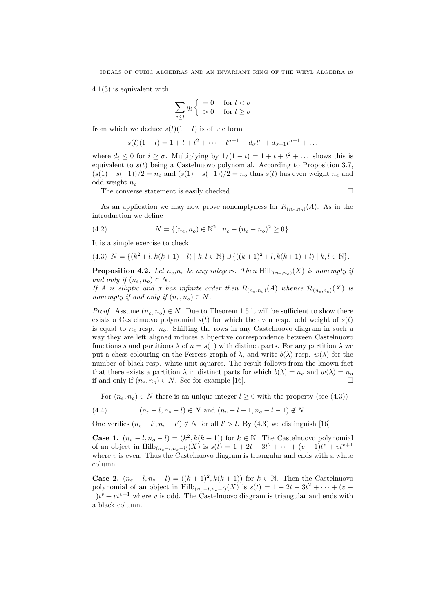4.1(3) is equivalent with

$$
\sum_{i \le l} q_i \begin{cases} = 0 & \text{for } l < \sigma \\ > 0 & \text{for } l \ge \sigma \end{cases}
$$

from which we deduce  $s(t)(1-t)$  is of the form

$$
s(t)(1-t) = 1 + t + t^2 + \dots + t^{\sigma-1} + d_{\sigma}t^{\sigma} + d_{\sigma+1}t^{\sigma+1} + \dots
$$

where  $d_i \leq 0$  for  $i \geq \sigma$ . Multiplying by  $1/(1-t) = 1 + t + t^2 + ...$  shows this is equivalent to  $s(t)$  being a Castelnuovo polynomial. According to Proposition 3.7,  $(s(1) + s(-1))/2 = n_e$  and  $(s(1) - s(-1))/2 = n_o$  thus  $s(t)$  has even weight  $n_e$  and odd weight  $n_o$ .

The converse statement is easily checked.

As an application we may now prove nonemptyness for  $R_{(n_e,n_o)}(A)$ . As in the introduction we define

(4.2) 
$$
N = \{(n_e, n_o) \in \mathbb{N}^2 \mid n_e - (n_e - n_o)^2 \ge 0\}.
$$

It is a simple exercise to check

$$
(4.3) N = \{(k^2 + l, k(k+1) + l) | k, l \in \mathbb{N}\} \cup \{((k+1)^2 + l, k(k+1) + l) | k, l \in \mathbb{N}\}.
$$

**Proposition 4.2.** Let  $n_e, n_o$  be any integers. Then  $\text{Hilb}(n_e, n_o)(X)$  is nonempty if and only if  $(n_e, n_o) \in N$ .

If A is elliptic and  $\sigma$  has infinite order then  $R_{(n_e,n_o)}(A)$  whence  $\mathcal{R}_{(n_e,n_o)}(X)$  is nonempty if and only if  $(n_e, n_o) \in N$ .

*Proof.* Assume  $(n_e, n_o) \in N$ . Due to Theorem 1.5 it will be sufficient to show there exists a Castelnuovo polynomial  $s(t)$  for which the even resp. odd weight of  $s(t)$ is equal to  $n_e$  resp.  $n_o$ . Shifting the rows in any Castelnuovo diagram in such a way they are left aligned induces a bijective correspondence between Castelnuovo functions s and partitions  $\lambda$  of  $n = s(1)$  with distinct parts. For any partition  $\lambda$  we put a chess colouring on the Ferrers graph of  $\lambda$ , and write  $b(\lambda)$  resp.  $w(\lambda)$  for the number of black resp. white unit squares. The result follows from the known fact that there exists a partition  $\lambda$  in distinct parts for which  $b(\lambda) = n_e$  and  $w(\lambda) = n_o$ if and only if  $(n_e, n_o) \in N$ . See for example [16]. □

For  $(n_e, n_o) \in N$  there is an unique integer  $l \geq 0$  with the property (see (4.3))

(4.4) 
$$
(n_e - l, n_o - l) \in N
$$
 and  $(n_e - l - 1, n_o - l - 1) \notin N$ .

One verifies  $(n_e - l', n_o - l') \notin N$  for all  $l' > l$ . By (4.3) we distinguish [16]

**Case 1.**  $(n_e - l, n_o - l) = (k^2, k(k + 1))$  for  $k \in \mathbb{N}$ . The Castelnuovo polynomial of an object in  $\mathrm{Hilb}_{(n_e-l,n_o-l)}(X)$  is  $s(t) = 1 + 2t + 3t^2 + \cdots + (v-1)t^v + vt^{v+1}$ where  $v$  is even. Thus the Castelnuovo diagram is triangular and ends with a white column.

**Case 2.**  $(n_e - l, n_o - l) = ((k + 1)^2, k(k + 1))$  for  $k \in \mathbb{N}$ . Then the Castelnuovo polynomial of an object in  $\mathrm{Hilb}_{(n_e-l,n_o-l)}(X)$  is  $s(t) = 1 + 2t + 3t^2 + \cdots + (v 1)t^{v} + vt^{v+1}$  where v is odd. The Castelnuovo diagram is triangular and ends with a black column.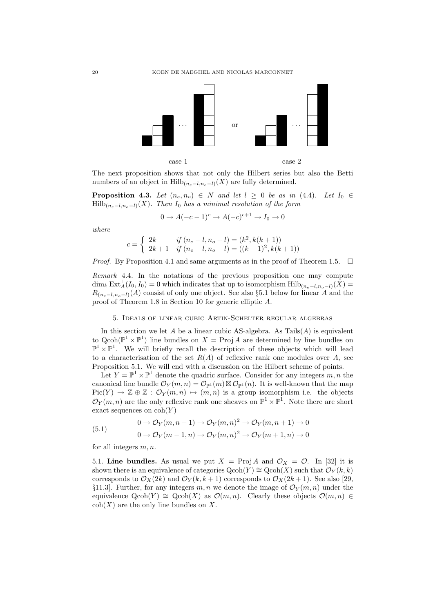

The next proposition shows that not only the Hilbert series but also the Betti numbers of an object in Hilb<sub>(ne−l,no</sub>−l)(X) are fully determined.

**Proposition 4.3.** Let  $(n_e, n_o) \in N$  and let  $l \geq 0$  be as in (4.4). Let  $I_0 \in$  $\mathrm{Hilb}_{(n_e-l,n_o-l)}(X)$ . Then  $I_0$  has a minimal resolution of the form

$$
0 \to A(-c-1)^c \to A(-c)^{c+1} \to I_0 \to 0
$$

where

$$
c = \begin{cases} 2k & \text{if } (n_e - l, n_o - l) = (k^2, k(k + 1)) \\ 2k + 1 & \text{if } (n_e - l, n_o - l) = ((k + 1)^2, k(k + 1)) \end{cases}
$$

*Proof.* By Proposition 4.1 and same arguments as in the proof of Theorem 1.5.  $\Box$ 

Remark 4.4. In the notations of the previous proposition one may compute  $\dim_k \text{Ext}^1_A(I_0, I_0) = 0$  which indicates that up to isomorphism  $\text{Hilb}_{(n_e - l, n_o - l)}(X) =$  $R_{(n_e-l,n_o-l)}(A)$  consist of only one object. See also §5.1 below for linear A and the proof of Theorem 1.8 in Section 10 for generic elliptic A.

# 5. Ideals of linear cubic Artin-Schelter regular algebras

In this section we let  $A$  be a linear cubic AS-algebra. As  $\text{Tails}(A)$  is equivalent to  $Qcoh(\mathbb{P}^1 \times \mathbb{P}^1)$  line bundles on  $X = Proj A$  are determined by line bundles on  $\mathbb{P}^1 \times \mathbb{P}^1$ . We will briefly recall the description of these objects which will lead to a characterisation of the set  $R(A)$  of reflexive rank one modules over A, see Proposition 5.1. We will end with a discussion on the Hilbert scheme of points.

Let  $Y = \mathbb{P}^1 \times \mathbb{P}^1$  denote the quadric surface. Consider for any integers  $m, n$  the canonical line bundle  $\mathcal{O}_Y(m,n) = \mathcal{O}_{\mathbb{P}^1}(m) \boxtimes \mathcal{O}_{\mathbb{P}^1}(n)$ . It is well-known that the map  $Pic(Y) \to \mathbb{Z} \oplus \mathbb{Z} : \mathcal{O}_Y(m,n) \to (m,n)$  is a group isomorphism i.e. the objects  $\mathcal{O}_Y(m,n)$  are the only reflexive rank one sheaves on  $\mathbb{P}^1 \times \mathbb{P}^1$ . Note there are short exact sequences on  $\text{coh}(Y)$ 

(5.1) 
$$
0 \to \mathcal{O}_Y(m, n-1) \to \mathcal{O}_Y(m, n)^2 \to \mathcal{O}_Y(m, n+1) \to 0
$$

$$
0 \to \mathcal{O}_Y(m-1, n) \to \mathcal{O}_Y(m, n)^2 \to \mathcal{O}_Y(m+1, n) \to 0
$$

for all integers  $m, n$ .

5.1. Line bundles. As usual we put  $X = \text{Proj } A$  and  $\mathcal{O}_X = \mathcal{O}$ . In [32] it is shown there is an equivalence of categories  $Qcoh(Y) \cong Qcoh(X)$  such that  $\mathcal{O}_Y(k, k)$ corresponds to  $\mathcal{O}_X(2k)$  and  $\mathcal{O}_Y(k, k+1)$  corresponds to  $\mathcal{O}_X(2k+1)$ . See also [29, §11.3. Further, for any integers m, n we denote the image of  $\mathcal{O}_Y(m,n)$  under the equivalence Qcoh(Y)  $\cong$  Qcoh(X) as  $\mathcal{O}(m,n)$ . Clearly these objects  $\mathcal{O}(m,n) \in$  $\text{coh}(X)$  are the only line bundles on X.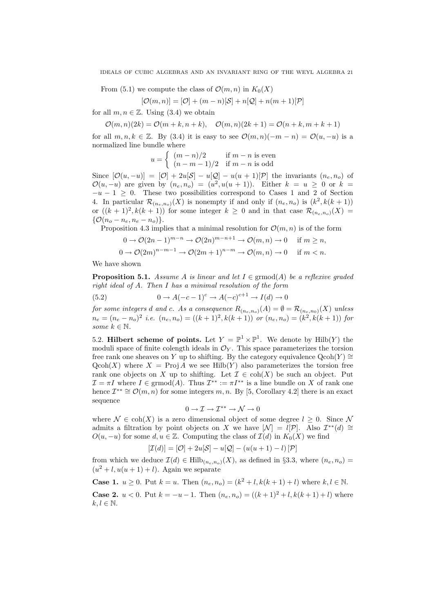From (5.1) we compute the class of  $\mathcal{O}(m, n)$  in  $K_0(X)$ 

$$
[\mathcal{O}(m,n)] = [\mathcal{O}] + (m-n)[\mathcal{S}] + n[\mathcal{Q}] + n(m+1)[\mathcal{P}]
$$

for all  $m, n \in \mathbb{Z}$ . Using (3.4) we obtain

 $\mathcal{O}(m, n)(2k) = \mathcal{O}(m + k, n + k), \quad \mathcal{O}(m, n)(2k + 1) = \mathcal{O}(n + k, m + k + 1)$ 

for all  $m, n, k \in \mathbb{Z}$ . By (3.4) it is easy to see  $\mathcal{O}(m, n)(-m - n) = \mathcal{O}(u, -u)$  is a normalized line bundle where

$$
u = \begin{cases} (m-n)/2 & \text{if } m-n \text{ is even} \\ (n-m-1)/2 & \text{if } m-n \text{ is odd} \end{cases}
$$

Since  $[\mathcal{O}(u,-u)] = [\mathcal{O}] + 2u[\mathcal{S}] - u[\mathcal{Q}] - u(u+1)[\mathcal{P}]$  the invariants  $(n_e, n_o)$  of  $\mathcal{O}(u, -u)$  are given by  $(n_e, n_o) = (u^2, u(u+1))$ . Either  $k = u \geq 0$  or  $k =$  $-u-1 \geq 0$ . These two possibilities correspond to Cases 1 and 2 of Section 4. In particular  $\mathcal{R}_{(n_e,n_o)}(X)$  is nonempty if and only if  $(n_e,n_o)$  is  $(k^2, k(k+1))$ or  $((k+1)^2, k(k+1))$  for some integer  $k \geq 0$  and in that case  $\mathcal{R}_{(n_e,n_o)}(X)$  $\{O(n_o - n_e, n_e - n_o)\}.$ 

Proposition 4.3 implies that a minimal resolution for  $\mathcal{O}(m, n)$  is of the form

$$
0 \to \mathcal{O}(2n-1)^{m-n} \to \mathcal{O}(2n)^{m-n+1} \to \mathcal{O}(m,n) \to 0 \quad \text{if } m \ge n,
$$
  

$$
0 \to \mathcal{O}(2m)^{n-m-1} \to \mathcal{O}(2m+1)^{n-m} \to \mathcal{O}(m,n) \to 0 \quad \text{if } m < n.
$$

We have shown

**Proposition 5.1.** Assume A is linear and let  $I \in \mathrm{grmod}(A)$  be a reflexive graded right ideal of A. Then I has a minimal resolution of the form

(5.2) 
$$
0 \to A(-c-1)^c \to A(-c)^{c+1} \to I(d) \to 0
$$

for some integers d and c. As a consequence  $R_{(n_e,n_o)}(A) = \emptyset = \mathcal{R}_{(n_e,n_0)}(X)$  unless  $n_e = (n_e - n_o)^2$  i.e.  $(n_e, n_o) = ((k+1)^2, k(k+1))$  or  $(n_e, n_o) = (k^2, k(k+1))$  for some  $k \in \mathbb{N}$ .

5.2. Hilbert scheme of points. Let  $Y = \mathbb{P}^1 \times \mathbb{P}^1$ . We denote by  $Hilb(Y)$  the moduli space of finite colength ideals in  $\mathcal{O}_Y$ . This space parameterizes the torsion free rank one sheaves on Y up to shifting. By the category equivalence  $Qcoh(Y) \cong$  $\text{Qcoh}(X)$  where  $X = \text{Proj } A$  we see Hilb(Y) also parameterizes the torsion free rank one objects on X up to shifting. Let  $\mathcal{I} \in \text{coh}(X)$  be such an object. Put  $\mathcal{I} = \pi I$  where  $I \in \text{grmod}(A)$ . Thus  $\mathcal{I}^{**} := \pi I^{**}$  is a line bundle on X of rank one hence  $\mathcal{I}^{**} \cong \mathcal{O}(m,n)$  for some integers  $m, n$ . By [5, Corollary 4.2] there is an exact sequence

$$
0\to \mathcal{I}\to \mathcal{I}^{**}\to \mathcal{N}\to 0
$$

where  $\mathcal{N} \in \text{coh}(X)$  is a zero dimensional object of some degree  $l \geq 0$ . Since N admits a filtration by point objects on X we have  $[\mathcal{N}] = \mathcal{I}[\mathcal{P}]$ . Also  $\mathcal{I}^{**}(d) \cong$  $O(u, -u)$  for some  $d, u \in \mathbb{Z}$ . Computing the class of  $\mathcal{I}(d)$  in  $K_0(X)$  we find

$$
[\mathcal{I}(d)] = [\mathcal{O}] + 2u[\mathcal{S}] - u[\mathcal{Q}] - (u(u+1) - l)[\mathcal{P}]
$$

from which we deduce  $\mathcal{I}(d) \in \mathrm{Hilb}_{(n_e,n_o)}(X)$ , as defined in §3.3, where  $(n_e, n_o)$  $(u^2 + l, u(u+1) + l)$ . Again we separate

**Case 1.**  $u \ge 0$ . Put  $k = u$ . Then  $(n_e, n_o) = (k^2 + l, k(k+1) + l)$  where  $k, l \in \mathbb{N}$ .

**Case 2.**  $u < 0$ . Put  $k = -u - 1$ . Then  $(n_e, n_o) = ((k+1)^2 + l, k(k+1) + l)$  where  $k, l \in \mathbb{N}$ .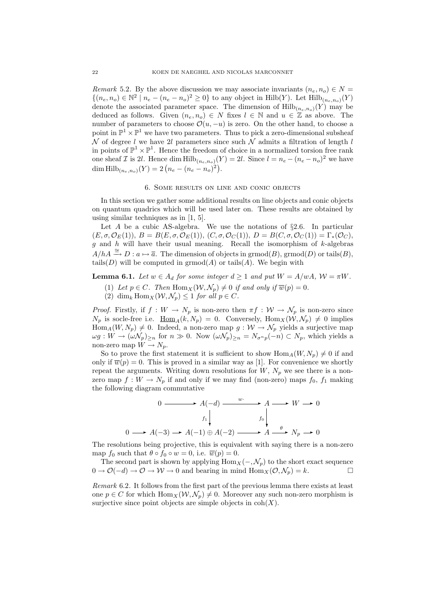Remark 5.2. By the above discussion we may associate invariants  $(n_e, n_o) \in N =$  $\{(n_e, n_o) \in \mathbb{N}^2 \mid n_e - (n_e - n_o)^2 \ge 0\}$  to any object in  $\text{Hilb}(Y)$ . Let  $\text{Hilb}(n_{e}, n_o)(Y)$ denote the associated parameter space. The dimension of  $Hilb_{(n_e,n_o)}(Y)$  may be deduced as follows. Given  $(n_e, n_o) \in N$  fixes  $l \in \mathbb{N}$  and  $u \in \mathbb{Z}$  as above. The number of parameters to choose  $\mathcal{O}(u, -u)$  is zero. On the other hand, to choose a point in  $\mathbb{P}^1 \times \mathbb{P}^1$  we have two parameters. Thus to pick a zero-dimensional subsheaf N of degree l we have 2l parameters since such N admits a filtration of length l in points of  $\mathbb{P}^1 \times \mathbb{P}^1$ . Hence the freedom of choice in a normalized torsion free rank one sheaf I is 2l. Hence dim  $\text{Hilb}_{(n_e,n_o)}(Y) = 2l$ . Since  $l = n_e - (n_e - n_o)^2$  we have dim  $\mathrm{Hilb}_{(n_e,n_o)}(Y) = 2\left(n_e - (n_e - n_o)^2\right).$ 

# 6. Some results on line and conic objects

In this section we gather some additional results on line objects and conic objects on quantum quadrics which will be used later on. These results are obtained by using similar techniques as in [1, 5].

Let A be a cubic AS-algebra. We use the notations of  $\S 2.6$ . In particular  $(E, \sigma, \mathcal{O}_E(1)), B = B(E, \sigma, \mathcal{O}_E(1)), (C, \sigma, \mathcal{O}_C(1)), D = B(C, \sigma, \mathcal{O}_C(1)) = \Gamma_*(\mathcal{O}_C),$ g and h will have their usual meaning. Recall the isomorphism of  $k$ -algebras  $A/hA \stackrel{\cong}{\rightarrow} D: a \mapsto \overline{a}$ . The dimension of objects in grmod(B), grmod(D) or tails(B), tails(D) will be computed in  $\mathrm{grmod}(A)$  or tails(A). We begin with

**Lemma 6.1.** Let  $w \in A_d$  for some integer  $d \geq 1$  and put  $W = A/wA$ ,  $W = \pi W$ .

- (1) Let  $p \in C$ . Then  $\text{Hom}_X(\mathcal{W}, \mathcal{N}_p) \neq 0$  if and only if  $\overline{w}(p) = 0$ .
- (2) dim<sub>k</sub> Hom<sub>X</sub>( $W, \mathcal{N}_p$ )  $\leq 1$  for all  $p \in C$ .

*Proof.* Firstly, if  $f: W \to N_p$  is non-zero then  $\pi f: W \to N_p$  is non-zero since  $N_p$  is socle-free i.e.  $\underline{\text{Hom}}_A(k, N_p) = 0$ . Conversely,  $\text{Hom}_X(\mathcal{W}, \mathcal{N}_p) \neq 0$  implies  $\text{Hom}_A(W, N_p) \neq 0$ . Indeed, a non-zero map  $g: W \to N_p$  yields a surjective map  $\omega g: W \to (\omega \mathcal{N}_p)_{\geq n}$  for  $n \gg 0$ . Now  $(\omega \mathcal{N}_p)_{\geq n} = N_{\sigma^n p}(-n) \subset N_p$ , which yields a non-zero map  $W \to N_p$ .

So to prove the first statement it is sufficient to show  $\text{Hom}_A(W, N_p) \neq 0$  if and only if  $\overline{w}(p) = 0$ . This is proved in a similar way as [1]. For convenience we shortly repeat the arguments. Writing down resolutions for  $W, N_p$  we see there is a nonzero map  $f: W \to N_p$  if and only if we may find (non-zero) maps  $f_0, f_1$  making the following diagram commutative

$$
0 \longrightarrow A(-d) \longrightarrow M \longrightarrow A \longrightarrow W \longrightarrow 0
$$
  

$$
f_1 \downarrow \qquad f_0 \downarrow
$$
  

$$
0 \longrightarrow A(-3) \longrightarrow A(-1) \oplus A(-2) \longrightarrow A \longrightarrow N_p \longrightarrow 0
$$

The resolutions being projective, this is equivalent with saying there is a non-zero map  $f_0$  such that  $\theta \circ f_0 \circ w = 0$ , i.e.  $\overline{w}(p) = 0$ .

The second part is shown by applying  $\text{Hom}_X(-, \mathcal{N}_p)$  to the short exact sequence  $0 \to \mathcal{O}(-d) \to \mathcal{O} \to \mathcal{W} \to 0$  and bearing in mind  $\text{Hom}_X(\mathcal{O}, \mathcal{N}_p) = k.$ 

Remark 6.2. It follows from the first part of the previous lemma there exists at least one  $p \in C$  for which  $\text{Hom}_X(\mathcal{W}, \mathcal{N}_p) \neq 0$ . Moreover any such non-zero morphism is surjective since point objects are simple objects in  $\text{coh}(X)$ .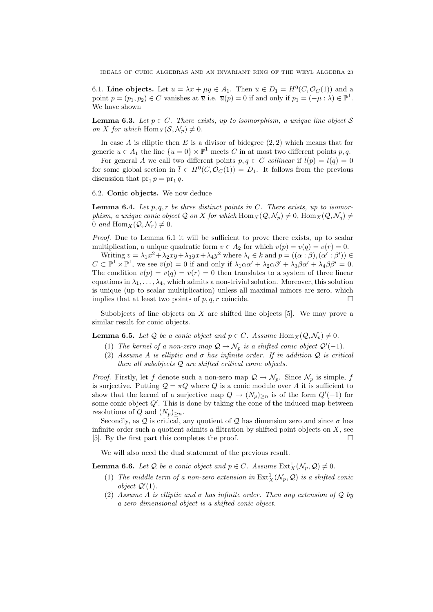6.1. Line objects. Let  $u = \lambda x + \mu y \in A_1$ . Then  $\overline{u} \in D_1 = H^0(C, \mathcal{O}_C(1))$  and a point  $p = (p_1, p_2) \in C$  vanishes at  $\overline{u}$  i.e.  $\overline{u}(p) = 0$  if and only if  $p_1 = (-\mu : \lambda) \in \mathbb{P}^1$ . We have shown

**Lemma 6.3.** Let  $p \in C$ . There exists, up to isomorphism, a unique line object S on X for which  $\text{Hom}_X(\mathcal{S}, \mathcal{N}_p) \neq 0$ .

In case A is elliptic then E is a divisor of bidegree  $(2, 2)$  which means that for generic  $u \in A_1$  the line  $\{u = 0\} \times \mathbb{P}^1$  meets C in at most two different points p, q.

For general A we call two different points  $p, q \in C$  collinear if  $\overline{l}(p) = \overline{l}(q) = 0$ for some global section in  $\bar{l} \in H^0(C, \mathcal{O}_C(1)) = D_1$ . It follows from the previous discussion that  $pr_1 p = pr_1 q$ .

6.2. Conic objects. We now deduce

**Lemma 6.4.** Let  $p, q, r$  be three distinct points in C. There exists, up to isomorphism, a unique conic object Q on X for which  $\text{Hom}_X(\mathcal{Q}, \mathcal{N}_n) \neq 0$ ,  $\text{Hom}_X(\mathcal{Q}, \mathcal{N}_q) \neq 0$ 0 and Hom  $_X(\mathcal{Q}, \mathcal{N}_r) \neq 0$ .

Proof. Due to Lemma 6.1 it will be sufficient to prove there exists, up to scalar multiplication, a unique quadratic form  $v \in A_2$  for which  $\overline{v}(p) = \overline{v}(q) = \overline{v}(r) = 0$ .

Writing  $v = \lambda_1 x^2 + \lambda_2 xy + \lambda_3 yx + \lambda_4 y^2$  where  $\lambda_i \in k$  and  $p = ((\alpha : \beta), (\alpha' : \beta')) \in$  $C \subset \mathbb{P}^1 \times \mathbb{P}^1$ , we see  $\overline{v}(p) = 0$  if and only if  $\lambda_1 \alpha \alpha' + \lambda_2 \alpha \beta' + \lambda_3 \beta \alpha' + \lambda_4 \beta \beta' = 0$ . The condition  $\overline{v}(p) = \overline{v}(q) = \overline{v}(r) = 0$  then translates to a system of three linear equations in  $\lambda_1, \ldots, \lambda_4$ , which admits a non-trivial solution. Moreover, this solution is unique (up to scalar multiplication) unless all maximal minors are zero, which implies that at least two points of  $p, q, r$  coincide.

Subobjects of line objects on  $X$  are shifted line objects [5]. We may prove a similar result for conic objects.

**Lemma 6.5.** Let Q be a conic object and  $p \in C$ . Assume Hom  $_X(Q, \mathcal{N}_p) \neq 0$ .

- (1) The kernel of a non-zero map  $\mathcal{Q} \to \mathcal{N}_p$  is a shifted conic object  $\mathcal{Q}'(-1)$ .
- (2) Assume A is elliptic and  $\sigma$  has infinite order. If in addition  $\mathcal{Q}$  is critical then all subobjects  $Q$  are shifted critical conic objects.

*Proof.* Firstly, let f denote such a non-zero map  $\mathcal{Q} \to \mathcal{N}_p$ . Since  $\mathcal{N}_p$  is simple, f is surjective. Putting  $Q = \pi Q$  where Q is a conic module over A it is sufficient to show that the kernel of a surjective map  $Q \to (N_p)_{\geq n}$  is of the form  $Q'(-1)$  for some conic object  $Q'$ . This is done by taking the cone of the induced map between resolutions of Q and  $(N_p)_{\geq n}$ .

Secondly, as  $\mathcal Q$  is critical, any quotient of  $\mathcal Q$  has dimension zero and since  $\sigma$  has infinite order such a quotient admits a filtration by shifted point objects on  $X$ , see [5]. By the first part this completes the proof.

We will also need the dual statement of the previous result.

**Lemma 6.6.** Let Q be a conic object and  $p \in C$ . Assume  $\text{Ext}^1_X(\mathcal{N}_p, \mathcal{Q}) \neq 0$ .

- (1) The middle term of a non-zero extension in  $\text{Ext}^1_X(\mathcal{N}_p, \mathcal{Q})$  is a shifted conic object  $Q'(1)$ .
- (2) Assume A is elliptic and  $\sigma$  has infinite order. Then any extension of Q by a zero dimensional object is a shifted conic object.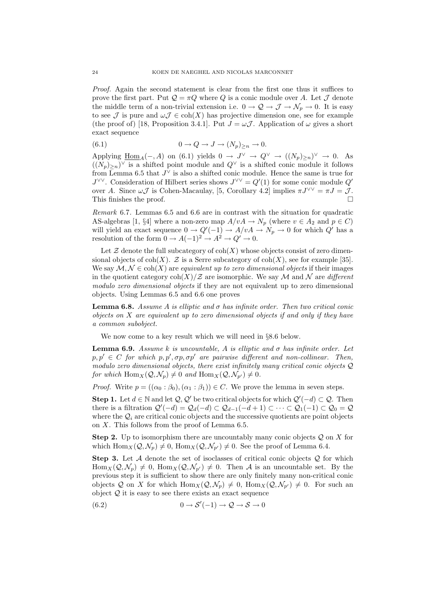Proof. Again the second statement is clear from the first one thus it suffices to prove the first part. Put  $\mathcal{Q} = \pi Q$  where Q is a conic module over A. Let  $\mathcal J$  denote the middle term of a non-trivial extension i.e.  $0 \to \mathcal{Q} \to \mathcal{J} \to \mathcal{N}_p \to 0$ . It is easy to see J is pure and  $\omega J \in \text{coh}(X)$  has projective dimension one, see for example (the proof of) [18, Proposition 3.4.1]. Put  $J = \omega \mathcal{J}$ . Application of  $\omega$  gives a short exact sequence

(6.1) 
$$
0 \to Q \to J \to (N_p)_{\geq n} \to 0.
$$

Applying  $\underline{\text{Hom}}_A(-,A)$  on (6.1) yields  $0 \to J^{\vee} \to Q^{\vee} \to ((N_p)_{\geq n})^{\vee} \to 0$ . As  $((N_p)_{\geq n})^{\vee}$  is a shifted point module and  $Q^{\vee}$  is a shifted conic module it follows from Lemma 6.5 that  $J^{\vee}$  is also a shifted conic module. Hence the same is true for  $J^{\vee\vee}$ . Consideration of Hilbert series shows  $J^{\vee\vee} = Q'(1)$  for some conic module  $Q'$ over A. Since  $\omega \mathcal{J}$  is Cohen-Macaulay, [5, Corollary 4.2] implies  $\pi J^{\vee \vee} = \pi J = \mathcal{J}$ . This finishes the proof.  $\Box$ 

Remark 6.7. Lemmas 6.5 and 6.6 are in contrast with the situation for quadratic AS-algebras [1, §4] where a non-zero map  $A/vA \to N_p$  (where  $v \in A_2$  and  $p \in C$ ) will yield an exact sequence  $0 \to Q'(-1) \to A/vA \to N_p \to 0$  for which  $Q'$  has a resolution of the form  $0 \to A(-1)^2 \to A^2 \to Q' \to 0$ .

Let  $\mathcal Z$  denote the full subcategory of  $\text{coh}(X)$  whose objects consist of zero dimensional objects of coh(X).  $\mathcal Z$  is a Serre subcategory of coh(X), see for example [35]. We say  $\mathcal{M}, \mathcal{N} \in \text{coh}(X)$  are equivalent up to zero dimensional objects if their images in the quotient category  $\text{coh}(X)/\mathcal{Z}$  are isomorphic. We say M and N are different modulo zero dimensional objects if they are not equivalent up to zero dimensional objects. Using Lemmas 6.5 and 6.6 one proves

**Lemma 6.8.** Assume A is elliptic and  $\sigma$  has infinite order. Then two critical conic objects on X are equivalent up to zero dimensional objects if and only if they have a common subobject.

We now come to a key result which we will need in §8.6 below.

**Lemma 6.9.** Assume k is uncountable, A is elliptic and  $\sigma$  has infinite order. Let  $p, p' \in C$  for which  $p, p', \sigma p, \sigma p'$  are pairwise different and non-collinear. Then, modulo zero dimensional objects, there exist infinitely many critical conic objects Q for which  $\text{Hom}_X(\mathcal{Q}, \mathcal{N}_p) \neq 0$  and  $\text{Hom}_X(\mathcal{Q}, \mathcal{N}_{p'}) \neq 0$ .

*Proof.* Write  $p = ((\alpha_0 : \beta_0), (\alpha_1 : \beta_1)) \in C$ . We prove the lemma in seven steps.

**Step 1.** Let  $d \in \mathbb{N}$  and let  $\mathcal{Q}, \mathcal{Q}'$  be two critical objects for which  $\mathcal{Q}'(-d) \subset \mathcal{Q}$ . Then there is a filtration  $\mathcal{Q}'(-d) = \mathcal{Q}_d(-d) \subset \mathcal{Q}_{d-1}(-d+1) \subset \cdots \subset \mathcal{Q}_1(-1) \subset \mathcal{Q}_0 = \mathcal{Q}$ where the  $\mathcal{Q}_i$  are critical conic objects and the successive quotients are point objects on X. This follows from the proof of Lemma 6.5.

**Step 2.** Up to isomorphism there are uncountably many conic objects  $Q$  on X for which  $\text{Hom}_X(\mathcal{Q}, \mathcal{N}_p) \neq 0$ ,  $\text{Hom}_X(\mathcal{Q}, \mathcal{N}_{p'}) \neq 0$ . See the proof of Lemma 6.4.

**Step 3.** Let A denote the set of isoclasses of critical conic objects  $Q$  for which  $\text{Hom}_X(\mathcal{Q}, \mathcal{N}_p) \neq 0$ ,  $\text{Hom}_X(\mathcal{Q}, \mathcal{N}_{p'}) \neq 0$ . Then A is an uncountable set. By the previous step it is sufficient to show there are only finitely many non-critical conic objects Q on X for which  $\text{Hom}_X(\mathcal{Q}, \mathcal{N}_p) \neq 0$ ,  $\text{Hom}_X(\mathcal{Q}, \mathcal{N}_{p'}) \neq 0$ . For such an object  $Q$  it is easy to see there exists an exact sequence

(6.2) 
$$
0 \to \mathcal{S}'(-1) \to \mathcal{Q} \to \mathcal{S} \to 0
$$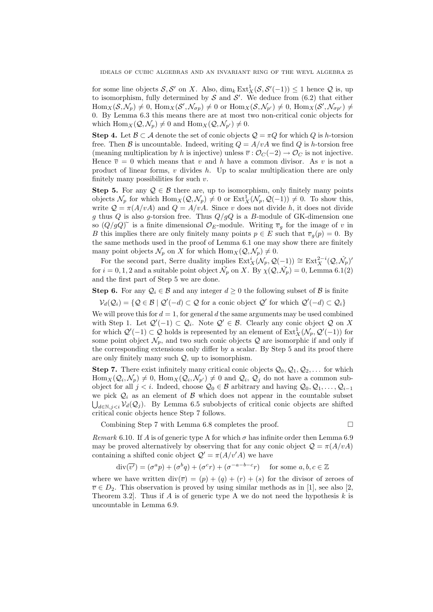for some line objects  $S, S'$  on X. Also,  $\dim_k \text{Ext}^1_X(S, S'(-1)) \leq 1$  hence  $\mathcal Q$  is, up to isomorphism, fully determined by  $S$  and  $S'$ . We deduce from  $(6.2)$  that either  $\text{Hom}_X(\mathcal{S}, \mathcal{N}_p) \neq 0$ ,  $\text{Hom}_X(\mathcal{S}', \mathcal{N}_{\sigma p}) \neq 0$  or  $\text{Hom}_X(\mathcal{S}, \mathcal{N}_{p'}) \neq 0$ ,  $\text{Hom}_X(\mathcal{S}', \mathcal{N}_{\sigma p'}) \neq 0$ 0. By Lemma 6.3 this means there are at most two non-critical conic objects for which  $\text{Hom}_X(\mathcal{Q}, \mathcal{N}_n) \neq 0$  and  $\text{Hom}_X(\mathcal{Q}, \mathcal{N}_{n'}) \neq 0$ .

**Step 4.** Let  $\mathcal{B} \subset \mathcal{A}$  denote the set of conic objects  $\mathcal{Q} = \pi Q$  for which Q is h-torsion free. Then B is uncountable. Indeed, writing  $Q = A/vA$  we find Q is h-torsion free (meaning multiplication by h is injective) unless  $\overline{v}$  :  $\mathcal{O}_C(-2) \to \mathcal{O}_C$  is not injective. Hence  $\overline{v} = 0$  which means that v and h have a common divisor. As v is not a product of linear forms,  $v$  divides  $h$ . Up to scalar multiplication there are only finitely many possibilities for such  $v$ .

**Step 5.** For any  $\mathcal{Q} \in \mathcal{B}$  there are, up to isomorphism, only finitely many points objects  $\mathcal{N}_p$  for which  $\text{Hom}_X(\mathcal{Q}, \mathcal{N}_p) \neq 0$  or  $\text{Ext}^1_X(\mathcal{N}_p, \mathcal{Q}(-1)) \neq 0$ . To show this, write  $\mathcal{Q} = \pi(A/vA)$  and  $Q = A/vA$ . Since v does not divide h, it does not divide g thus Q is also g-torsion free. Thus  $Q/gQ$  is a B-module of GK-dimension one so  $(Q/gQ)$ <sup> $\sim$ </sup> is a finite dimensional  $\mathcal{O}_E$ -module. Writing  $\overline{v}_g$  for the image of v in B this implies there are only finitely many points  $p \in E$  such that  $\overline{v}_q(p) = 0$ . By the same methods used in the proof of Lemma 6.1 one may show there are finitely many point objects  $\mathcal{N}_p$  on X for which  $\text{Hom}_X(\mathcal{Q}, \mathcal{N}_p) \neq 0$ .

For the second part, Serre duality implies  $\text{Ext}^i_X(\mathcal{N}_p, \mathcal{Q}(-1)) \cong \text{Ext}^{2-i}_X(\mathcal{Q}, \hat{\mathcal{N}}_p)$ ' for  $i = 0, 1, 2$  and a suitable point object  $\hat{\mathcal{N}}_p$  on X. By  $\chi(\mathcal{Q}, \hat{\mathcal{N}}_p) = 0$ , Lemma 6.1(2) and the first part of Step 5 we are done.

Step 6. For any  $\mathcal{Q}_i \in \mathcal{B}$  and any integer  $d \geq 0$  the following subset of  $\mathcal{B}$  is finite

 $V_d(\mathcal{Q}_i) = \{ \mathcal{Q} \in \mathcal{B} \mid \mathcal{Q}'(-d) \subset \mathcal{Q} \text{ for a conic object } \mathcal{Q}' \text{ for which } \mathcal{Q}'(-d) \subset \mathcal{Q}_i \}$ 

We will prove this for  $d = 1$ , for general d the same arguments may be used combined with Step 1. Let  $\mathcal{Q}'(-1) \subset \mathcal{Q}_i$ . Note  $\mathcal{Q}' \in \mathcal{B}$ . Clearly any conic object  $\mathcal Q$  on X for which  $\mathcal{Q}'(-1) \subset \mathcal{Q}$  holds is represented by an element of  $\text{Ext}^1_X(\mathcal{N}_p, \mathcal{Q}'(-1))$  for some point object  $\mathcal{N}_p$ , and two such conic objects Q are isomorphic if and only if the corresponding extensions only differ by a scalar. By Step 5 and its proof there are only finitely many such  $Q$ , up to isomorphism.

**Step 7.** There exist infinitely many critical conic objects  $Q_0, Q_1, Q_2, \ldots$  for which  $\text{Hom}_X(\mathcal{Q}_i, \mathcal{N}_p) \neq 0$ ,  $\text{Hom}_X(\mathcal{Q}_i, \mathcal{N}_{p'}) \neq 0$  and  $\mathcal{Q}_i$ ,  $\mathcal{Q}_j$  do not have a common subobject for all  $j < i$ . Indeed, choose  $\mathcal{Q}_0 \in \mathcal{B}$  arbitrary and having  $\mathcal{Q}_0, \mathcal{Q}_1, \ldots, \mathcal{Q}_{i-1}$ we pick  $\mathcal{Q}_i$  as an element of B which does not appear in the countable subset  $\bigcup_{d \in \mathbb{N}, j < i} \mathcal{V}_d(\mathcal{Q}_j)$ . By Lemma 6.5 subobjects of critical conic objects are shifted critical conic objects hence Step 7 follows.

Combining Step 7 with Lemma 6.8 completes the proof.

$$
\Box
$$

Remark 6.10. If A is of generic type A for which  $\sigma$  has infinite order then Lemma 6.9 may be proved alternatively by observing that for any conic object  $\mathcal{Q} = \pi(A/vA)$ containing a shifted conic object  $\mathcal{Q}' = \pi(A/v'A)$  we have

$$
\operatorname{div}(\overline{v'}) = (\sigma^a p) + (\sigma^b q) + (\sigma^c r) + (\sigma^{-a-b-c} r) \quad \text{for some } a, b, c \in \mathbb{Z}
$$

where we have written  $\text{div}(\overline{v}) = (p) + (q) + (r) + (s)$  for the divisor of zeroes of  $\overline{v} \in D_2$ . This observation is proved by using similar methods as in [1], see also [2, Theorem 3.2. Thus if A is of generic type A we do not need the hypothesis  $k$  is uncountable in Lemma 6.9.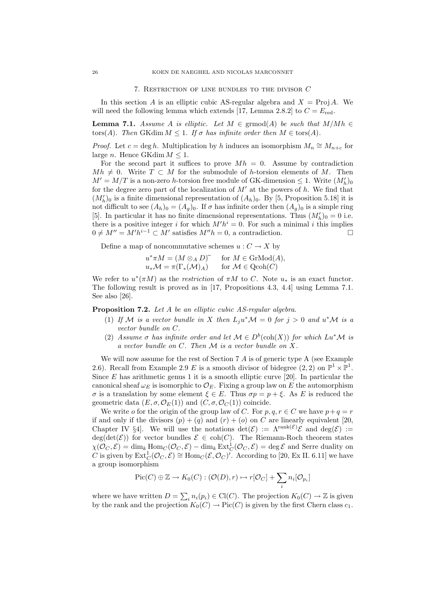#### 7. Restriction of line bundles to the divisor C

In this section A is an elliptic cubic AS-regular algebra and  $X = \text{Proj } A$ . We will need the following lemma which extends [17, Lemma 2.8.2] to  $C = E_{\text{red}}$ .

**Lemma 7.1.** Assume A is elliptic. Let  $M \in \text{grmod}(A)$  be such that  $M/Mh \in$ tors(A). Then GKdim  $M \leq 1$ . If  $\sigma$  has infinite order then  $M \in \text{tors}(A)$ .

*Proof.* Let  $c = \deg h$ . Multiplication by h induces an isomorphism  $M_n \cong M_{n+c}$  for large *n*. Hence GKdim  $M \leq 1$ .

For the second part it suffices to prove  $Mh = 0$ . Assume by contradiction  $Mh \neq 0$ . Write  $T \subset M$  for the submodule of h-torsion elements of M. Then  $M' = M/T$  is a non-zero h-torsion free module of GK-dimension  $\leq 1$ . Write  $(M'_h)_0$ for the degree zero part of the localization of  $M'$  at the powers of h. We find that  $(M'_h)_0$  is a finite dimensional representation of  $(A_h)_0$ . By [5, Proposition 5.18] it is not difficult to see  $(A_h)_0 = (A_q)_0$ . If  $\sigma$  has infinite order then  $(A_q)_0$  is a simple ring [5]. In particular it has no finite dimensional representations. Thus  $(M'_h)_0 = 0$  i.e. there is a positive integer i for which  $M'h^i = 0$ . For such a minimal i this implies  $0 \neq M'' = M'h^{i-1} \subset M'$  satisfies  $M''h = 0$ , a contradiction.

Define a map of noncommutative schemes  $u: C \to X$  by

$$
u^*\pi M = (M \otimes_A D)^{\sim} \quad \text{for } M \in \text{GrMod}(A),
$$
  

$$
u_*\mathcal{M} = \pi(\Gamma_*(\mathcal{M})_A) \quad \text{for } \mathcal{M} \in \text{Qcoh}(C)
$$

We refer to  $u^*(\pi M)$  as the restriction of  $\pi M$  to C. Note  $u_*$  is an exact functor. The following result is proved as in [17, Propositions 4.3, 4.4] using Lemma 7.1. See also [26].

Proposition 7.2. Let A be an elliptic cubic AS-regular algebra.

- (1) If M is a vector bundle in X then  $L_j u^* \mathcal{M} = 0$  for  $j > 0$  and  $u^* \mathcal{M}$  is a vector bundle on C.
- (2) Assume  $\sigma$  has infinite order and let  $\mathcal{M} \in D^b(\text{coh}(X))$  for which  $Lu^*\mathcal{M}$  is a vector bundle on C. Then M is a vector bundle on X.

We will now assume for the rest of Section 7 A is of generic type A (see Example 2.6). Recall from Example 2.9 E is a smooth divisor of bidegree  $(2, 2)$  on  $\mathbb{P}^1 \times \mathbb{P}^1$ . Since  $E$  has arithmetic genus 1 it is a smooth elliptic curve [20]. In particular the canonical sheaf  $\omega_E$  is isomorphic to  $\mathcal{O}_E$ . Fixing a group law on E the automorphism σ is a translation by some element  $\xi \in E$ . Thus  $\sigma p = p + \xi$ . As E is reduced the geometric data  $(E, \sigma, \mathcal{O}_E(1))$  and  $(C, \sigma, \mathcal{O}_C(1))$  coincide.

We write o for the origin of the group law of C. For p, q,  $r \in C$  we have  $p+q = r$ if and only if the divisors  $(p) + (q)$  and  $(r) + (o)$  on C are linearly equivalent [20, Chapter IV §4. We will use the notations  $\det(\mathcal{E}) := \Lambda^{\text{rank}(\mathcal{E})} \mathcal{E}$  and  $\deg(\mathcal{E}) :=$  $deg(det(\mathcal{E}))$  for vector bundles  $\mathcal{E} \in coh(C)$ . The Riemann-Roch theorem states  $\chi(\mathcal{O}_C, \mathcal{E}) = \dim_k \text{Hom}_C(\mathcal{O}_C, \mathcal{E}) - \dim_k \text{Ext}^1_C(\mathcal{O}_C, \mathcal{E}) = \text{deg }\mathcal{E}$  and Serre duality on C is given by  $\text{Ext}^1_C(\mathcal{O}_C, \mathcal{E}) \cong \text{Hom}_C(\mathcal{E}, \mathcal{O}_C)^{\gamma}$ . According to [20, Ex II. 6.11] we have a group isomorphism

$$
\mathrm{Pic}(C) \oplus \mathbb{Z} \to K_0(C) : (\mathcal{O}(D), r) \mapsto r[\mathcal{O}_C] + \sum_i n_i[\mathcal{O}_{p_i}]
$$

where we have written  $D = \sum_i n_i(p_i) \in \mathrm{Cl}(C)$ . The projection  $K_0(C) \to \mathbb{Z}$  is given by the rank and the projection  $K_0(C) \to Pic(C)$  is given by the first Chern class  $c_1$ .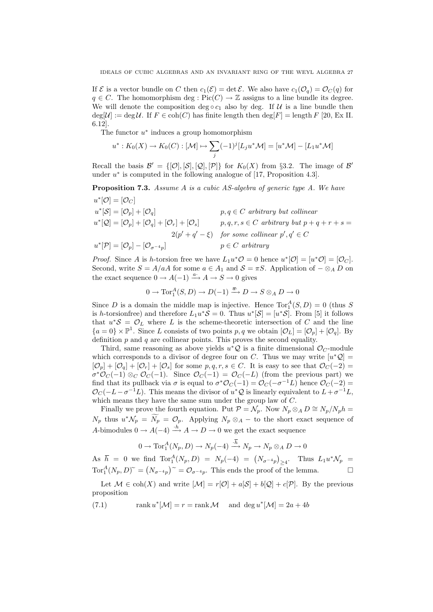If  $\mathcal E$  is a vector bundle on C then  $c_1(\mathcal E) = \det \mathcal E$ . We also have  $c_1(\mathcal O_q) = \mathcal O_C(q)$  for  $q \in C$ . The homomorphism deg : Pic $(C) \to \mathbb{Z}$  assigns to a line bundle its degree. We will denote the composition deg  $\circ c_1$  also by deg. If U is a line bundle then  $deg[\mathcal{U}] := deg \mathcal{U}$ . If  $F \in coh(C)$  has finite length then  $deg[F] = length F [20, Ex II$ . 6.12].

The functor  $u^*$  induces a group homomorphism

$$
u^*: K_0(X) \to K_0(C): [\mathcal{M}] \mapsto \sum_j (-1)^j [L_j u^* \mathcal{M}] = [u^* \mathcal{M}] - [L_1 u^* \mathcal{M}]
$$

Recall the basis  $\mathcal{B}' = \{[\mathcal{O}], [\mathcal{S}], [\mathcal{Q}], [\mathcal{P}]\}\$ for  $K_0(X)$  from §3.2. The image of  $\mathcal{B}'$ under  $u^*$  is computed in the following analogue of [17, Proposition 4.3].

**Proposition 7.3.** Assume A is a cubic AS-algebra of generic type A. We have

$$
u^*[\mathcal{O}] = [\mathcal{O}_C]
$$
  
\n
$$
u^*[\mathcal{S}] = [\mathcal{O}_p] + [\mathcal{O}_q]
$$
  
\n
$$
u^*[\mathcal{S}] = [\mathcal{O}_p] + [\mathcal{O}_q] + [\mathcal{O}_r] + [\mathcal{O}_s]
$$
  
\n
$$
p, q \in C \text{ arbitrary but collinear}
$$
  
\n
$$
p, q, r, s \in C \text{ arbitrary but } p + q + r + s = 2(p' + q' - \xi)
$$
  
\n
$$
v^*[\mathcal{P}] = [\mathcal{O}_p] - [\mathcal{O}_{\sigma^{-4}p}]
$$
  
\n
$$
p \in C \text{ arbitrary}
$$
  
\n
$$
p \in C \text{ arbitrary}
$$

*Proof.* Since A is h-torsion free we have  $L_1 u^* \mathcal{O} = 0$  hence  $u^* [\mathcal{O}] = [u^* \mathcal{O}] = [\mathcal{O}_C]$ . Second, write  $S = A/aA$  for some  $a \in A_1$  and  $S = \pi S$ . Application of  $-\otimes_A D$  on the exact sequence  $0 \to A(-1) \xrightarrow{a^*} A \to S \to 0$  gives

$$
0 \to \operatorname{Tor}^A_1(S, D) \to D(-1) \xrightarrow{\overline{a}} D \to S \otimes_A D \to 0
$$

Since D is a domain the middle map is injective. Hence  $\text{Tor}_{1}^{A}(S, D) = 0$  (thus S is h-torsionfree) and therefore  $L_1 u^* S = 0$ . Thus  $u^* [S] = [u^* S]$ . From [5] it follows that  $u^*S = \mathcal{O}_L$  where L is the scheme-theoretic intersection of C and the line  ${a=0} \times \mathbb{P}^1$ . Since L consists of two points p, q we obtain  $[\mathcal{O}_L] = [\mathcal{O}_p] + [\mathcal{O}_q]$ . By definition  $p$  and  $q$  are collinear points. This proves the second equality.

Third, same reasoning as above yields  $u^*\mathcal{Q}$  is a finite dimensional  $\mathcal{O}_C$ -module which corresponds to a divisor of degree four on C. Thus we may write  $[u^*\mathcal{Q}] =$  $[\mathcal{O}_p] + [\mathcal{O}_q] + [\mathcal{O}_r] + [\mathcal{O}_s]$  for some  $p, q, r, s \in C$ . It is easy to see that  $\mathcal{O}_C(-2)$  $\sigma^* \mathcal{O}_C(-1) \otimes_C \mathcal{O}_C(-1)$ . Since  $\mathcal{O}_C(-1) = \mathcal{O}_C(-1)$  (from the previous part) we find that its pullback via  $\sigma$  is equal to  $\sigma^* \mathcal{O}_C(-1) = \mathcal{O}_C(-\sigma^{-1}L)$  hence  $\mathcal{O}_C(-2) =$  $\mathcal{O}_C(-L-\sigma^{-1}L)$ . This means the divisor of  $u^*\mathcal{Q}$  is linearly equivalent to  $L+\sigma^{-1}L$ , which means they have the same sum under the group law of C.

Finally we prove the fourth equation. Put  $\mathcal{P} = \mathcal{N}_p$ . Now  $N_p \otimes_A D \cong N_p/N_p h =$  $N_p$  thus  $u^*\mathcal{N}_p = \tilde{N}_p = \mathcal{O}_p$ . Applying  $N_p \otimes_A -$  to the short exact sequence of A-bimodules  $0 \to A(-4) \stackrel{\cdot h}{\longrightarrow} A \to D \to 0$  we get the exact sequence

$$
0 \to \operatorname{Tor}\nolimits_1^A(N_p, D) \to N_p(-4) \xrightarrow{\cdot \overline{h}} N_p \to N_p \otimes_A D \to 0
$$

As  $\bar{h} = 0$  we find  $\text{Tor}_{1}^{A}(N_{p}, D) = N_{p}(-4) = (N_{\sigma^{-4}p})_{\geq 4}$ . Thus  $L_{1}u^{*}\mathcal{N}_{p} =$  $Tor_1^A(N_p, D)^\sim = (N_{\sigma^{-4}p})^\sim = \mathcal{O}_{\sigma^{-4}p}$ . This ends the proof of the lemma.

Let  $\mathcal{M} \in \text{coh}(X)$  and write  $|\mathcal{M}| = r[\mathcal{O}] + a[\mathcal{S}] + b[\mathcal{Q}] + c[\mathcal{P}]$ . By the previous proposition

(7.1) rank  $u^*[\mathcal{M}] = r = \text{rank }\mathcal{M}$  and  $\deg u^*[\mathcal{M}] = 2a + 4b$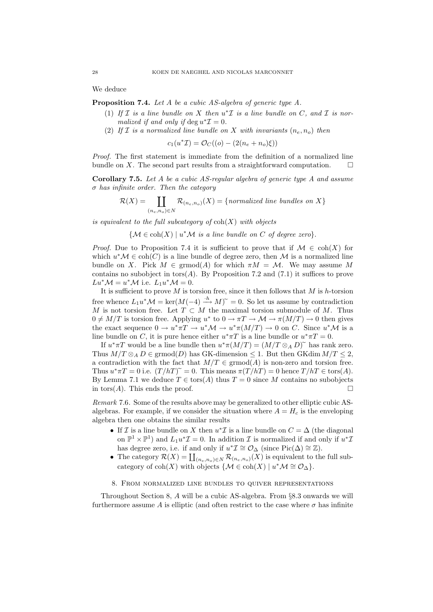We deduce

Proposition 7.4. Let A be a cubic AS-algebra of generic type A.

- (1) If  $\mathcal I$  is a line bundle on  $X$  then  $u^*\mathcal I$  is a line bundle on  $C$ , and  $\mathcal I$  is normalized if and only if  $\deg u^* \mathcal{I} = 0$ .
- (2) If I is a normalized line bundle on X with invariants  $(n_e, n_o)$  then

$$
c_1(u^*\mathcal{I}) = \mathcal{O}_C((o) - (2(n_e + n_o)\xi))
$$

Proof. The first statement is immediate from the definition of a normalized line bundle on X. The second part results from a straightforward computation.  $\square$ 

Corollary 7.5. Let A be a cubic AS-regular algebra of generic type A and assume  $\sigma$  has infinite order. Then the category

$$
\mathcal{R}(X) = \coprod_{(n_e, n_o) \in N} \mathcal{R}_{(n_e, n_o)}(X) = \{normalized\ line\ bundles\ on\ X\}
$$

is equivalent to the full subcategory of  $\text{coh}(X)$  with objects

 ${M \in \text{coh}(X) \mid u^*M$  is a line bundle on C of degree zero}.

*Proof.* Due to Proposition 7.4 it is sufficient to prove that if  $M \in \text{coh}(X)$  for which  $u^*\mathcal{M} \in \text{coh}(C)$  is a line bundle of degree zero, then M is a normalized line bundle on X. Pick  $M \in \mathrm{grmod}(A)$  for which  $\pi M = \mathcal{M}$ . We may assume M contains no subobject in  $tors(A)$ . By Proposition 7.2 and (7.1) it suffices to prove  $Lu^*\mathcal{M} = u^*\mathcal{M}$  i.e.  $L_1u^*\mathcal{M} = 0$ .

It is sufficient to prove  $M$  is torsion free, since it then follows that  $M$  is h-torsion free whence  $L_1 u^* \mathcal{M} = \ker(M(-4) \stackrel{h}{\longrightarrow} M)^* = 0$ . So let us assume by contradiction M is not torsion free. Let  $T \subset M$  the maximal torsion submodule of M. Thus  $0 \neq M/T$  is torsion free. Applying  $u^*$  to  $0 \to \pi T \to M \to \pi (M/T) \to 0$  then gives the exact sequence  $0 \to u^* \pi T \to u^* \mathcal{M} \to u^* \pi (M/T) \to 0$  on C. Since  $u^* \mathcal{M}$  is a line bundle on C, it is pure hence either  $u^* \pi T$  is a line bundle or  $u^* \pi T = 0$ .

If  $u^* \pi T$  would be a line bundle then  $u^* \pi (M/T) = (M/T \otimes_A D)^{\sim}$  has rank zero. Thus  $M/T \otimes_A D \in \mathrm{grmod}(D)$  has GK-dimension  $\leq 1$ . But then GKdim  $M/T \leq 2$ , a contradiction with the fact that  $M/T \in \mathrm{grmod}(A)$  is non-zero and torsion free. Thus  $u^* \pi T = 0$  i.e.  $(T/hT)^{\sim} = 0$ . This means  $\pi (T/hT) = 0$  hence  $T/hT \in \text{tors}(A)$ . By Lemma 7.1 we deduce  $T \in \text{tors}(A)$  thus  $T = 0$  since M contains no subobjects in tors(A). This ends the proof.  $\square$ 

Remark 7.6. Some of the results above may be generalized to other elliptic cubic ASalgebras. For example, if we consider the situation where  $A = H_c$  is the enveloping algebra then one obtains the similar results

- If *I* is a line bundle on *X* then  $u^*$ *I* is a line bundle on  $C = \Delta$  (the diagonal on  $\mathbb{P}^1 \times \mathbb{P}^1$  and  $L_1 u^* \mathcal{I} = 0$ . In addition  $\mathcal I$  is normalized if and only if  $u^* \mathcal{I}$ has degree zero, i.e. if and only if  $u^*\mathcal{I} \cong \mathcal{O}_{\Delta}$  (since Pic( $\Delta$ ) ≃ Z).
- The category  $\mathcal{R}(X) = \coprod_{(n_e,n_o)\in N} \mathcal{R}_{(n_e,n_o)}(X)$  is equivalent to the full subcategory of  $\text{coh}(X)$  with objects  $\{M \in \text{coh}(X) \mid u^*\mathcal{M} \cong \mathcal{O}_\Delta\}.$

# 8. From normalized line bundles to quiver representations

Throughout Section 8, A will be a cubic AS-algebra. From §8.3 onwards we will furthermore assume A is elliptic (and often restrict to the case where  $\sigma$  has infinite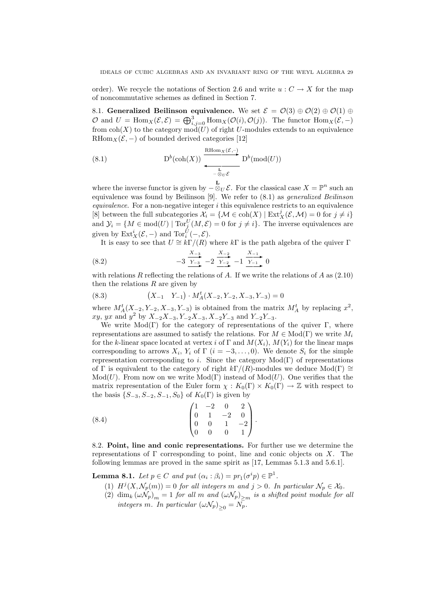order). We recycle the notations of Section 2.6 and write  $u: C \to X$  for the map of noncommutative schemes as defined in Section 7.

8.1. Generalized Beilinson equivalence. We set  $\mathcal{E} = \mathcal{O}(3) \oplus \mathcal{O}(2) \oplus \mathcal{O}(1) \oplus \mathcal{O}(2)$  $\mathcal O$  and  $U = \text{Hom}_X(\mathcal E, \mathcal E) = \bigoplus_{i,j=0}^3 \text{Hom}_X(\mathcal O(i), \mathcal O(j)).$  The functor  $\text{Hom}_X(\mathcal E, -)$ from  $\text{coh}(X)$  to the category  $\text{mod}(U)$  of right U-modules extends to an equivalence RHom $_X(\mathcal{E},-)$  of bounded derived categories [12]

(8.1) 
$$
D^{b}(\text{coh}(X)) \xrightarrow{\text{RHom}_X(\mathcal{E},-)} D^{b}(\text{mod}(U))
$$

where the inverse functor is given by  $-\otimes_U \mathcal{E}$ . For the classical case  $X = \mathbb{P}^n$  such an equivalence was found by Beilinson [9]. We refer to (8.1) as generalized Beilinson *equivalence*. For a non-negative integer  $i$  this equivalence restricts to an equivalence [8] between the full subcategories  $\mathcal{X}_i = \{ \mathcal{M} \in \text{coh}(X) \mid \text{Ext}^j_X(\mathcal{E}, \mathcal{M}) = 0 \text{ for } j \neq i \}$ and  $\mathcal{Y}_i = \{ M \in \text{mod}(U) \mid \text{Tor}_j^U(M, \mathcal{E}) = 0 \text{ for } j \neq i \}.$  The inverse equivalences are given by  $\mathrm{Ext}^i_X(\mathcal{E},-)$  and  $\mathrm{Tor}_i^U(-,\mathcal{E})$ .

It is easy to see that  $U \cong k\Gamma/(R)$  where  $k\Gamma$  is the path algebra of the quiver  $\Gamma$ 

(8.2) 
$$
-3 \frac{X_{-3}}{Y_{-3}} - 2 \frac{X_{-2}}{Y_{-2}} - 1 \frac{X_{-1}}{Y_{-1}} 0
$$

with relations R reflecting the relations of A. If we write the relations of A as  $(2.10)$ then the relations  $R$  are given by

(8.3) 
$$
(X_{-1} Y_{-1}) \cdot M_A^t(X_{-2}, Y_{-2}, X_{-3}, Y_{-3}) = 0
$$

where  $M_A^t(X_{-2}, Y_{-2}, X_{-3}, Y_{-3})$  is obtained from the matrix  $M_A^t$  by replacing  $x^2$ ,  $xy, yx$  and  $y^2$  by  $X_{-2}X_{-3}$ ,  $Y_{-2}X_{-3}$ ,  $X_{-2}Y_{-3}$  and  $Y_{-2}Y_{-3}$ .

We write  $Mod(\Gamma)$  for the category of representations of the quiver  $\Gamma$ , where representations are assumed to satisfy the relations. For  $M \in Mod(\Gamma)$  we write  $M_i$ for the k-linear space located at vertex i of Γ and  $M(X_i)$ ,  $M(Y_i)$  for the linear maps corresponding to arrows  $X_i$ ,  $Y_i$  of  $\Gamma$   $(i = -3, \ldots, 0)$ . We denote  $S_i$  for the simple representation corresponding to i. Since the category  $Mod(\Gamma)$  of representations of Γ is equivalent to the category of right  $k\Gamma/(R)$ -modules we deduce Mod(Γ)  $\cong$  $Mod(U)$ . From now on we write  $Mod(\Gamma)$  instead of  $Mod(U)$ . One verifies that the matrix representation of the Euler form  $\chi: K_0(\Gamma) \times K_0(\Gamma) \to \mathbb{Z}$  with respect to the basis  $\{S_{-3}, S_{-2}, S_{-1}, S_0\}$  of  $K_0(\Gamma)$  is given by

(8.4) 
$$
\begin{pmatrix} 1 & -2 & 0 & 2 \ 0 & 1 & -2 & 0 \ 0 & 0 & 1 & -2 \ 0 & 0 & 0 & 1 \end{pmatrix}.
$$

8.2. Point, line and conic representations. For further use we determine the representations of  $\Gamma$  corresponding to point, line and conic objects on X. The following lemmas are proved in the same spirit as [17, Lemmas 5.1.3 and 5.6.1].

**Lemma 8.1.** Let  $p \in C$  and put  $(\alpha_i : \beta_i) = pr_1(\sigma^i p) \in \mathbb{P}^1$ .

- (1)  $H^{j}(X, \mathcal{N}_p(m)) = 0$  for all integers m and  $j > 0$ . In particular  $\mathcal{N}_p \in \mathcal{X}_0$ .
- (2)  $\dim_k (\omega \hat{N}_p)_m = 1$  for all m and  $(\omega \hat{N}_p)_{\geq m}$  is a shifted point module for all integers m. In particular  $(\omega \mathcal{N}_p)_{\geq 0} = N_p$ .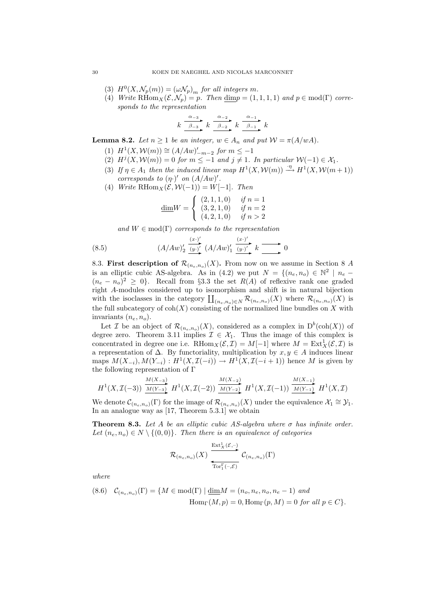- (3)  $H^0(X, \mathcal{N}_p(m)) = (\omega \mathcal{N}_p)_m$  for all integers m.
- (4) Write RHom $_X(\mathcal{E}, \mathcal{N}_p) = p$ . Then  $\underline{\dim} p = (1, 1, 1, 1)$  and  $p \in \text{mod}(\Gamma)$  corresponds to the representation

$$
k \xrightarrow{\alpha_{-3}} k \xrightarrow{\alpha_{-2}} k \xrightarrow{\alpha_{-1}} k
$$

**Lemma 8.2.** Let  $n \ge 1$  be an integer,  $w \in A_n$  and put  $\mathcal{W} = \pi(A/wA)$ .

- (1)  $H^1(X, \mathcal{W}(m)) \cong (A/Aw)'_{-m-2}$  for  $m \leq -1$
- (2)  $H^j(X, \mathcal{W}(m)) = 0$  for  $m \leq -1$  and  $j \neq 1$ . In particular  $\mathcal{W}(-1) \in \mathcal{X}_1$ .
- (3) If  $\eta \in A_1$  then the induced linear map  $H^1(X, \mathcal{W}(m)) \stackrel{\cdot \eta}{\longrightarrow} H^1(X, \mathcal{W}(m+1))$ corresponds to  $(\eta \cdot)'$  on  $(A/Aw)'$ .
- (4) Write RHom $_X(\mathcal{E}, \mathcal{W}(-1)) = W[-1]$ . Then

$$
\underline{\dim} W = \left\{ \begin{array}{ll} (2,1,1,0) & \textit{if } n=1 \\ (3,2,1,0) & \textit{if } n=2 \\ (4,2,1,0) & \textit{if } n>2 \end{array} \right.
$$

and  $W \in \text{mod}(\Gamma)$  corresponds to the representation

(8.5) 
$$
(A/Aw)'_2 \xrightarrow{(x \cdot)' } (A/Aw)'_1 \xrightarrow{(y \cdot)'} k \longrightarrow 0
$$

8.3. First description of  $\mathcal{R}_{(n_e,n_o)}(X)$ . From now on we assume in Section 8 A is an elliptic cubic AS-algebra. As in (4.2) we put  $N = \{(n_e, n_o) \in \mathbb{N}^2 \mid n_e (n_e - n_o)^2 \geq 0$ . Recall from §3.3 the set  $R(A)$  of reflexive rank one graded right A-modules considered up to isomorphism and shift is in natural bijection with the isoclasses in the category  $\prod_{(n_e,n_o)\in N} \mathcal{R}_{(n_e,n_o)}(X)$  where  $\mathcal{R}_{(n_e,n_o)}(X)$  is the full subcategory of  $\text{coh}(X)$  consisting of the normalized line bundles on X with invariants  $(n_e, n_o)$ .

Let *I* be an object of  $\mathcal{R}_{(n_e,n_o)}(X)$ , considered as a complex in  $D^b(\text{coh}(X))$  of degree zero. Theorem 3.11 implies  $\mathcal{I} \in \mathcal{X}_1$ . Thus the image of this complex is concentrated in degree one i.e.  $\mathrm{RHom}_X(\mathcal{E}, \mathcal{I}) = M[-1]$  where  $M = \mathrm{Ext}^1_X(\mathcal{E}, \mathcal{I})$  is a representation of  $\Delta$ . By functoriality, multiplication by  $x, y \in A$  induces linear maps  $M(X_{-i}), M(Y_{-i}) : H^1(X, \mathcal{I}(-i)) \to H^1(X, \mathcal{I}(-i+1))$  hence M is given by the following representation of  $\Gamma$ 

$$
H^{1}(X, \mathcal{I}(-3)) \xrightarrow{M(X_{-3})} H^{1}(X, \mathcal{I}(-2)) \xrightarrow{M(X_{-2})} H^{1}(X, \mathcal{I}(-1)) \xrightarrow{M(X_{-1})} H^{1}(X, \mathcal{I})
$$

We denote  $\mathcal{C}_{(n_e,n_o)}(\Gamma)$  for the image of  $\mathcal{R}_{(n_e,n_o)}(X)$  under the equivalence  $\mathcal{X}_1 \cong \mathcal{Y}_1$ . In an analogue way as [17, Theorem 5.3.1] we obtain

**Theorem 8.3.** Let A be an elliptic cubic AS-algebra where  $\sigma$  has infinite order. Let  $(n_e, n_o) \in N \setminus \{(0, 0)\}\)$ . Then there is an equivalence of categories

$$
\mathcal{R}_{(n_e,n_o)}(X) \xrightarrow[\text{Tor}_1^{\Gamma}(-,\mathcal{E})]{\text{Ext}^1_{X}(\mathcal{E},-)} \mathcal{C}_{(n_e,n_o)}(\Gamma)
$$

where

(8.6) 
$$
\mathcal{C}_{(n_e,n_o)}(\Gamma) = \{M \in \text{mod}(\Gamma) \mid \underline{\dim} M = (n_o, n_e, n_o, n_e - 1) \text{ and}
$$

$$
\text{Hom}_{\Gamma}(M, p) = 0, \text{Hom}_{\Gamma}(p, M) = 0 \text{ for all } p \in C\}.
$$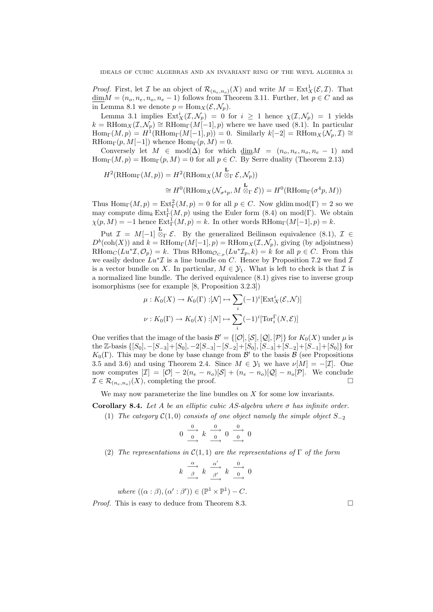*Proof.* First, let  $\mathcal I$  be an object of  $\mathcal R_{(n_e,n_o)}(X)$  and write  $M = \text{Ext}^1_X(\mathcal E,\mathcal I)$ . That  $\underline{\dim}M = (n_o, n_e, n_o, n_e - 1)$  follows from Theorem 3.11. Further, let  $p \in C$  and as in Lemma 8.1 we denote  $p = \text{Hom}_X(\mathcal{E}, \mathcal{N}_p)$ .

Lemma 3.1 implies  $\text{Ext}^i_X(\mathcal{I}, \mathcal{N}_p) = 0$  for  $i \geq 1$  hence  $\chi(\mathcal{I}, \mathcal{N}_p) = 1$  yields  $k = \text{RHom}_X(\mathcal{I}, \mathcal{N}_p) \cong \text{RHom}_{\Gamma}(M[-1], p)$  where we have used (8.1). In particular  $\text{Hom}_{\Gamma}(M,p) = H^1(\text{RHom}_{\Gamma}(M[-1], p)) = 0.$  Similarly  $k[-2] = \text{RHom}_X(\mathcal{N}_p, \mathcal{I}) \cong$ RHom<sub>Γ</sub> $(p, M[-1])$  whence Hom<sub>Γ</sub> $(p, M) = 0$ .

Conversely let  $M \in \text{mod}(\Delta)$  for which  $\dim M = (n_o, n_e, n_o, n_e - 1)$  and  $\text{Hom}_{\Gamma}(M, p) = \text{Hom}_{\Gamma}(p, M) = 0$  for all  $p \in C$ . By Serre duality (Theorem 2.13)

$$
H^2(\mathrm{RHom}_{\Gamma}(M, p)) = H^2(\mathrm{RHom}_X(M \overset{\mathbf{L}}{\otimes}_{\Gamma} \mathcal{E}, \mathcal{N}_p))
$$
  
\n
$$
\cong H^0(\mathrm{RHom}_X(\mathcal{N}_{\sigma^4 p}, M \overset{\mathbf{L}}{\otimes}_{\Gamma} \mathcal{E})) = H^0(\mathrm{RHom}_{\Gamma}(\sigma^4 p, M))
$$

Thus  $\text{Hom}_{\Gamma}(M, p) = \text{Ext}^2_{\Gamma}(M, p) = 0$  for all  $p \in C$ . Now gldim  $\text{mod}(\Gamma) = 2$  so we may compute  $\dim_k \text{Ext}^1_{\Gamma}(M,p)$  using the Euler form  $(8.4)$  on mod(Γ). We obtain  $\chi(p, M) = -1$  hence  $\text{Ext}^1_{\Gamma}(M, p) = k$ . In other words  $\text{RHom}_{\Gamma}(M[-1], p) = k$ .

Put  $\mathcal{I} = M[-1] \overset{\mathbf{L}}{\otimes}_{\Gamma} \mathcal{E}$ . By the generalized Beilinson equivalence (8.1),  $\mathcal{I} \in$  $D^b(\text{coh}(X))$  and  $k = \text{RHom}_{\Gamma}(M[-1], p) = \text{RHom}_X(\mathcal{I}, \mathcal{N}_p)$ , giving (by adjointness)  $RHom_C(Lu^* \mathcal{I}, \mathcal{O}_p) = k$ . Thus  $RHom_{\mathcal{O}_{C,p}}(Lu^* \mathcal{I}_p, k) = k$  for all  $p \in C$ . From this we easily deduce  $Lu^*\mathcal{I}$  is a line bundle on C. Hence by Proposition 7.2 we find  $\mathcal{I}$ is a vector bundle on X. In particular,  $M \in \mathcal{Y}_1$ . What is left to check is that  $\mathcal I$  is a normalized line bundle. The derived equivalence (8.1) gives rise to inverse group isomorphisms (see for example [8, Proposition 3.2.3])

$$
\mu: K_0(X) \to K_0(\Gamma): [\mathcal{N}] \mapsto \sum_i (-1)^i [\text{Ext}^i_X(\mathcal{E}, \mathcal{N})]
$$

$$
\nu: K_0(\Gamma) \to K_0(X): [N] \mapsto \sum_i (-1)^i [\text{Tor}_i^{\Gamma}(N, \mathcal{E})]
$$

One verifies that the image of the basis  $\mathcal{B}' = \{[\mathcal{O}], [\mathcal{S}], [\mathcal{Q}], [\mathcal{P}]\}$  for  $K_0(X)$  under  $\mu$  is the Z-basis  $\{[S_0], -[S_{-3}]+[S_0], -2[S_{-3}]-[S_{-2}]+[S_0], [S_{-3}]+[S_{-2}]+[S_{-1}]+[S_0]\}$  for  $K_0(\Gamma)$ . This may be done by base change from  $\mathcal{B}'$  to the basis  $\mathcal{B}$  (see Propositions 3.5 and 3.6) and using Theorem 2.4. Since  $M \in \mathcal{Y}_1$  we have  $\nu[M] = -[\mathcal{I}]$ . One now computes  $[\mathcal{I}] = [\mathcal{O}] - 2(n_e - n_o)[\mathcal{S}] + (n_e - n_o)[\mathcal{Q}] - n_o[\mathcal{P}]$ . We conclude  $\mathcal{I} \in \mathcal{R}_{(n_e, n_o)}(X)$ , completing the proof.

We may now parameterize the line bundles on  $X$  for some low invariants.

Corollary 8.4. Let A be an elliptic cubic AS-algebra where  $\sigma$  has infinite order.

(1) The category  $\mathcal{C}(1,0)$  consists of one object namely the simple object  $S_{-2}$ 

$$
0 \xrightarrow{\begin{array}{c}\n0 \\
\hline\n0 \\
\end{array}} k \xrightarrow{\begin{array}{c}\n0 \\
\hline\n0 \\
\end{array}} 0 \xrightarrow{\begin{array}{c}\n0 \\
\hline\n0 \\
\end{array}} 0
$$

(2) The representations in  $\mathcal{C}(1,1)$  are the representations of  $\Gamma$  of the form

$$
k \xrightarrow{\alpha} k \xrightarrow{\alpha'} k \xrightarrow{\alpha'} k \xrightarrow{0} 0
$$

where  $((\alpha : \beta), (\alpha' : \beta')) \in (\mathbb{P}^1 \times \mathbb{P}^1) - C$ .

*Proof.* This is easy to deduce from Theorem 8.3.  $\Box$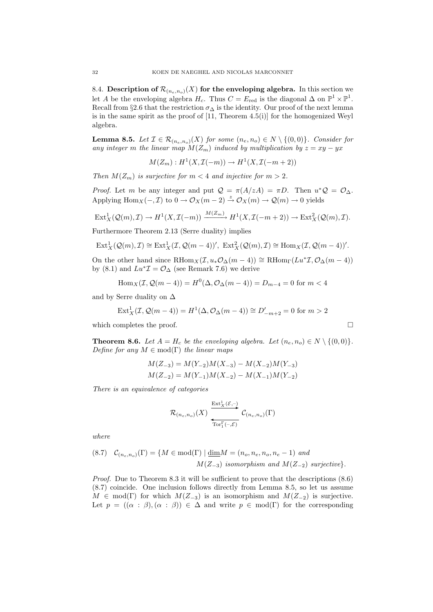8.4. Description of  $\mathcal{R}_{(n_e,n_o)}(X)$  for the enveloping algebra. In this section we let A be the enveloping algebra  $H_c$ . Thus  $C = E_{\text{red}}$  is the diagonal  $\Delta$  on  $\mathbb{P}^1 \times \mathbb{P}^1$ . Recall from §2.6 that the restriction  $\sigma_{\Delta}$  is the identity. Our proof of the next lemma is in the same spirit as the proof of  $[11,$  Theorem 4.5(i)] for the homogenized Weyl algebra.

**Lemma 8.5.** Let  $\mathcal{I} \in \mathcal{R}_{(n_e,n_o)}(X)$  for some  $(n_e,n_o) \in N \setminus \{(0,0)\}$ . Consider for any integer m the linear map  $M(Z_m)$  induced by multiplication by  $z = xy - yx$ 

$$
M(Z_m): H^1(X, \mathcal{I}(-m)) \to H^1(X, \mathcal{I}(-m+2))
$$

Then  $M(Z_m)$  is surjective for  $m < 4$  and injective for  $m > 2$ .

*Proof.* Let m be any integer and put  $Q = \pi(A/zA) = \pi D$ . Then  $u^*Q = \mathcal{O}_{\Delta}$ . Applying Hom<sub>X</sub>(-,*T*) to  $0 \to \mathcal{O}_X(m-2) \stackrel{z}{\to} \mathcal{O}_X(m) \to \mathcal{Q}(m) \to 0$  yields

$$
\operatorname{Ext}^1_X(\mathcal{Q}(m),\mathcal{I}) \to H^1(X,\mathcal{I}(-m)) \xrightarrow{M(Z_m)} H^1(X,\mathcal{I}(-m+2)) \to \operatorname{Ext}^2_X(\mathcal{Q}(m),\mathcal{I}).
$$

Furthermore Theorem 2.13 (Serre duality) implies

$$
\mathrm{Ext}^1_X(\mathcal{Q}(m),\mathcal{I})\cong \mathrm{Ext}^1_X(\mathcal{I},\mathcal{Q}(m-4))',\ \mathrm{Ext}^2_X(\mathcal{Q}(m),\mathcal{I})\cong \mathrm{Hom}_X(\mathcal{I},\mathcal{Q}(m-4))'.
$$

On the other hand since  $\text{RHom}_X(\mathcal{I}, u_*\mathcal{O}_{\Delta}(m-4)) \cong \text{RHom}_{\Gamma}(Lu^*\mathcal{I}, \mathcal{O}_{\Delta}(m-4))$ by (8.1) and  $Lu^*\mathcal{I} = \mathcal{O}_{\Delta}$  (see Remark 7.6) we derive

Hom<sub>X</sub>
$$
(\mathcal{I}, \mathcal{Q}(m-4)) = H^{0}(\Delta, \mathcal{O}_{\Delta}(m-4)) = D_{m-4} = 0
$$
 for  $m < 4$ 

and by Serre duality on ∆

$$
Ext_X^1(\mathcal{I}, \mathcal{Q}(m-4)) = H^1(\Delta, \mathcal{O}_{\Delta}(m-4)) \cong D'_{-m+2} = 0
$$
 for  $m > 2$ 

which completes the proof.

**Theorem 8.6.** Let  $A = H_c$  be the enveloping algebra. Let  $(n_e, n_o) \in N \setminus \{(0, 0)\}.$ Define for any  $M \in \text{mod}(\Gamma)$  the linear maps

$$
M(Z_{-3}) = M(Y_{-2})M(X_{-3}) - M(X_{-2})M(Y_{-3})
$$
  

$$
M(Z_{-2}) = M(Y_{-1})M(X_{-2}) - M(X_{-1})M(Y_{-2})
$$

There is an equivalence of categories

$$
\mathcal{R}_{(n_e,n_o)}(X) \xrightarrow[\text{Tor}_1^{\Gamma}(-,\mathcal{E})]{\text{Ext}^1_X(\mathcal{E},-)} \mathcal{C}_{(n_e,n_o)}(\Gamma)
$$

where

(8.7) 
$$
\mathcal{C}_{(n_e, n_o)}(\Gamma) = \{ M \in \text{mod}(\Gamma) \mid \underline{\dim} M = (n_o, n_e, n_o, n_e - 1) \text{ and}
$$

$$
M(Z_{-3}) \text{ isomorphism and } M(Z_{-2}) \text{ surjective } \}.
$$

Proof. Due to Theorem 8.3 it will be sufficient to prove that the descriptions (8.6) (8.7) coincide. One inclusion follows directly from Lemma 8.5, so let us assume  $M \in \text{mod}(\Gamma)$  for which  $M(Z_{-3})$  is an isomorphism and  $M(Z_{-2})$  is surjective. Let  $p = ((\alpha : \beta), (\alpha : \beta)) \in \Delta$  and write  $p \in \text{mod}(\Gamma)$  for the corresponding

$$
\qquad \qquad \Box
$$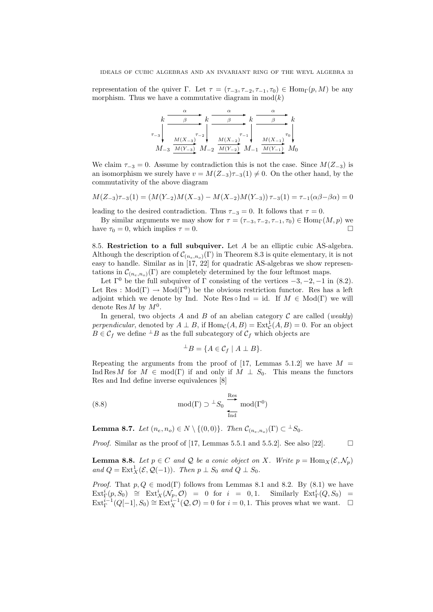representation of the quiver Γ. Let  $\tau = (\tau_{-3}, \tau_{-2}, \tau_{-1}, \tau_0) \in \text{Hom}_{\Gamma}(p, M)$  be any morphism. Thus we have a commutative diagram in  $mod(k)$ 

| $\tau_{-3}$ | $M(X_{-3})$ | $\tau_{-2}$ | $M(X_{-2})$                                           | $\tau_{-1}$ | $M(X_{-1})$ | $\tau_0$ |
|-------------|-------------|-------------|-------------------------------------------------------|-------------|-------------|----------|
| $M_{-3}$    |             |             | $M(Y_{-3})$ $M_{-2}$ $M(Y_{-2})$ $M_{-1}$ $M(Y_{-1})$ |             |             |          |

We claim  $\tau_{-3} = 0$ . Assume by contradiction this is not the case. Since  $M(Z_{-3})$  is an isomorphism we surely have  $v = M(Z_{-3})\tau_{-3}(1) \neq 0$ . On the other hand, by the commutativity of the above diagram

$$
M(Z_{-3})\tau_{-3}(1) = (M(Y_{-2})M(X_{-3}) - M(X_{-2})M(Y_{-3}))\tau_{-3}(1) = \tau_{-1}(\alpha\beta - \beta\alpha) = 0
$$

leading to the desired contradiction. Thus  $\tau_{-3} = 0$ . It follows that  $\tau = 0$ .

By similar arguments we may show for  $\tau = (\tau_{-3}, \tau_{-2}, \tau_{-1}, \tau_0) \in \text{Hom}_{\Gamma}(M, p)$  we have  $\tau_0 = 0$ , which implies  $\tau = 0$ .

8.5. Restriction to a full subquiver. Let  $A$  be an elliptic cubic AS-algebra. Although the description of  $\mathcal{C}_{(n_e,n_o)}(\Gamma)$  in Theorem 8.3 is quite elementary, it is not easy to handle. Similar as in [17, 22] for quadratic AS-algebras we show representations in  $\mathcal{C}_{(n_e,n_o)}(\Gamma)$  are completely determined by the four leftmost maps.

Let  $\Gamma^0$  be the full subquiver of  $\Gamma$  consisting of the vertices  $-3, -2, -1$  in (8.2). Let Res :  $Mod(\Gamma) \to Mod(\Gamma^0)$  be the obvious restriction functor. Res has a left adjoint which we denote by Ind. Note Res  $\circ$  Ind = id. If  $M \in Mod(\Gamma)$  we will denote Res  $M$  by  $M^0$ .

In general, two objects A and B of an abelian category C are called (weakly) perpendicular, denoted by  $A \perp B$ , if  $\text{Hom}_{\mathcal{C}}(A, B) = \text{Ext}^1_{\mathcal{C}}(A, B) = 0$ . For an object  $B \in \mathcal{C}_f$  we define  $\perp B$  as the full subcategory of  $\mathcal{C}_f$  which objects are

$$
{}^{\perp}B = \{ A \in \mathcal{C}_f \mid A \perp B \}.
$$

Repeating the arguments from the proof of [17, Lemmas 5.1.2] we have  $M =$ Ind Res M for  $M \in \text{mod}(\Gamma)$  if and only if  $M \perp S_0$ . This means the functors Res and Ind define inverse equivalences [8]

(8.8) 
$$
\mod(\Gamma) \supset {}^{\perp}S_0 \underset{\text{Ind}}{\overset{\text{Res}}{\longrightarrow}} \mod(\Gamma^0)
$$

**Lemma 8.7.** Let  $(n_e, n_o) \in N \setminus \{(0, 0)\}\$ . Then  $\mathcal{C}_{(n_e, n_o)}(\Gamma) \subset {}^{\perp}S_0$ .

*Proof.* Similar as the proof of [17, Lemmas 5.5.1 and 5.5.2]. See also [22].  $\Box$ 

**Lemma 8.8.** Let  $p \in C$  and Q be a conic object on X. Write  $p = \text{Hom}_{X}(\mathcal{E}, \mathcal{N}_p)$ and  $Q = \text{Ext}^1_X(\mathcal{E}, \mathcal{Q}(-1))$ . Then  $p \perp S_0$  and  $Q \perp S_0$ .

*Proof.* That  $p, Q \in \text{mod}(\Gamma)$  follows from Lemmas 8.1 and 8.2. By (8.1) we have  $\mathrm{Ext}^i_\Gamma(p,S_0) \cong \mathrm{Ext}^i_X(\mathcal{N}_p,\mathcal{O}) = 0$  for  $i = 0,1$ . Similarly  $\mathrm{Ext}^i_\Gamma(Q,S_0) =$  $\text{Ext}_{\Gamma}^{i-1}(Q[-1], S_0) \cong \text{Ext}_{X}^{i-1}(\mathcal{Q}, \mathcal{O}) = 0$  for  $i = 0, 1$ . This proves what we want.  $\Box$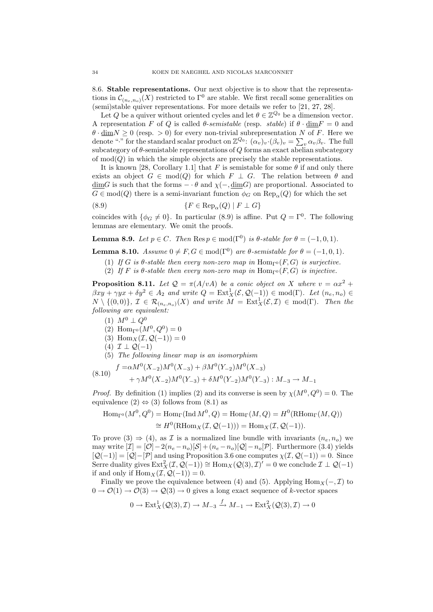8.6. Stable representations. Our next objective is to show that the representations in  $\mathcal{C}_{(n_e,n_o)}(X)$  restricted to  $\Gamma^0$  are stable. We first recall some generalities on (semi)stable quiver representations. For more details we refer to [21, 27, 28].

Let Q be a quiver without oriented cycles and let  $\theta \in \mathbb{Z}^{Q_0}$  be a dimension vector. A representation F of Q is called  $\theta$ -semistable (resp. stable) if  $\theta \cdot \text{dim} F = 0$  and  $\theta \cdot \underline{\text{dim}}N \ge 0$  (resp. > 0) for every non-trivial subrepresentation N of F. Here we denote "." for the standard scalar product on  $\mathbb{Z}^{Q_0}$ :  $(\alpha_v)_v \cdot (\beta_v)_v = \sum_v \alpha_v \beta_v$ . The full subcategory of  $\theta$ -semistable representations of Q forms an exact abelian subcategory of  $mod(Q)$  in which the simple objects are precisely the stable representations.

It is known [28, Corollary 1.1] that F is semistable for some  $\theta$  if and only there exists an object  $G \in \text{mod}(Q)$  for which  $F \perp G$ . The relation between  $\theta$  and  $\underline{\dim}G$  is such that the forms  $-\cdot\theta$  and  $\chi(-,\underline{\dim}G)$  are proportional. Associated to  $G \in \text{mod}(Q)$  there is a semi-invariant function  $\phi_G$  on  $\text{Rep}_{\alpha}(Q)$  for which the set

(8.9) 
$$
\{F \in \text{Rep}_{\alpha}(Q) \mid F \perp G\}
$$

coincides with  $\{\phi_G \neq 0\}$ . In particular (8.9) is affine. Put  $Q = \Gamma^0$ . The following lemmas are elementary. We omit the proofs.

**Lemma 8.9.** Let  $p \in C$ . Then  $\text{Res } p \in \text{mod}(\Gamma^0)$  is  $\theta$ -stable for  $\theta = (-1, 0, 1)$ .

**Lemma 8.10.** Assume  $0 \neq F, G \in \text{mod}(\Gamma^0)$  are  $\theta$ -semistable for  $\theta = (-1, 0, 1)$ .

- (1) If G is  $\theta$ -stable then every non-zero map in  $\text{Hom}_{\Gamma^0}(F, G)$  is surjective.
- (2) If F is  $\theta$ -stable then every non-zero map in Hom<sub>Γ</sub><sup>0</sup>(F, G) is injective.

**Proposition 8.11.** Let  $Q = \pi(A/vA)$  be a conic object on X where  $v = \alpha x^2 +$  $\beta xy + \gamma yx + \delta y^2 \in A_2$  and write  $Q = \text{Ext}^1_X(\mathcal{E}, \mathcal{Q}(-1)) \in \text{mod}(\Gamma)$ . Let  $(n_e, n_o) \in$  $N \setminus \{(0,0)\},\ \mathcal{I}\ \in\ \mathcal{R}_{(n_e,n_o)}(X)$  and write  $M = \text{Ext}^1_X(\mathcal{E},\mathcal{I})\ \in\ \text{mod}(\Gamma)$ . Then the following are equivalent:

- (1)  $M^0 \perp Q^0$
- (2)  $\text{Hom}_{\Gamma^0}(M^0, Q^0) = 0$
- (3) Hom $_X(\mathcal{I}, \mathcal{Q}(-1)) = 0$
- $(4)$   $\mathcal{I} \perp \mathcal{Q}(-1)$
- (5) The following linear map is an isomorphism
- (8.10)  $f = \alpha M^0 (X_{-2}) M^0 (X_{-3}) + \beta M^0 (Y_{-2}) M^0 (X_{-3})$

$$
(8.10) + \gamma M^{0}(X_{-2})M^{0}(Y_{-3}) + \delta M^{0}(Y_{-2})M^{0}(Y_{-3}) : M_{-3} \to M_{-1}
$$

*Proof.* By definition (1) implies (2) and its converse is seen by  $\chi(M^0, Q^0) = 0$ . The equivalence  $(2) \Leftrightarrow (3)$  follows from  $(8.1)$  as

$$
\text{Hom}_{\Gamma^0}(M^0, Q^0) = \text{Hom}_{\Gamma}(\text{Ind }M^0, Q) = \text{Hom}_{\Gamma}(M, Q) = H^0(\text{RHom}_{\Gamma}(M, Q))
$$

$$
\cong H^0(\text{RHom}_X(\mathcal{I}, \mathcal{Q}(-1))) = \text{Hom}_X(\mathcal{I}, \mathcal{Q}(-1)).
$$

To prove  $(3) \Rightarrow (4)$ , as I is a normalized line bundle with invariants  $(n_e, n_o)$  we may write  $[\mathcal{I}] = [\mathcal{O}] - 2(n_e - n_o)[\mathcal{S}] + (n_e - n_o)[\mathcal{Q}] - n_o[\mathcal{P}]$ . Furthermore (3.4) yields  $[Q(-1)] = [Q] - [P]$  and using Proposition 3.6 one computes  $\chi(\mathcal{I}, Q(-1)) = 0$ . Since Serre duality gives  $\text{Ext}^2_X(\mathcal{I}, \mathcal{Q}(-1)) \cong \text{Hom}_X(\mathcal{Q}(3), \mathcal{I})' = 0$  we conclude  $\mathcal{I} \perp \mathcal{Q}(-1)$ if and only if  $\text{Hom}_X(\mathcal{I}, \mathcal{Q}(-1)) = 0.$ 

Finally we prove the equivalence between (4) and (5). Applying  $\text{Hom}_X(-, \mathcal{I})$  to  $0 \to \mathcal{O}(1) \to \mathcal{O}(3) \to \mathcal{Q}(3) \to 0$  gives a long exact sequence of k-vector spaces

$$
0 \to \text{Ext}^1_X(\mathcal{Q}(3), \mathcal{I}) \to M_{-3} \xrightarrow{f} M_{-1} \to \text{Ext}^2_X(\mathcal{Q}(3), \mathcal{I}) \to 0
$$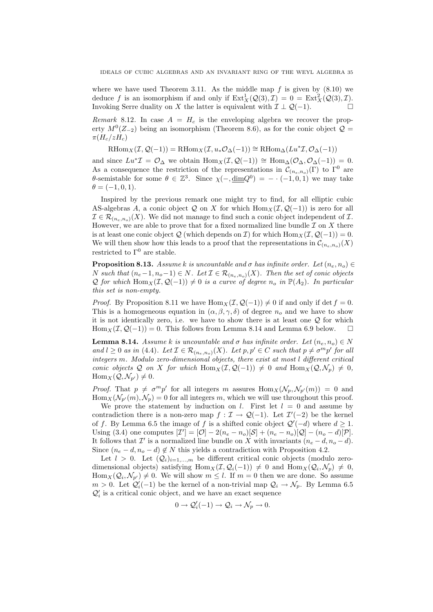where we have used Theorem 3.11. As the middle map  $f$  is given by  $(8.10)$  we deduce f is an isomorphism if and only if  $\text{Ext}^1_X(\mathcal{Q}(3),\mathcal{I}) = 0 = \text{Ext}^2_X(\mathcal{Q}(3),\mathcal{I}).$ Invoking Serre duality on X the latter is equivalent with  $\mathcal{I} \perp \mathcal{Q}(-1)$ .

Remark 8.12. In case  $A = H_c$  is the enveloping algebra we recover the property  $M^0(Z_{-2})$  being an isomorphism (Theorem 8.6), as for the conic object  $\mathcal{Q} =$  $\pi (H_c/zH_c)$ 

 $\mathrm{RHom}_X(\mathcal{I}, \mathcal{Q}(-1)) = \mathrm{RHom}_X(\mathcal{I}, u_*\mathcal{O}_{\Delta}(-1)) \cong \mathrm{RHom}_{\Delta}(Lu^* \mathcal{I}, \mathcal{O}_{\Delta}(-1))$ 

and since  $Lu^*\mathcal{I} = \mathcal{O}_{\Delta}$  we obtain  $\text{Hom}_X(\mathcal{I}, \mathcal{Q}(-1)) \cong \text{Hom}_{\Delta}(\mathcal{O}_{\Delta}, \mathcal{O}_{\Delta}(-1)) = 0.$ As a consequence the restriction of the representations in  $\mathcal{C}_{(n_e,n_o)}(\Gamma)$  to  $\Gamma^0$  are  $\theta$ -semistable for some  $\theta \in \mathbb{Z}^3$ . Since  $\chi(-,\underline{\dim}Q^0) = - \cdot (-1,0,1)$  we may take  $\theta = (-1, 0, 1).$ 

Inspired by the previous remark one might try to find, for all elliptic cubic AS-algebras A, a conic object Q on X for which  $\text{Hom}_X(\mathcal{I}, \mathcal{Q}(-1))$  is zero for all  $\mathcal{I} \in \mathcal{R}_{(n_e,n_o)}(X)$ . We did not manage to find such a conic object independent of  $\mathcal{I}$ . However, we are able to prove that for a fixed normalized line bundle  $\mathcal I$  on  $X$  there is at least one conic object Q (which depends on  $\mathcal{I}$ ) for which Hom $_X(\mathcal{I}, \mathcal{Q}(-1)) = 0$ . We will then show how this leads to a proof that the representations in  $\mathcal{C}_{(n_e,n_o)}(X)$ restricted to  $\Gamma^0$  are stable.

**Proposition 8.13.** Assume k is uncountable and  $\sigma$  has infinite order. Let  $(n_e, n_o) \in$ N such that  $(n_e-1, n_o-1) \in N$ . Let  $\mathcal{I} \in \mathcal{R}_{(n_e,n_o)}(X)$ . Then the set of conic objects Q for which Hom $_X(\mathcal{I}, \mathcal{Q}(-1)) \neq 0$  is a curve of degree  $n_o$  in  $\mathbb{P}(A_2)$ . In particular this set is non-empty.

*Proof.* By Proposition 8.11 we have  $\text{Hom}_X(\mathcal{I}, \mathcal{Q}(-1)) \neq 0$  if and only if det  $f = 0$ . This is a homogeneous equation in  $(\alpha, \beta, \gamma, \delta)$  of degree  $n_o$  and we have to show it is not identically zero, i.e. we have to show there is at least one  $Q$  for which Hom<sub>X</sub>(I,  $\mathcal{Q}(-1)$ ) = 0. This follows from Lemma 8.14 and Lemma 6.9 below.  $\square$ 

**Lemma 8.14.** Assume k is uncountable and  $\sigma$  has infinite order. Let  $(n_e, n_o) \in N$ and  $l \geq 0$  as in (4.4). Let  $\mathcal{I} \in \mathcal{R}_{(n_e,n_o)}(X)$ . Let  $p, p' \in C$  such that  $p \neq \sigma^m p'$  for all integers m. Modulo zero-dimensional objects, there exist at most l different critical conic objects Q on X for which  $\text{Hom}_X(\mathcal{I}, \mathcal{Q}(-1)) \neq 0$  and  $\text{Hom}_X(\mathcal{Q}, \mathcal{N}_p) \neq 0$ ,  $\text{Hom}_X(Q, \mathcal{N}_{p'}) \neq 0.$ 

*Proof.* That  $p \neq \sigma^m p'$  for all integers m assures  $\text{Hom}_X(\mathcal{N}_p, \mathcal{N}_{p'}(m)) = 0$  and  $\text{Hom}_X(\mathcal{N}_{p'}(m), \mathcal{N}_p) = 0$  for all integers m, which we will use throughout this proof.

We prove the statement by induction on l. First let  $l = 0$  and assume by contradiction there is a non-zero map  $f: \mathcal{I} \to \mathcal{Q}(-1)$ . Let  $\mathcal{I}'(-2)$  be the kernel of f. By Lemma 6.5 the image of f is a shifted conic object  $\mathcal{Q}'(-d)$  where  $d \geq 1$ . Using (3.4) one computes  $[\mathcal{I}'] = [\mathcal{O}] - 2(n_e - n_o)[\mathcal{S}] + (n_e - n_o)[\mathcal{Q}] - (n_o - d)[\mathcal{P}]$ . It follows that  $\mathcal{I}'$  is a normalized line bundle on X with invariants  $(n_e - d, n_o - d)$ . Since  $(n_e - d, n_o - d) \notin N$  this yields a contradiction with Proposition 4.2.

Let  $l > 0$ . Let  $(Q_i)_{i=1,...,m}$  be different critical conic objects (modulo zerodimensional objects) satisfying  $\text{Hom}_X(\mathcal{I}, \mathcal{Q}_i(-1)) \neq 0$  and  $\text{Hom}_X(\mathcal{Q}_i, \mathcal{N}_p) \neq 0$ ,  $\text{Hom}_X(\mathcal{Q}_i, \mathcal{N}_{p'}) \neq 0$ . We will show  $m \leq l$ . If  $m = 0$  then we are done. So assume  $m > 0$ . Let  $\mathcal{Q}'_i(-1)$  be the kernel of a non-trivial map  $\mathcal{Q}_i \to \mathcal{N}_p$ . By Lemma 6.5  $\mathcal{Q}'_i$  is a critical conic object, and we have an exact sequence

$$
0 \to \mathcal{Q}'_i(-1) \to \mathcal{Q}_i \to \mathcal{N}_p \to 0.
$$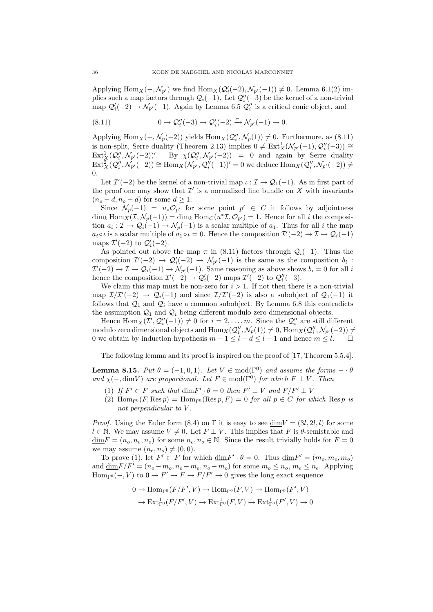Applying  $\text{Hom}_X(-, \mathcal{N}_{p'})$  we find  $\text{Hom}_X(\mathcal{Q}'_i(-2), \mathcal{N}_{p'}(-1)) \neq 0$ . Lemma 6.1(2) implies such a map factors through  $\mathcal{Q}_i(-1)$ . Let  $\mathcal{Q}_i''(-3)$  be the kernel of a non-trivial map  $\mathcal{Q}'_i(-2) \to \mathcal{N}_{p'}(-1)$ . Again by Lemma 6.5  $\mathcal{Q}''_i$  is a critical conic object, and

(8.11) 
$$
0 \to \mathcal{Q}_i''(-3) \to \mathcal{Q}_i'(-2) \xrightarrow{\pi} \mathcal{N}_{p'}(-1) \to 0.
$$

Applying  $\text{Hom}_X(-, \mathcal{N}_p(-2))$  yields  $\text{Hom}_X(\mathcal{Q}''_i, \mathcal{N}_p(1)) \neq 0$ . Furthermore, as (8.11) is non-split, Serre duality (Theorem 2.13) implies  $0 \neq \text{Ext}^1_X(\mathcal{N}_{p'}(-1), \mathcal{Q}''_i(-3)) \cong$  $\text{Ext}^1_X(\mathcal{Q}''_i, \mathcal{N}_{p'}(-2))'.$  By  $\chi(\mathcal{Q}''_i, \mathcal{N}_{p'}(-2)) = 0$  and again by Serre duality  $\text{Ext}_{X}^{2}(Q''_{i},\mathcal{N}_{p'}(-2)) \cong \text{Hom}_{X}(\mathcal{N}_{p'},Q''_{i}(-1))' = 0$  we deduce  $\text{Hom}_{X}(Q''_{i},\mathcal{N}_{p'}(-2)) \neq 0$ 0.

Let  $\mathcal{I}'(-2)$  be the kernel of a non-trivial map  $\iota : \mathcal{I} \to \mathcal{Q}_1(-1)$ . As in first part of the proof one may show that  $\mathcal{I}'$  is a normalized line bundle on X with invariants  $(n_e - d, n_o - d)$  for some  $d \geq 1$ .

Since  $\mathcal{N}_p(-1) = u_* \mathcal{O}_{p'}$  for some point  $p' \in C$  it follows by adjointness  $\dim_k \text{Hom}_X(\mathcal{I}, \mathcal{N}_p(-1)) = \dim_k \text{Hom}_C(u^* \mathcal{I}, \mathcal{O}_{p'}) = 1.$  Hence for all i the composition  $a_i: \mathcal{I} \to \mathcal{Q}_i(-1) \to \mathcal{N}_p(-1)$  is a scalar multiple of  $a_1$ . Thus for all i the map  $a_i \circ \iota$  is a scalar multiple of  $a_1 \circ \iota = 0$ . Hence the composition  $\mathcal{I}'(-2) \to \mathcal{I} \to \mathcal{Q}_i(-1)$ maps  $\mathcal{I}'(-2)$  to  $\mathcal{Q}'_i(-2)$ .

As pointed out above the map  $\pi$  in (8.11) factors through  $\mathcal{Q}_i(-1)$ . Thus the composition  $\mathcal{I}'(-2) \to \mathcal{Q}'_i(-2) \to \mathcal{N}_{p'}(-1)$  is the same as the composition  $b_i$ :  $\mathcal{I}'(-2) \to \mathcal{I} \to \mathcal{Q}_i(-1) \to \mathcal{N}_{p'}(-1)$ . Same reasoning as above shows  $b_i = 0$  for all i hence the composition  $\mathcal{I}'(-2) \to \mathcal{Q}'_i(-2)$  maps  $\mathcal{I}'(-2)$  to  $\mathcal{Q}''_i(-3)$ .

We claim this map must be non-zero for  $i > 1$ . If not then there is a non-trivial map  $\mathcal{I}/\mathcal{I}'(-2) \to \mathcal{Q}_i(-1)$  and since  $\mathcal{I}/\mathcal{I}'(-2)$  is also a subobject of  $\mathcal{Q}_1(-1)$  it follows that  $\mathcal{Q}_1$  and  $\mathcal{Q}_i$  have a common subobject. By Lemma 6.8 this contradicts the assumption  $\mathcal{Q}_1$  and  $\mathcal{Q}_i$  being different modulo zero dimensional objects.

Hence  $\text{Hom}_X(\mathcal{I}', \mathcal{Q}''_i(-1)) \neq 0$  for  $i = 2, \ldots, m$ . Since the  $\mathcal{Q}''_i$  are still different modulo zero dimensional objects and  $\text{Hom}_X(\mathcal{Q}''_i, \mathcal{N}_p(1)) \neq 0$ ,  $\text{Hom}_X(\mathcal{Q}''_i, \mathcal{N}_{p'}(-2)) \neq 0$ 0 we obtain by induction hypothesis  $m - 1 \leq l - d \leq l - 1$  and hence  $m \leq l$ .

The following lemma and its proof is inspired on the proof of [17, Theorem 5.5.4].

**Lemma 8.15.** Put  $\theta = (-1, 0, 1)$ . Let  $V \in \text{mod}(\Gamma^0)$  and assume the forms  $-\cdot \theta$ and  $\chi(-,\underline{\text{dim}}V)$  are proportional. Let  $F \in \text{mod}(\Gamma^0)$  for which  $F \perp V$ . Then

- (1) If  $F' \subset F$  such that  $\underline{\dim} F' \cdot \theta = 0$  then  $F' \perp V$  and  $F/F' \perp V$
- (2) Hom<sub>Γ</sub><sup>0</sup> (F, Res p) = Hom<sub>Γ</sub><sup>0</sup> (Res p, F) = 0 for all  $p \in C$  for which Res p is not perpendicular to V.

*Proof.* Using the Euler form (8.4) on  $\Gamma$  it is easy to see  $\dim V = (3l, 2l, l)$  for some  $l \in \mathbb{N}$ . We may assume  $V \neq 0$ . Let  $F \perp V$ . This implies that F is  $\theta$ -semistable and  $\underline{\dim}F = (n_o, n_e, n_o)$  for some  $n_e, n_o \in \mathbb{N}$ . Since the result trivially holds for  $F = 0$ we may assume  $(n_e, n_o) \neq (0, 0)$ .

To prove (1), let  $F' \subset F$  for which  $\underline{\dim} F' \cdot \theta = 0$ . Thus  $\underline{\dim} F' = (m_o, m_e, m_o)$ and  $\dim F/F' = (n_o - m_o, n_e - m_e, n_o - m_o)$  for some  $m_o \le n_o, m_e \le n_e$ . Applying  $\text{Hom}_{\Gamma^0}(-, V)$  to  $0 \to F' \to F \to F/F' \to 0$  gives the long exact sequence

$$
0 \to \text{Hom}_{\Gamma^0}(F/F', V) \to \text{Hom}_{\Gamma^0}(F, V) \to \text{Hom}_{\Gamma^0}(F', V)
$$

$$
\to \text{Ext}^1_{\Gamma^0}(F/F', V) \to \text{Ext}^1_{\Gamma^0}(F, V) \to \text{Ext}^1_{\Gamma^0}(F', V) \to 0
$$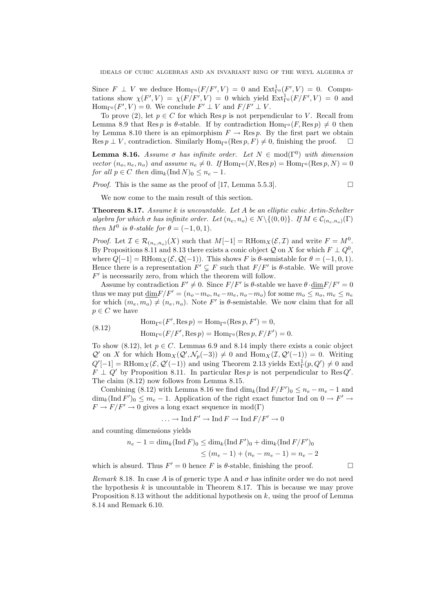Since  $F \perp V$  we deduce  $\text{Hom}_{\Gamma^0}(F/F', V) = 0$  and  $\text{Ext}^1_{\Gamma^0}(F', V) = 0$ . Computations show  $\chi(F', V) = \chi(F/F', V) = 0$  which yield  $Ext^1_{\Gamma^0}(F/F', V) = 0$  and  $\text{Hom}_{\Gamma^0}(F', V) = 0.$  We conclude  $F' \perp V$  and  $F/F' \perp V$ .

To prove (2), let  $p \in C$  for which Res p is not perpendicular to V. Recall from Lemma 8.9 that Res *p* is  $\theta$ -stable. If by contradiction  $\text{Hom}_{\mathcal{F}^0}(F, \text{Res } p) \neq 0$  then by Lemma 8.10 there is an epimorphism  $F \to \text{Res } p$ . By the first part we obtain Res  $p \perp V$ , contradiction. Similarly Hom<sub> $\Gamma$ <sup>0</sup></sub> (Res  $p, F$ )  $\neq$  0, finishing the proof.  $\Box$ 

**Lemma 8.16.** Assume  $\sigma$  has infinite order. Let  $N \in \text{mod}(\Gamma^0)$  with dimension vector  $(n_o, n_e, n_o)$  and assume  $n_e \neq 0$ . If  $\text{Hom}_{\Gamma^0}(N, \text{Res } p) = \text{Hom}_{\Gamma^0}(\text{Res } p, N) = 0$ for all  $p \in C$  then  $\dim_k(\operatorname{Ind} N)_0 \leq n_e - 1$ .

*Proof.* This is the same as the proof of [17, Lemma 5.5.3].

We now come to the main result of this section.

Theorem 8.17. Assume k is uncountable. Let A be an elliptic cubic Artin-Schelter algebra for which  $\sigma$  has infinite order. Let  $(n_e, n_o) \in N \setminus \{(0, 0)\}$ . If  $M \in C_{(n_e, n_o)}(\Gamma)$ then  $M^0$  is  $\theta$ -stable for  $\theta = (-1, 0, 1)$ .

*Proof.* Let  $\mathcal{I} \in \mathcal{R}_{(n_e, n_o)}(X)$  such that  $M[-1] = \text{RHom}_X(\mathcal{E}, \mathcal{I})$  and write  $F = M^0$ . By Propositions 8.11 and 8.13 there exists a conic object Q on X for which  $F \perp Q^0$ , where  $Q[-1] = \text{RHom}_X(\mathcal{E}, \mathcal{Q}(-1))$ . This shows F is  $\theta$ -semistable for  $\theta = (-1, 0, 1)$ . Hence there is a representation  $F' \subsetneq F$  such that  $F/F'$  is  $\theta$ -stable. We will prove  $F'$  is necessarily zero, from which the theorem will follow.

Assume by contradiction  $F' \neq 0$ . Since  $F/F'$  is  $\theta$ -stable we have  $\theta \cdot \underline{\dim} F/F' = 0$ thus we may put  $\underline{\dim}F/F'=(n_o-m_o, n_e-m_e, n_o-m_o)$  for some  $m_o \leq n_o, m_e \leq n_e$ for which  $(m_e, m_o) \neq (n_e, n_o)$ . Note F' is  $\theta$ -semistable. We now claim that for all  $p \in C$  we have

(8.12) 
$$
\text{Hom}_{\Gamma^0}(F', \text{Res } p) = \text{Hom}_{\Gamma^0}(\text{Res } p, F') = 0,
$$

$$
\text{Hom}_{\Gamma^0}(F/F', \text{Res } p) = \text{Hom}_{\Gamma^0}(\text{Res } p, F/F') = 0.
$$

To show (8.12), let  $p \in C$ . Lemmas 6.9 and 8.14 imply there exists a conic object  $\mathcal{Q}'$  on X for which  $\text{Hom}_X(\mathcal{Q}', \mathcal{N}_p(-3)) \neq 0$  and  $\text{Hom}_X(\mathcal{I}, \mathcal{Q}'(-1)) = 0$ . Writing  $Q'[-1] = \text{RHom}_X(\mathcal{E}, \mathcal{Q}'(-1))$  and using Theorem 2.13 yields  $\text{Ext}^1_{\Gamma}(p, Q') \neq 0$  and  $F \perp Q'$  by Proposition 8.11. In particular Res p is not perpendicular to Res Q'. The claim (8.12) now follows from Lemma 8.15.

Combining (8.12) with Lemma 8.16 we find  $\dim_k(\operatorname{Ind} F/F')_0 \leq n_e - m_e - 1$  and  $\dim_k(\text{Ind } F')_0 \leq m_e - 1$ . Application of the right exact functor Ind on  $0 \to F' \to$  $F \to F/F' \to 0$  gives a long exact sequence in mod(Γ)

$$
\ldots \to \text{Ind } F' \to \text{Ind } F \to \text{Ind } F/F' \to 0
$$

and counting dimensions yields

$$
n_e - 1 = \dim_k(\operatorname{Ind} F)_0 \le \dim_k(\operatorname{Ind} F')_0 + \dim_k(\operatorname{Ind} F/F')_0
$$
  

$$
\le (m_e - 1) + (n_e - m_e - 1) = n_e - 2
$$

which is absurd. Thus  $F' = 0$  hence F is  $\theta$ -stable, finishing the proof.

Remark 8.18. In case A is of generic type A and  $\sigma$  has infinite order we do not need the hypothesis  $k$  is uncountable in Theorem 8.17. This is because we may prove Proposition 8.13 without the additional hypothesis on  $k$ , using the proof of Lemma 8.14 and Remark 6.10.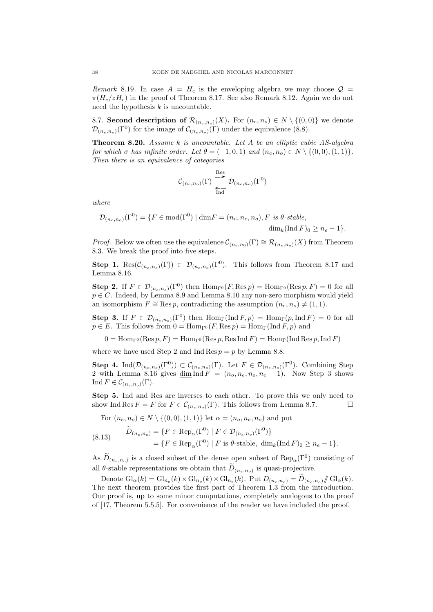Remark 8.19. In case  $A = H_c$  is the enveloping algebra we may choose  $\mathcal{Q} =$  $\pi(H_c/zH_c)$  in the proof of Theorem 8.17. See also Remark 8.12. Again we do not need the hypothesis  $k$  is uncountable.

8.7. Second description of  $\mathcal{R}_{(n_e,n_o)}(X)$ . For  $(n_e,n_o) \in N \setminus \{(0,0)\}$  we denote  $\mathcal{D}_{(n_e,n_o)}(\Gamma^0)$  for the image of  $\mathcal{C}_{(n_e,n_o)}(\Gamma)$  under the equivalence (8.8).

**Theorem 8.20.** Assume  $k$  is uncountable. Let  $A$  be an elliptic cubic  $AS$ -algebra for which  $\sigma$  has infinite order. Let  $\theta = (-1, 0, 1)$  and  $(n_e, n_o) \in N \setminus \{(0, 0), (1, 1)\}.$ Then there is an equivalence of categories

$$
\mathcal{C}_{(n_e,n_o)}(\Gamma) \overset{\text{Res}}{\underset{\text{Ind}}{\longleftarrow}} \mathcal{D}_{(n_e,n_o)}(\Gamma^0)
$$

where

$$
\mathcal{D}_{(n_e, n_o)}(\Gamma^0) = \{ F \in \text{mod}(\Gamma^0) \mid \underline{\dim} F = (n_o, n_e, n_o), F \text{ is } \theta\text{-stable},
$$
  

$$
\dim_k(\text{Ind } F)_0 \ge n_e - 1 \}.
$$

*Proof.* Below we often use the equivalence  $\mathcal{C}_{(n_e,n_0)}(\Gamma) \cong \mathcal{R}_{(n_e,n_0)}(X)$  from Theorem 8.3. We break the proof into five steps.

**Step 1.** Res $(\mathcal{C}_{(n_e,n_o)}(\Gamma)) \subset \mathcal{D}_{(n_e,n_o)}(\Gamma^0)$ . This follows from Theorem 8.17 and Lemma 8.16.

**Step 2.** If  $F \in \mathcal{D}_{(n_e,n_o)}(\Gamma^0)$  then  $\text{Hom}_{\Gamma^0}(F, \text{Res } p) = \text{Hom}_{\Gamma^0}(\text{Res } p, F) = 0$  for all  $p \in C$ . Indeed, by Lemma 8.9 and Lemma 8.10 any non-zero morphism would yield an isomorphism  $F \cong$  Res p, contradicting the assumption  $(n_e, n_o) \neq (1, 1)$ .

**Step 3.** If  $F \in \mathcal{D}_{(n_e,n_o)}(\Gamma^0)$  then  $\text{Hom}_{\Gamma}(\text{Ind } F, p) = \text{Hom}_{\Gamma}(p, \text{Ind } F) = 0$  for all  $p \in E$ . This follows from  $0 = \text{Hom}_{\Gamma^0}(F, \text{Res } p) = \text{Hom}_{\Gamma}(\text{Ind } F, p)$  and

 $0 = \text{Hom}_{\Gamma^0}(\text{Res }p, F) = \text{Hom}_{\Gamma^0}(\text{Res }p, \text{Res Ind }F) = \text{Hom}_{\Gamma}(\text{Ind } \text{Res }p, \text{Ind }F)$ 

where we have used Step 2 and Ind  $\text{Res } p = p$  by Lemma 8.8.

**Step 4.** Ind( $\mathcal{D}_{(n_e,n_o)}(\Gamma^0)$ )  $\subset \mathcal{C}_{(n_e,n_o)}(\Gamma)$ . Let  $F \in \mathcal{D}_{(n_e,n_o)}(\Gamma^0)$ . Combining Step 2 with Lemma 8.16 gives  $\dim \operatorname{Ind} F = (n_o, n_e, n_o, n_e - 1)$ . Now Step 3 shows Ind  $F \in \mathcal{C}_{(n_e,n_o)}(\Gamma)$ .

Step 5. Ind and Res are inverses to each other. To prove this we only need to show Ind Res  $F = F$  for  $F \in \mathcal{C}_{(n_e,n_o)}(\Gamma)$ . This follows from Lemma 8.7.

For  $(n_e, n_o) \in N \setminus \{(0, 0), (1, 1)\}\$  let  $\alpha = (n_o, n_e, n_o)$  and put

(8.13) 
$$
\widetilde{D}_{(n_e, n_o)} = \{ F \in \text{Rep}_{\alpha}(\Gamma^0) \mid F \in \mathcal{D}_{(n_e, n_o)}(\Gamma^0) \}
$$

$$
= \{ F \in \text{Rep}_{\alpha}(\Gamma^0) \mid F \text{ is } \theta \text{-stable}, \dim_k(\text{Ind } F)_0 \ge n_e - 1 \}.
$$

As  $D_{(n_e,n_o)}$  is a closed subset of the dense open subset of  $\text{Rep}_{\alpha}(\Gamma^0)$  consisting of all  $\theta$ -stable representations we obtain that  $D_{(n_e,n_o)}$  is quasi-projective.

Denote  $\mathrm{Gl}_{\alpha}(k) = \mathrm{Gl}_{n_e}(k) \times \mathrm{Gl}_{n_o}(k) \times \mathrm{Gl}_{n_e}(k)$ . Put  $D_{(n_e, n_o)} = D_{(n_e, n_o)} \ll \mathrm{Gl}_{\alpha}(k)$ . The next theorem provides the first part of Theorem 1.3 from the introduction. Our proof is, up to some minor computations, completely analogous to the proof of [17, Theorem 5.5.5]. For convenience of the reader we have included the proof.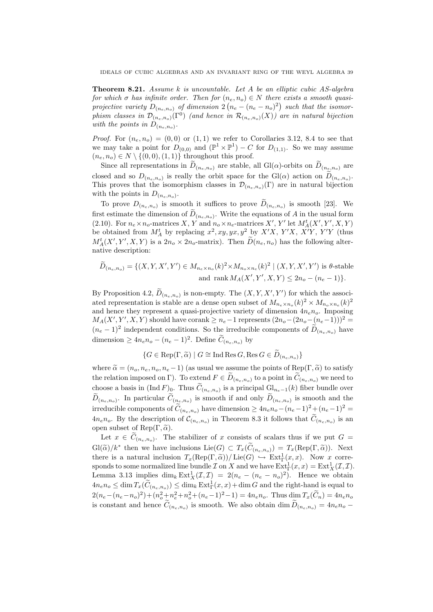**Theorem 8.21.** Assume k is uncountable. Let A be an elliptic cubic  $AS$ -algebra for which  $\sigma$  has infinite order. Then for  $(n_e, n_o) \in N$  there exists a smooth quasiprojective variety  $D_{(n_e,n_o)}$  of dimension  $2(n_e - (n_e - n_o)^2)$  such that the isomorphism classes in  $\mathcal{D}_{(n_e,n_o)}(\Gamma^0)$  (and hence in  $\mathcal{R}_{(n_e,n_o)}(X)$ ) are in natural bijection with the points in  $D_{(n_e,n_o)}$ .

*Proof.* For  $(n_e, n_o) = (0, 0)$  or  $(1, 1)$  we refer to Corollaries 3.12, 8.4 to see that we may take a point for  $D_{(0,0)}$  and  $(\mathbb{P}^1 \times \mathbb{P}^1) - C$  for  $D_{(1,1)}$ . So we may assume  $(n_e, n_o) \in N \setminus \{(0, 0), (1, 1)\}\$  throughout this proof.

Since all representations in  $D_{(n_e,n_o)}$  are stable, all  $Gl(\alpha)$ -orbits on  $D_{(n_e,n_o)}$  are closed and so  $D_{(n_e,n_o)}$  is really the orbit space for the  $Gl(\alpha)$  action on  $D_{(n_e,n_o)}$ . This proves that the isomorphism classes in  $\mathcal{D}_{(n_e,n_o)}(\Gamma)$  are in natural bijection with the points in  $D_{(n_e,n_o)}$ .

To prove  $D_{(n_e,n_o)}$  is smooth it suffices to prove  $D_{(n_e,n_o)}$  is smooth [23]. We first estimate the dimension of  $D_{(n_e,n_o)}$ . Write the equations of A in the usual form (2.10). For  $n_e \times n_o$ -matrices X, Y and  $n_o \times n_e$ -matrices X', Y' let  $M_A^t(X', Y', X, Y)$ be obtained from  $M_A^t$  by replacing  $x^2, xy, yx, y^2$  by  $X'X$ ,  $Y'X$ ,  $X'Y$ ,  $Y'Y$  (thus  $M_A^t(X', Y', X, Y)$  is a  $2n_o \times 2n_o$ -matrix). Then  $D(n_e, n_o)$  has the following alternative description:

$$
\widetilde{D}_{(n_e, n_o)} = \{ (X, Y, X', Y') \in M_{n_e \times n_o}(k)^2 \times M_{n_o \times n_e}(k)^2 \mid (X, Y, X', Y') \text{ is } \theta\text{-stable}
$$
  
and rank  $M_A(X', Y', X, Y) \le 2n_o - (n_e - 1) \}.$ 

By Proposition 4.2,  $D_{(n_e,n_o)}$  is non-empty. The  $(X, Y, X', Y')$  for which the associated representation is stable are a dense open subset of  $M_{n_e \times n_o}(k)^2 \times M_{n_o \times n_e}(k)^2$ and hence they represent a quasi-projective variety of dimension  $4n_e n_o$ . Imposing  $M_A(X', Y', X, Y)$  should have corank  $\geq n_e-1$  represents  $(2n_o-(2n_o-(n_e-1)))^2$  $(n_e-1)^2$  independent conditions. So the irreducible components of  $D_{(n_e,n_o)}$  have dimension  $\geq 4n_e n_o - (n_e - 1)^2$ . Define  $C_{(n_e, n_o)}$  by

$$
\{G \in \operatorname{Rep}(\Gamma, \widetilde{\alpha}) \mid G \cong \operatorname{Ind} \operatorname{Res} G, \operatorname{Res} G \in \widetilde{D}_{(n_e, n_o)}\}
$$

where  $\tilde{\alpha} = (n_o, n_e, n_o, n_e - 1)$  (as usual we assume the points of Rep(Γ,  $\tilde{\alpha}$ ) to satisfy the relation imposed on Γ). To extend  $F \in D_{(n_e,n_o)}$  to a point in  $C_{(n_e,n_o)}$  we need to choose a basis in  $(Ind F)_0$ . Thus  $C_{(n_e,n_o)}$  is a principal  $Gl_{n_e-1}(k)$  fiber bundle over  $D_{(n_e,n_o)}$ . In particular  $C_{(n_e,n_o)}$  is smooth if and only  $D_{(n_e,n_o)}$  is smooth and the irreducible components of  $\tilde{C}_{(n_e,n_o)}$  have dimension  $\ge 4n_e n_o - (n_e-1)^2 + (n_e-1)^2 =$  $4n_e n_o$ . By the description of  $\mathcal{C}_{(n_e,n_o)}$  in Theorem 8.3 it follows that  $C_{(n_e,n_o)}$  is an open subset of Rep $(\Gamma, \tilde{\alpha})$ .

Let  $x \in C_{(n_e,n_o)}$ . The stabilizer of x consists of scalars thus if we put  $G =$  $Gl(\widetilde{\alpha})/k^*$  then we have inclusions  $Lie(G) \subset T_x(\widetilde{C}_{(n_e,n_o)}) = T_x(\mathrm{Rep}(\Gamma, \widetilde{\alpha}))$ . Next there is a natural inclusion  $T_x(\text{Rep}(\Gamma, \widetilde{\alpha})) / \text{Lie}(G) \hookrightarrow \text{Ext}^1_\Gamma(x, x)$ . Now x corresponds to some normalized line bundle  $\mathcal I$  on  $X$  and we have  $\mathrm{Ext}^1_{\Gamma}(x,x)=\mathrm{Ext}^1_X(\mathcal I,\mathcal I).$ Lemma 3.13 implies  $\dim_k \text{Ext}^1_X(\mathcal{I}, \mathcal{I}) = 2(n_e - (n_e - n_o)^2)$ . Hence we obtain  $4n_e n_o \le \dim T_x(\widetilde{C}_{(n_e,n_o)}) \le \dim_k \operatorname{Ext}^1_\Gamma(x,x) + \dim G$  and the right-hand is equal to  $2(n_e - (n_e - n_o)^2) + (n_o^2 + n_e^2 + n_o^2 + (n_e - 1)^2 - 1) = 4n_e n_o$ . Thus  $\dim T_x(\tilde{C}_n) = 4n_e n_o$ is constant and hence  $C_{(n_e,n_o)}$  is smooth. We also obtain  $\dim D_{(n_e,n_o)} = 4n_e n_o$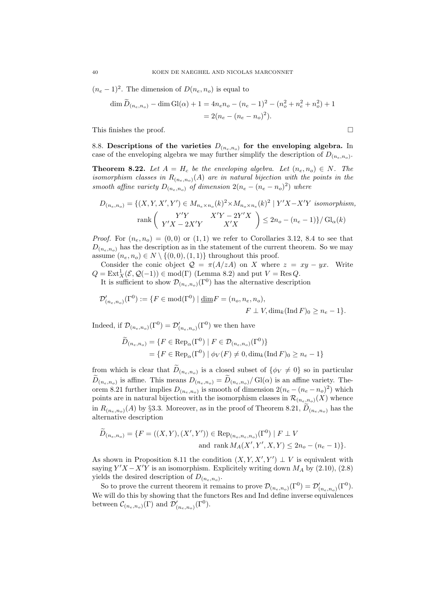$(n_e-1)^2$ . The dimension of  $D(n_e, n_o)$  is equal to

$$
\dim \widetilde{D}_{(n_e, n_o)} - \dim \mathrm{Gl}(\alpha) + 1 = 4n_e n_o - (n_e - 1)^2 - (n_o^2 + n_e^2 + n_o^2) + 1
$$
  
= 2(n\_e - (n\_e - n\_o)^2).

This finishes the proof.  $\Box$ 

8.8. Descriptions of the varieties  $D_{(n_e,n_o)}$  for the enveloping algebra. In case of the enveloping algebra we may further simplify the description of  $D_{(n_e,n_o)}$ .

**Theorem 8.22.** Let  $A = H_c$  be the enveloping algebra. Let  $(n_e, n_o) \in N$ . The isomorphism classes in  $R_{(n_e,n_o)}(A)$  are in natural bijection with the points in the smooth affine variety  $D_{(n_e,n_o)}$  of dimension  $2(n_e - (n_e - n_o)^2)$  where

$$
D_{(n_e, n_o)} = \{(X, Y, X', Y') \in M_{n_e \times n_o}(k)^2 \times M_{n_o \times n_e}(k)^2 \mid Y'X - X'Y \text{ isomorphism,}
$$
  

$$
\operatorname{rank}\left(\begin{array}{cc} Y'Y & X'Y - 2Y'X\\ Y'X - 2X'Y & X'X \end{array}\right) \le 2n_o - (n_e - 1)\} / \operatorname{Gl}_\alpha(k)
$$

*Proof.* For  $(n_e, n_o) = (0, 0)$  or  $(1, 1)$  we refer to Corollaries 3.12, 8.4 to see that  $D_{(n_e,n_o)}$  has the description as in the statement of the current theorem. So we may assume  $(n_e, n_o) \in N \setminus \{(0, 0), (1, 1)\}\$ throughout this proof.

Consider the conic object  $\mathcal{Q} = \pi(A/zA)$  on X where  $z = xy - yx$ . Write  $Q = \text{Ext}^1_X(\mathcal{E}, \mathcal{Q}(-1)) \in \text{mod}(\Gamma)$  (Lemma 8.2) and put  $V = \text{Res }Q$ .

It is sufficient to show  $\mathcal{D}_{(n_e,n_o)}(\Gamma^0)$  has the alternative description

$$
\mathcal{D}'_{(n_e, n_o)}(\Gamma^0) := \{ F \in \text{mod}(\Gamma^0) \mid \underline{\dim} F = (n_o, n_e, n_o), F \perp V, \dim_k(\text{Ind } F)_0 \ge n_e - 1 \}.
$$

Indeed, if  $\mathcal{D}_{(n_e,n_o)}(\Gamma^0) = \mathcal{D}'_{(n_e,n_o)}(\Gamma^0)$  we then have

$$
\widetilde{D}_{(n_e, n_o)} = \{ F \in \text{Rep}_{\alpha}(\Gamma^0) \mid F \in \mathcal{D}_{(n_e, n_o)}(\Gamma^0) \}
$$
  
= 
$$
\{ F \in \text{Rep}_{\alpha}(\Gamma^0) \mid \phi_V(F) \neq 0, \dim_k(\text{Ind } F)_0 \geq n_e - 1 \}
$$

from which is clear that  $D_{(n_e,n_o)}$  is a closed subset of  $\{\phi_V \neq 0\}$  so in particular  $D_{(n_e,n_o)}$  is affine. This means  $D_{(n_e,n_o)} = D_{(n_e,n_o)} / \text{Gl}(\alpha)$  is an affine variety. Theorem 8.21 further implies  $D_{(n_e,n_o)}$  is smooth of dimension  $2(n_e - (n_e - n_o)^2)$  which points are in natural bijection with the isomorphism classes in  $\mathcal{R}_{(n_e,n_o)}(X)$  whence in  $R_{(n_e,n_o)}(A)$  by §3.3. Moreover, as in the proof of Theorem 8.21,  $D_{(n_e,n_o)}$  has the alternative description

$$
\widetilde{D}_{(n_e, n_o)} = \{ F = ((X, Y), (X', Y')) \in \text{Rep}_{(n_o, n_e, n_o)}(\Gamma^0) \mid F \perp V
$$
  
and rank  $M_A(X', Y', X, Y) \le 2n_o - (n_e - 1) \}.$ 

As shown in Proposition 8.11 the condition  $(X, Y, X', Y') \perp V$  is equivalent with saying  $Y'X - X'Y$  is an isomorphism. Explicitely writing down  $M_A$  by (2.10), (2.8) yields the desired description of  $D_{(n_e,n_o)}$ .

So to prove the current theorem it remains to prove  $\mathcal{D}_{(n_e,n_o)}(\Gamma^0) = \mathcal{D}'_{(n_e,n_o)}(\Gamma^0)$ . We will do this by showing that the functors Res and Ind define inverse equivalences between  $\mathcal{C}_{(n_e,n_o)}(\Gamma)$  and  $\mathcal{D}'_{(n_e,n_o)}(\Gamma^0)$ .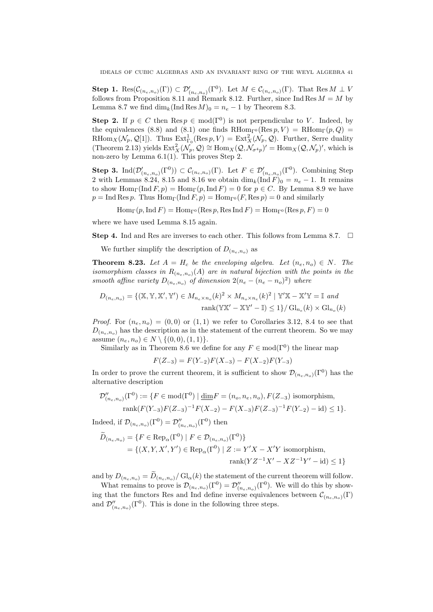**Step 1.**  $\text{Res}(\mathcal{C}_{(n_e,n_o)}(\Gamma)) \subset \mathcal{D}'_{(n_e,n_o)}(\Gamma^0)$ . Let  $M \in \mathcal{C}_{(n_e,n_o)}(\Gamma)$ . That  $\text{Res} M \perp V$ follows from Proposition 8.11 and Remark 8.12. Further, since Ind Res  $M = M$  by Lemma 8.7 we find  $\dim_k(\operatorname{Ind} \operatorname{Res} M)_0 = n_e - 1$  by Theorem 8.3.

**Step 2.** If  $p \in C$  then  $\text{Res } p \in \text{mod}(\Gamma^0)$  is not perpendicular to V. Indeed, by the equivalences (8.8) and (8.1) one finds  $RHom_{\Gamma^0}(Res p, V) = RHom_{\Gamma}(p, Q)$ RHom<sub>X</sub>( $N_p, Q[1]$ ). Thus  $\text{Ext}^1_{\Gamma_0}(\text{Res }p, V) = \text{Ext}^2_X(\mathcal{N}_p, \mathcal{Q})$ . Further, Serre duality (Theorem 2.13) yields  $\text{Ext}^2_X(\mathcal{N}_p, \mathcal{Q}) \cong \text{Hom}_X(\mathcal{Q}, \mathcal{N}_{\sigma^4 p})' = \text{Hom}_X(\mathcal{Q}, \mathcal{N}_p)'$ , which is non-zero by Lemma 6.1(1). This proves Step 2.

**Step 3.** Ind $(\mathcal{D}'_{(n_e,n_o)}(\Gamma^0)) \subset C_{(n_e,n_o)}(\Gamma)$ . Let  $F \in \mathcal{D}'_{(n_e,n_o)}(\Gamma^0)$ . Combining Step 2 with Lemmas 8.24, 8.15 and 8.16 we obtain  $\dim_k(\text{Ind } F)_0 = n_e - 1$ . It remains to show  $\text{Hom}_{\Gamma}(\text{Ind } F, p) = \text{Hom}_{\Gamma}(p, \text{Ind } F) = 0$  for  $p \in C$ . By Lemma 8.9 we have  $p = \text{Ind Res } p$ . Thus  $\text{Hom}_{\Gamma}(\text{Ind } F, p) = \text{Hom}_{\Gamma}(\Gamma, \text{Res } p) = 0$  and similarly

 $\text{Hom}_{\Gamma}(p,\text{Ind } F) = \text{Hom}_{\Gamma^0}(\text{Res } p,\text{Res Ind } F) = \text{Hom}_{\Gamma^0}(\text{Res } p, F) = 0$ 

where we have used Lemma 8.15 again.

**Step 4.** Ind and Res are inverses to each other. This follows from Lemma 8.7.  $\Box$ 

We further simplify the description of  $D_{(n_e,n_o)}$  as

**Theorem 8.23.** Let  $A = H_c$  be the enveloping algebra. Let  $(n_e, n_o) \in N$ . The isomorphism classes in  $R_{(n_e,n_o)}(A)$  are in natural bijection with the points in the smooth affine variety  $D_{(n_e,n_o)}$  of dimension  $2(n_e - (n_e - n_o)^2)$  where

$$
D_{(n_e, n_o)} = \{ (\mathbb{X}, \mathbb{Y}, \mathbb{X}', \mathbb{Y}') \in M_{n_e \times n_o}(k)^2 \times M_{n_o \times n_e}(k)^2 \mid \mathbb{Y}'\mathbb{X} - \mathbb{X}'\mathbb{Y} = \mathbb{I} \text{ and}
$$
  
rank
$$
(\mathbb{Y}\mathbb{X}' - \mathbb{X}\mathbb{Y}' - \mathbb{I}) \le 1 \} / \operatorname{Gl}_{n_e}(k) \times \operatorname{Gl}_{n_o}(k)
$$

*Proof.* For  $(n_e, n_o) = (0, 0)$  or  $(1, 1)$  we refer to Corollaries 3.12, 8.4 to see that  $D_{(n_e,n_o)}$  has the description as in the statement of the current theorem. So we may assume  $(n_e, n_o) \in N \setminus \{(0, 0), (1, 1)\}.$ 

Similarly as in Theorem 8.6 we define for any  $F \in \text{mod}(\Gamma^0)$  the linear map

$$
F(Z_{-3}) = F(Y_{-2})F(X_{-3}) - F(X_{-2})F(Y_{-3})
$$

In order to prove the current theorem, it is sufficient to show  $\mathcal{D}_{(n_e,n_o)}(\Gamma^0)$  has the alternative description

$$
\mathcal{D}_{(n_e,n_o)}^{\prime\prime}(\Gamma^0) := \{ F \in \text{mod}(\Gamma^0) \mid \underline{\dim} F = (n_o, n_e, n_o), F(Z_{-3}) \text{ isomorphism,}
$$
  
rank $(F(Y_{-3})F(Z_{-3})^{-1}F(X_{-2}) - F(X_{-3})F(Z_{-3})^{-1}F(Y_{-2}) - id) \le 1 \}.$ 

Indeed, if  $\mathcal{D}_{(n_e,n_o)}(\Gamma^0) = \mathcal{D}_{(n_e,n_o)}^{\prime\prime}(\Gamma^0)$  then

$$
\widetilde{D}_{(n_e, n_o)} = \{ F \in \text{Rep}_{\alpha}(\Gamma^0) \mid F \in \mathcal{D}_{(n_e, n_o)}(\Gamma^0) \}
$$
\n
$$
= \{ (X, Y, X', Y') \in \text{Rep}_{\alpha}(\Gamma^0) \mid Z := Y'X - X'Y \text{ isomorphism,}
$$
\n
$$
\text{rank}(YZ^{-1}X' - XZ^{-1}Y' - \text{id}) \le 1 \}
$$

and by  $D_{(n_e,n_o)} = D_{(n_e,n_o)} / \mathrm{Gl}_\alpha(k)$  the statement of the current theorem will follow.

What remains to prove is  $\mathcal{D}_{(n_e,n_o)}(\Gamma^0) = \mathcal{D}_{(n_e,n_o)}''(\Gamma^0)$ . We will do this by showing that the functors Res and Ind define inverse equivalences between  $\mathcal{C}_{(n_e,n_o)}(\Gamma)$ and  $\mathcal{D}''_{(n_e,n_o)}(\Gamma^0)$ . This is done in the following three steps.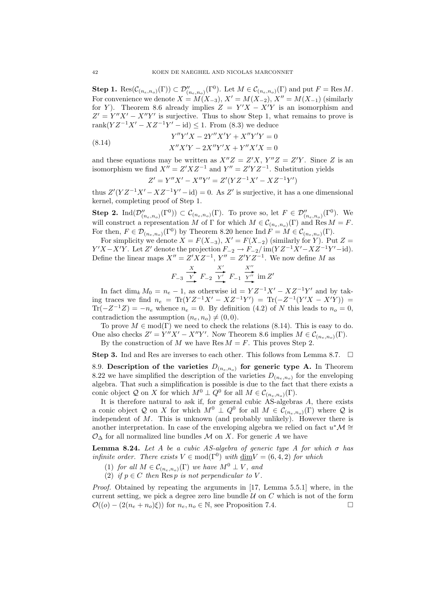**Step 1.**  $\text{Res}(\mathcal{C}_{(n_e,n_o)}(\Gamma)) \subset \mathcal{D}_{(n_e,n_o)}^{\prime\prime}(\Gamma^0)$ . Let  $M \in \mathcal{C}_{(n_e,n_o)}(\Gamma)$  and put  $F = \text{Res } M$ . For convenience we denote  $X = M(X_{-3}), X' = M(X_{-2}), X'' = M(X_{-1})$  (similarly for Y). Theorem 8.6 already implies  $Z = Y'X - X'Y$  is an isomorphism and  $Z' = Y''X' - X''Y'$  is surjective. Thus to show Step 1, what remains to prove is rank $(YZ^{-1}X' - XZ^{-1}Y' - id) \le 1$ . From  $(8.3)$  we deduce

(8.14) 
$$
Y''Y'X - 2Y''X'Y + X''Y'Y = 0
$$

$$
X''X'Y - 2X''Y'X + Y''X'X = 0
$$

and these equations may be written as  $X''Z = Z'X$ ,  $Y''Z = Z'Y$ . Since Z is an isomorphism we find  $X'' = Z'XZ^{-1}$  and  $Y'' = Z'YZ^{-1}$ . Substitution yields

$$
Z' = Y''X' - X''Y' = Z'(YZ^{-1}X' - XZ^{-1}Y')
$$

thus  $Z'(YZ^{-1}X'-XZ^{-1}Y'-id) = 0$ . As Z' is surjective, it has a one dimensional kernel, completing proof of Step 1.

**Step 2.** Ind $(\mathcal{D}''_{(n_e,n_o)}(\Gamma^0)) \subset C_{(n_e,n_o)}(\Gamma)$ . To prove so, let  $F \in \mathcal{D}''_{(n_e,n_o)}(\Gamma^0)$ . We will construct a representation M of  $\Gamma$  for which  $M \in \mathcal{C}_{(n_e,n_o)}(\Gamma)$  and  $\text{Res } M = F$ . For then,  $F \in \mathcal{D}_{(n_e,n_o)}(\Gamma^0)$  by Theorem 8.20 hence Ind  $F = M \in \mathcal{C}_{(n_e,n_o)}(\Gamma)$ .

For simplicity we denote  $X = F(X_{-3}), X' = F(X_{-2})$  (similarly for Y). Put  $Z =$  $Y'X-X'Y$ . Let Z' denote the projection  $F_{-2} \to F_{-2}/\text{im}(YZ^{-1}X'-XZ^{-1}Y'-\text{id})$ . Define the linear maps  $X'' = Z'XZ^{-1}$ ,  $Y'' = Z'YZ^{-1}$ . We now define M as

$$
F_{-3} \xrightarrow{X} F_{-2} \xrightarrow{X'} F_{-1} \xrightarrow{X''} \text{im } Z'
$$

In fact dim<sub>k</sub>  $M_0 = n_e - 1$ , as otherwise id =  $YZ^{-1}X' - XZ^{-1}Y'$  and by taking traces we find  $n_e = \text{Tr}(YZ^{-1}X' - XZ^{-1}Y') = \text{Tr}(-Z^{-1}(Y'X - X'Y)) =$  $\text{Tr}(-Z^{-1}Z) = -n_e$  whence  $n_e = 0$ . By definition (4.2) of N this leads to  $n_o = 0$ , contradiction the assumption  $(n_e, n_o) \neq (0, 0)$ .

To prove  $M \in \text{mod}(\Gamma)$  we need to check the relations (8.14). This is easy to do. One also checks  $Z' = Y''X' - X''Y'$ . Now Theorem 8.6 implies  $M \in \mathcal{C}_{(n_e, n_o)}(\Gamma)$ . By the construction of M we have Res  $M = F$ . This proves Step 2.

**Step 3.** Ind and Res are inverses to each other. This follows from Lemma 8.7.  $\Box$ 

8.9. Description of the varieties  $D_{(n_e,n_o)}$  for generic type A. In Theorem 8.22 we have simplified the description of the varieties  $D_{(n_e,n_o)}$  for the enveloping algebra. That such a simplification is possible is due to the fact that there exists a conic object Q on X for which  $M^0 \perp Q^0$  for all  $M \in \mathcal{C}_{(n_e,n_o)}(\Gamma)$ .

It is therefore natural to ask if, for general cubic  $\overrightarrow{AS}$ -algebras A, there exists a conic object Q on X for which  $M^0 \perp Q^0$  for all  $M \in C_{(n_e,n_o)}(\Gamma)$  where Q is independent of  $M$ . This is unknown (and probably unlikely). However there is another interpretation. In case of the enveloping algebra we relied on fact  $u^*\mathcal{M} \cong$  $\mathcal{O}_{\Delta}$  for all normalized line bundles M on X. For generic A we have

**Lemma 8.24.** Let A be a cubic AS-algebra of generic type A for which  $\sigma$  has *infinite order.* There exists  $V \in \text{mod}(\Gamma^0)$  with  $\underline{\dim} V = (6, 4, 2)$  for which

- (1) for all  $M \in \mathcal{C}_{(n_e,n_o)}(\Gamma)$  we have  $M^0 \perp V$ , and
- (2) if  $p \in C$  then  $\widetilde{\text{Res } p}$  is not perpendicular to V.

Proof. Obtained by repeating the arguments in [17, Lemma 5.5.1] where, in the current setting, we pick a degree zero line bundle  $U$  on  $C$  which is not of the form  $\mathcal{O}((o)-(2(n_e+n_o)\xi))$  for  $n_e, n_o \in \mathbb{N}$ , see Proposition 7.4.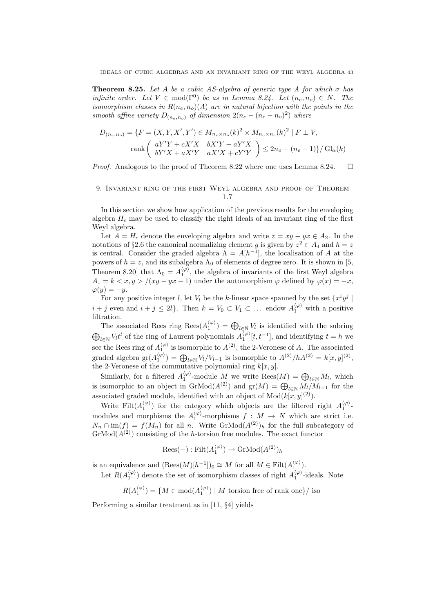**Theorem 8.25.** Let A be a cubic AS-algebra of generic type A for which  $\sigma$  has infinite order. Let  $V \in \text{mod}(\Gamma^0)$  be as in Lemma 8.24. Let  $(n_e, n_o) \in N$ . The isomorphism classes in  $R(n_e, n_o)(A)$  are in natural bijection with the points in the smooth affine variety  $D_{(n_e,n_o)}$  of dimension  $2(n_e - (n_e - n_o)^2)$  where

$$
D_{(n_e, n_o)} = \{ F = (X, Y, X', Y') \in M_{n_e \times n_o}(k)^2 \times M_{n_o \times n_e}(k)^2 \mid F \perp V,
$$
  
rank $\begin{pmatrix} aY'Y + cX'X & bX'Y + aY'X \\ bY'X + aX'Y & aX'X + cY'Y \end{pmatrix} \le 2n_o - (n_e - 1)\} / Gl_\alpha(k)$ 

*Proof.* Analogous to the proof of Theorem 8.22 where one uses Lemma 8.24.  $\Box$ 

# 9. Invariant ring of the first Weyl algebra and proof of Theorem 1.7

In this section we show how application of the previous results for the enveloping algebra  $H_c$  may be used to classify the right ideals of an invariant ring of the first Weyl algebra.

Let  $A = H_c$  denote the enveloping algebra and write  $z = xy - yx \in A_2$ . In the notations of §2.6 the canonical normalizing element g is given by  $z^2 \in A_4$  and  $h = z$ is central. Consider the graded algebra  $\Lambda = A[h^{-1}]$ , the localisation of A at the powers of  $h = z$ , and its subalgebra  $\Lambda_0$  of elements of degree zero. It is shown in [5, Theorem 8.20] that  $\Lambda_0 = A_1^{\langle \varphi \rangle}$ , the algebra of invariants of the first Weyl algebra  $A_1 = k < x, y > (xy - yx - 1)$  under the automorphism  $\varphi$  defined by  $\varphi(x) = -x$ ,  $\varphi(y) = -y.$ 

For any positive integer *l*, let  $V_l$  be the *k*-linear space spanned by the set  $\{x^i y^j \mid$  $i + j$  even and  $i + j \leq 2l$ . Then  $k = V_0 \subset V_1 \subset \dots$  endow  $A_1^{\langle \varphi \rangle}$  with a positive filtration.

The associated Rees ring  $\text{Res}(A_1^{\langle \varphi \rangle}) = \bigoplus_{l \in \mathbb{N}} V_l$  is identified with the subring  $\bigoplus_{l\in\mathbb{N}} V_l t^l$  of the ring of Laurent polynomials  $A_1^{\langle\varphi\rangle}[t, t^{-1}]$ , and identifying  $t = h$  we see the Rees ring of  $A_1^{\langle \varphi \rangle}$  is isomorphic to  $A^{(2)}$ , the 2-Veronese of A. The associated graded algebra  $\text{gr}(A_1^{\langle \varphi \rangle}) = \bigoplus_{l \in \mathbb{N}} V_l/V_{l-1}$  is isomorphic to  $A^{(2)}/hA^{(2)} = k[x, y]^{(2)}$ , the 2-Veronese of the commutative polynomial ring  $k[x, y]$ .

Similarly, for a filtered  $A_1^{\langle \varphi \rangle}$ -module M we write  $\text{Rees}(M) = \bigoplus_{l \in \mathbb{N}} M_l$ , which is isomorphic to an object in  $\mathrm{GrMod}(A^{(2)})$  and  $\mathrm{gr}(M) = \bigoplus_{l \in \mathbb{N}} M_l/M_{l-1}$  for the associated graded module, identified with an object of  $Mod(k[x, y]^{(2)})$ .

Write Filt $(A_1^{\langle \varphi \rangle})$  for the category which objects are the filtered right  $A_1^{\langle \varphi \rangle}$ . modules and morphisms the  $A_1^{\langle \varphi \rangle}$ -morphisms  $f : M \to N$  which are strict i.e.  $N_n \cap \text{im}(f) = f(M_n)$  for all n. Write  $\text{GrMod}(A^{(2)})_h$  for the full subcategory of  $GrMod(A^{(2)})$  consisting of the h-torsion free modules. The exact functor

$$
Rees(-): \mathrm{Filt}(A_1^{\langle \varphi \rangle}) \to \mathrm{GrMod}(A^{(2)})_h
$$

is an equivalence and  $(\text{Rees}(M)[h^{-1}])_0 \cong M$  for all  $M \in \text{Filt}(A_1^{\langle \varphi \rangle}).$ 

Let  $R(A_1^{\langle \varphi \rangle})$  denote the set of isomorphism classes of right  $A_1^{\langle \varphi \rangle}$ -ideals. Note

$$
R(A_1^{\langle \varphi \rangle}) = \{ M \in \text{mod}(A_1^{\langle \varphi \rangle}) \mid M \text{ torsion free of rank one} \} / \text{ iso}
$$

Performing a similar treatment as in [11, §4] yields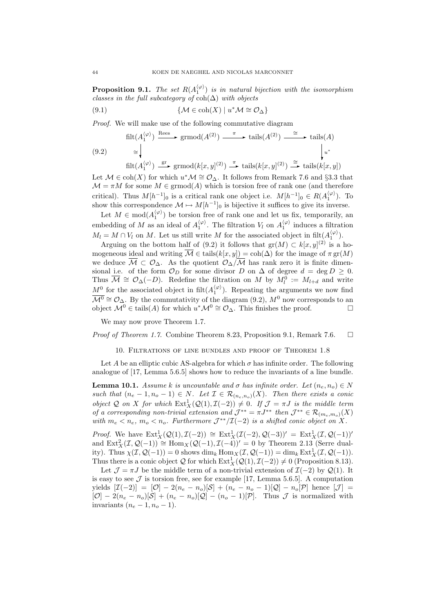**Proposition 9.1.** The set  $R(A_1^{(\varphi)})$  is in natural bijection with the isomorphism classes in the full subcategory of  $\text{coh}(\Delta)$  with objects

(9.1) 
$$
\{ \mathcal{M} \in \text{coh}(X) \mid u^* \mathcal{M} \cong \mathcal{O}_{\Delta} \}
$$

Proof. We will make use of the following commutative diagram

$$
\text{filt}(A_1^{(\varphi)}) \xrightarrow{\text{Rees}} \text{grmod}(A^{(2)}) \xrightarrow{\pi} \text{tails}(A^{(2)}) \xrightarrow{\cong} \text{tails}(A)
$$
\n
$$
\cong \qquad \qquad \downarrow \qquad \qquad \downarrow \qquad \qquad \downarrow \qquad \qquad \downarrow \qquad \qquad \downarrow \qquad \qquad \downarrow \qquad \qquad \downarrow \qquad \qquad \downarrow \qquad \qquad \downarrow \qquad \qquad \downarrow \qquad \qquad \downarrow \qquad \qquad \downarrow \qquad \qquad \downarrow \qquad \qquad \downarrow \qquad \qquad \downarrow \qquad \qquad \downarrow \qquad \qquad \downarrow \qquad \qquad \downarrow \qquad \qquad \downarrow \qquad \downarrow \qquad \qquad \downarrow \qquad \downarrow \qquad \downarrow \qquad \qquad \downarrow \qquad \downarrow \qquad \downarrow \qquad \downarrow \qquad \downarrow \qquad \downarrow \qquad \downarrow \qquad \downarrow \qquad \downarrow \qquad \downarrow \qquad \downarrow \qquad \downarrow \qquad \downarrow \qquad \downarrow \qquad \downarrow \qquad \downarrow \qquad \downarrow \qquad \downarrow \qquad \downarrow \qquad \downarrow \qquad \downarrow \qquad \downarrow \qquad \downarrow \qquad \downarrow \qquad \downarrow \qquad \downarrow \qquad \downarrow \qquad \downarrow \qquad \downarrow \qquad \downarrow \qquad \downarrow \qquad \downarrow \qquad \downarrow \qquad \downarrow \qquad \downarrow \qquad \downarrow \qquad \downarrow \qquad \downarrow \qquad \downarrow \qquad \downarrow \qquad \downarrow \qquad \downarrow \qquad \downarrow \qquad \downarrow \qquad \downarrow \qquad \downarrow \qquad \downarrow \qquad \downarrow \qquad \downarrow \qquad \downarrow \qquad \downarrow \qquad \downarrow \qquad \downarrow \qquad \downarrow \qquad \downarrow \qquad \downarrow \qquad \downarrow \qquad \downarrow \qquad \downarrow \qquad \downarrow \qquad \downarrow \qquad \downarrow \qquad \downarrow \qquad \downarrow \qquad \downarrow \qquad \downarrow \qquad \downarrow \qquad \downarrow \qquad \downarrow \qquad \downarrow \qquad \downarrow \qquad \downarrow \qquad \downarrow \qquad \downarrow \qquad \downarrow \qquad \downarrow \qquad \downarrow \qquad \downarrow \qquad \downarrow \qquad \downarrow \qquad \down
$$

Let  $\mathcal{M} \in \text{coh}(X)$  for which  $u^*\mathcal{M} \cong \mathcal{O}_{\Delta}$ . It follows from Remark 7.6 and §3.3 that  $\mathcal{M} = \pi M$  for some  $M \in \mathrm{grmod}(A)$  which is torsion free of rank one (and therefore critical). Thus  $M[h^{-1}]_0$  is a critical rank one object i.e.  $M[h^{-1}]_0 \in R(A_1^{(\varphi)})$ . To show this correspondence  $\mathcal{M} \mapsto M[h^{-1}]_0$  is bijective it suffices to give its inverse.

Let  $M \in \text{mod}(A_1^{\langle \varphi \rangle})$  be torsion free of rank one and let us fix, temporarily, an embedding of M as an ideal of  $A_1^{\langle \varphi \rangle}$ . The filtration  $V_l$  on  $A_1^{\langle \varphi \rangle}$  induces a filtration  $M_l = M \cap V_l$  on M. Let us still write M for the associated object in filt $(A_1^{\langle \varphi \rangle}).$ 

Arguing on the bottom half of (9.2) it follows that  $gr(M) \subset k[x,y]^{(2)}$  is a homogeneous ideal and writing  $\overline{\mathcal{M}} \in \text{tails}(k[x, y]) = \text{coh}(\Delta)$  for the image of  $\pi \text{ gr}(M)$ we deduce  $\overline{\mathcal{M}} \subset \mathcal{O}_{\Delta}$ . As the quotient  $\mathcal{O}_{\Delta}/\overline{\mathcal{M}}$  has rank zero it is finite dimensional i.e. of the form  $\mathcal{O}_D$  for some divisor D on  $\Delta$  of degree  $d = \deg D \geq 0$ . Thus  $\overline{\mathcal{M}} \cong \mathcal{O}_{\Delta}(-D)$ . Redefine the filtration on M by  $M_l^{\overline{0}} := M_{l+d}$  and write  $M^0$  for the associated object in filt $(A_1^{\langle \varphi \rangle})$ . Repeating the arguments we now find  $\overline{\mathcal{M}^0} \cong \mathcal{O}_{\Delta}$ . By the commutativity of the diagram (9.2),  $\mathcal{M}^0$  now corresponds to an object  $\mathcal{M}^0 \in \text{tails}(A)$  for which  $u^* \mathcal{M}^0 \cong \mathcal{O}_{\Delta}$ . This finishes the proof.

We may now prove Theorem 1.7.

# *Proof of Theorem 1.7.* Combine Theorem 8.23, Proposition 9.1, Remark 7.6.  $\Box$

#### 10. Filtrations of line bundles and proof of Theorem 1.8

Let A be an elliptic cubic AS-algebra for which  $\sigma$  has infinite order. The following analogue of [17, Lemma 5.6.5] shows how to reduce the invariants of a line bundle.

**Lemma 10.1.** Assume k is uncountable and  $\sigma$  has infinite order. Let  $(n_e, n_o) \in N$ such that  $(n_e - 1, n_o - 1) \in N$ . Let  $\mathcal{I} \in \mathcal{R}_{(n_e, n_o)}(X)$ . Then there exists a conic object Q on X for which  $\text{Ext}^1_X(\mathcal{Q}(1), \mathcal{I}(-2)) \neq 0$ . If  $\mathcal{J} = \pi J$  is the middle term of a corresponding non-trivial extension and  $\mathcal{J}^{**} = \pi J^{**}$  then  $\mathcal{J}^{**} \in \mathcal{R}_{(m_e,m_o)}(X)$ with  $m_e < n_e$ ,  $m_o < n_o$ . Furthermore  $\mathcal{J}^{**}/\mathcal{I}(-2)$  is a shifted conic object on X.

*Proof.* We have  $\text{Ext}^1_X(\mathcal{Q}(1), \mathcal{I}(-2)) \cong \text{Ext}^1_X(\mathcal{I}(-2), \mathcal{Q}(-3))' = \text{Ext}^1_X(\mathcal{I}, \mathcal{Q}(-1))'$ and  $\text{Ext}^2_X(\mathcal{I}, \mathcal{Q}(-1)) \cong \text{Hom}_X(\mathcal{Q}(-1), \mathcal{I}(-4))' = 0$  by Theorem 2.13 (Serre duality). Thus  $\chi(\mathcal{I}, \mathcal{Q}(-1)) = 0$  shows  $\dim_k \text{Hom}_X(\mathcal{I}, \mathcal{Q}(-1)) = \dim_k \text{Ext}^1_X(\mathcal{I}, \mathcal{Q}(-1)).$ Thus there is a conic object  $Q$  for which  $\text{Ext}^1_X(Q(1), \mathcal{I}(-2)) \neq 0$  (Proposition 8.13).

Let  $\mathcal{J} = \pi J$  be the middle term of a non-trivial extension of  $\mathcal{I}(-2)$  by  $\mathcal{Q}(1)$ . It is easy to see  $\mathcal J$  is torsion free, see for example [17, Lemma 5.6.5]. A computation yields  $[\mathcal{I}(-2)] = [\mathcal{O}] - 2(n_e - n_o)[\mathcal{S}] + (n_e - n_o - 1)[\mathcal{Q}] - n_o[\mathcal{P}]$  hence  $[\mathcal{J}] =$  $[O] - 2(n_e - n_o)[S] + (n_e - n_o)[Q] - (n_o - 1)[P]$ . Thus  $J$  is normalized with invariants  $(n_e - 1, n_o - 1)$ .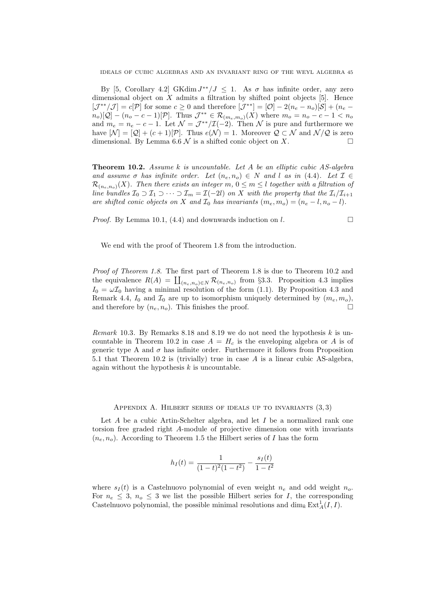By [5, Corollary 4.2] GKdim  $J^{**}/J \leq 1$ . As  $\sigma$  has infinite order, any zero dimensional object on  $X$  admits a filtration by shifted point objects [5]. Hence  $[\mathcal{J}^{**}/\mathcal{J}] = c[\mathcal{P}]$  for some  $c \geq 0$  and therefore  $[\mathcal{J}^{**}] = [\mathcal{O}] - 2(n_e - n_o)[\mathcal{S}] + (n_e$  $n_o[\mathcal{Q}] - (n_o - c - 1)[\mathcal{P}]$ . Thus  $\mathcal{J}^{**} \in \mathcal{R}_{(m_e, m_o)}(X)$  where  $m_o = n_o - c - 1 < n_o$ and  $m_e = n_e - c - 1$ . Let  $\mathcal{N} = \mathcal{J}^{**}/\mathcal{I}(-2)$ . Then  $\mathcal N$  is pure and furthermore we have  $[\mathcal{N}] = [\mathcal{Q}] + (c+1)[\mathcal{P}]$ . Thus  $e(\mathcal{N}) = 1$ . Moreover  $\mathcal{Q} \subset \mathcal{N}$  and  $\mathcal{N}/\mathcal{Q}$  is zero dimensional. By Lemma 6.6  $\mathcal N$  is a shifted conic object on X.

**Theorem 10.2.** Assume k is uncountable. Let A be an elliptic cubic  $AS$ -algebra and assume  $\sigma$  has infinite order. Let  $(n_e, n_o) \in N$  and l as in (4.4). Let  $\mathcal{I} \in$  $\mathcal{R}_{(n_e,n_o)}(X)$ . Then there exists an integer m,  $0 \leq m \leq l$  together with a filtration of line bundles  $\mathcal{I}_0 \supset \mathcal{I}_1 \supset \cdots \supset \mathcal{I}_m = \mathcal{I}(-2l)$  on X with the property that the  $\mathcal{I}_i/\mathcal{I}_{i+1}$ are shifted conic objects on X and  $\mathcal{I}_0$  has invariants  $(m_e, m_o) = (n_e - l, n_o - l)$ .

*Proof.* By Lemma 10.1, (4.4) and downwards induction on l.

We end with the proof of Theorem 1.8 from the introduction.

Proof of Theorem 1.8. The first part of Theorem 1.8 is due to Theorem 10.2 and the equivalence  $R(A) = \coprod_{(n_e,n_o)\in N} \mathcal{R}_{(n_e,n_o)}$  from §3.3. Proposition 4.3 implies  $I_0 = \omega I_0$  having a minimal resolution of the form (1.1). By Proposition 4.3 and Remark 4.4,  $I_0$  and  $\mathcal{I}_0$  are up to isomorphism uniquely determined by  $(m_e, m_o)$ , and therefore by  $(n_e, n_o)$ . This finishes the proof.

Remark 10.3. By Remarks 8.18 and 8.19 we do not need the hypothesis  $k$  is uncountable in Theorem 10.2 in case  $A = H_c$  is the enveloping algebra or A is of generic type A and  $\sigma$  has infinite order. Furthermore it follows from Proposition 5.1 that Theorem 10.2 is (trivially) true in case A is a linear cubic AS-algebra, again without the hypothesis  $k$  is uncountable.

### APPENDIX A. HILBERT SERIES OF IDEALS UP TO INVARIANTS  $(3,3)$

Let  $A$  be a cubic Artin-Schelter algebra, and let  $I$  be a normalized rank one torsion free graded right A-module of projective dimension one with invariants  $(n_e, n_o)$ . According to Theorem 1.5 the Hilbert series of I has the form

$$
h_I(t) = \frac{1}{(1-t)^2(1-t^2)} - \frac{s_I(t)}{1-t^2}
$$

where  $s_I(t)$  is a Castelnuovo polynomial of even weight  $n_e$  and odd weight  $n_o$ . For  $n_e \leq 3$ ,  $n_o \leq 3$  we list the possible Hilbert series for I, the corresponding Castelnuovo polynomial, the possible minimal resolutions and  $\dim_k \text{Ext}^1_A(I, I)$ .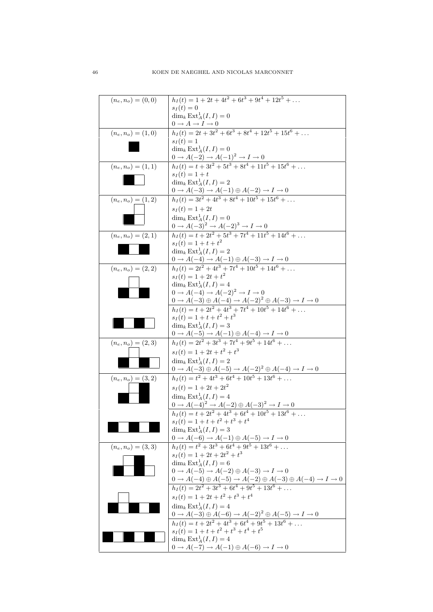| $(n_e, n_o) = (0, 0)$ | $h_I(t) = 1 + 2t + 4t^2 + 6t^3 + 9t^4 + 12t^5 + \dots$                                                                                                         |
|-----------------------|----------------------------------------------------------------------------------------------------------------------------------------------------------------|
|                       | $s_I(t) = 0$                                                                                                                                                   |
|                       | $\dim_k \operatorname{Ext}_A^1(I,I) = 0$                                                                                                                       |
|                       | $0 \rightarrow A \rightarrow I \rightarrow 0$<br>$h_I(t) = 2t + 3t^2 + 6t^3 + 8t^4 + 12t^5 + 15t^6 + $                                                         |
| $(n_e, n_o) = (1, 0)$ |                                                                                                                                                                |
|                       | $s_I(t) = 1$<br>$\dim_k \mathrm{Ext}^1_A(I,I)=0$                                                                                                               |
|                       |                                                                                                                                                                |
| $(n_e, n_o) = (1, 1)$ | 0 → A(-2) → A(-1) <sup>2</sup> → I → 0<br>h <sub>I</sub> (t) = t + 3t <sup>2</sup> + 5t <sup>3</sup> + 8t <sup>4</sup> + 11t <sup>5</sup> + 15t <sup>6</sup> + |
|                       | $s_I(t) = 1 + t$                                                                                                                                               |
|                       | $\dim_k \operatorname{Ext}_A^1(I,I) = 2$                                                                                                                       |
|                       | $0 \to A(-3) \to A(-1) \oplus A(-2) \to I \to 0$<br>$h_I(t) = 3t^2 + 4t^3 + 8t^4 + 10t^5 + 15t^6 + \dots$                                                      |
| $(n_e, n_o) = (1, 2)$ |                                                                                                                                                                |
|                       | $s_I(t) = 1 + 2t$                                                                                                                                              |
|                       | $\dim_k \operatorname{Ext}_A^1(I, I) = 0$                                                                                                                      |
|                       | $\frac{(0 \to A(-3)^2 \to A(-2)^3 \to I \to 0}{h_I(t) = t + 2t^2 + 5t^3 + 7t^4 + 11t^5 + 14t^6 + \dots}$                                                       |
| $(n_e, n_o) = (2, 1)$ |                                                                                                                                                                |
|                       | $s_I(t) = 1 + t + t^2$                                                                                                                                         |
|                       | $\dim_k \operatorname{Ext}_A^1(I, I) = 2$                                                                                                                      |
|                       | $\frac{0 \rightarrow A(-4) \rightarrow A(-1) \oplus A(-3) \rightarrow I \rightarrow 0}{h_I(t) = 2t^2 + 4t^3 + 7t^4 + 10t^5 + 14t^6 + \dots}$                   |
| $(n_e, n_o) = (2, 2)$ | $s_I(t) = 1 + 2t + t^2$                                                                                                                                        |
|                       | $\dim_k \operatorname{Ext}_A^1(I,I) = 4$                                                                                                                       |
|                       | $0 \rightarrow A(-4) \rightarrow A(-2)^2 \rightarrow I \rightarrow 0$                                                                                          |
|                       | $\frac{0 \to A(-3) \oplus A(-4) \to A(-2)^2 \oplus A(-3) \to I \to 0}{h_I(t) = t + 2t^2 + 4t^3 + 7t^4 + 10t^5 + 14t^6 + \dots}$                                |
|                       |                                                                                                                                                                |
|                       | $s_I(t) = 1 + t + t^2 + t^3$                                                                                                                                   |
|                       | $\dim_k \operatorname{Ext}_A^1(I,I) = 3$                                                                                                                       |
|                       | $\frac{0 \to A(-5) \to A(-1) \oplus A(-4) \to I \to 0}{h_I(t) = 2t^2 + 3t^3 + 7t^4 + 9t^5 + 14t^6 + \dots}$                                                    |
| $(n_e, n_o) = (2, 3)$ | $s_I(t) = 1 + 2t + t^2 + t^3$                                                                                                                                  |
|                       | $\dim_k \operatorname{Ext}_A^1(I, I) = 2$                                                                                                                      |
|                       |                                                                                                                                                                |
| $(n_e, n_o) = (3, 2)$ | $0 \to A(-3) \oplus A(-5) \to A(-2)^2 \oplus A(-4) \to I \to 0$<br>$h_I(t) = t^2 + 4t^3 + 6t^4 + 10t^5 + 13t^6 + \dots$                                        |
|                       | $s_I(t) = 1 + 2t + 2t^2$                                                                                                                                       |
|                       | $\dim_k \operatorname{Ext}_A^1(I,I) = 4$                                                                                                                       |
|                       |                                                                                                                                                                |
|                       | $\frac{0 \to A(-4)^2 \to A(-2) \oplus A(-3)^2 \to I \to 0}{h_I(t) = t + 2t^2 + 4t^3 + 6t^4 + 10t^5 + 13t^6 + \dots}$                                           |
|                       | $s_I(t) = 1 + t + t^2 + t^3 + t^4$                                                                                                                             |
|                       | $\dim_k \operatorname{Ext}_A^1(I, I) = 3$                                                                                                                      |
|                       | $0 \to A(-6) \to A(-1) \oplus A(-5) \to I \to 0$<br>$h_I(t) = t^2 + 3t^3 + 6t^4 + 9t^5 + 13t^6 + \dots$                                                        |
| $(n_e, n_o) = (3, 3)$ | $s_I(t) = 1 + 2t + 2t^2 + t^3$                                                                                                                                 |
|                       | $\dim_k \operatorname{Ext}_A^1(I,I) = 6$                                                                                                                       |
|                       | $0 \rightarrow A(-5) \rightarrow A(-2) \oplus A(-3) \rightarrow I \rightarrow 0$                                                                               |
|                       |                                                                                                                                                                |
|                       | $0 \to A(-4) \oplus A(-5) \to A(-2) \oplus A(-3) \oplus A(-4) \to I \to 0$<br>$h_I(t) = 2t^2 + 3t^3 + 6t^4 + 9t^5 + 13t^6 + \dots$                             |
|                       | $s_I(t) = 1 + 2t + t^2 + t^3 + t^4$                                                                                                                            |
|                       | $\dim_k \operatorname{Ext}_A^1(I,I) = 4$                                                                                                                       |
|                       | $\frac{0 \to A(-3) \oplus A(-6) \to A(-2)^2 \oplus A(-5) \to I \to 0}{h_I(t) = t + 2t^2 + 4t^3 + 6t^4 + 9t^5 + 13t^6 + \dots}$                                 |
|                       |                                                                                                                                                                |
|                       | $s_I(t) = 1 + t + t^2 + t^3 + t^4 + t^5$                                                                                                                       |
|                       | $\dim_k \operatorname{Ext}_A^1(I,I) = 4$                                                                                                                       |
|                       | $0 \rightarrow A(-7) \rightarrow A(-1) \oplus A(-6) \rightarrow I \rightarrow 0$                                                                               |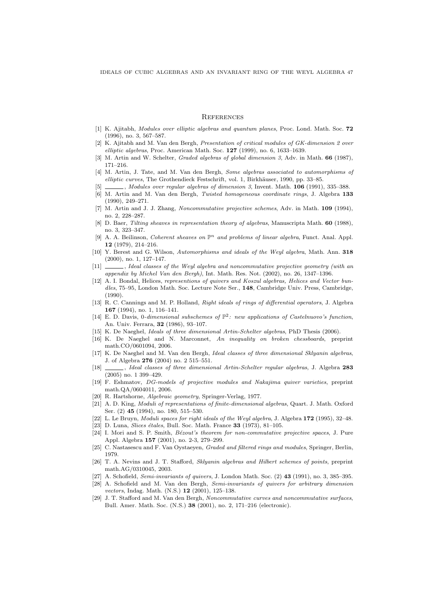# **REFERENCES**

- [1] K. Ajitabh, Modules over elliptic algebras and quantum planes, Proc. Lond. Math. Soc. 72 (1996), no. 3, 567–587.
- [2] K. Ajitabh and M. Van den Bergh, Presentation of critical modules of GK-dimension 2 over elliptic algebras, Proc. American Math. Soc.  $127$  (1999), no. 6, 1633-1639.
- [3] M. Artin and W. Schelter, *Graded algebras of global dimension 3*, Adv. in Math. **66** (1987), 171–216.
- [4] M. Artin, J. Tate, and M. Van den Bergh, Some algebras associated to automorphisms of elliptic curves, The Grothendieck Festschrift, vol. 1, Birkhäuser, 1990, pp. 33–85.
- $\Box$ , Modules over regular algebras of dimension 3, Invent. Math. 106 (1991), 335–388.
- [6] M. Artin and M. Van den Bergh, Twisted homogeneous coordinate rings, J. Algebra 133 (1990), 249–271.
- [7] M. Artin and J. J. Zhang, Noncommutative projective schemes, Adv. in Math. 109 (1994), no. 2, 228–287.
- [8] D. Baer, Tilting sheaves in representation theory of algebras, Manuscripta Math. 60 (1988), no. 3, 323–347.
- [9] A. A. Beilinson, *Coherent sheaves on*  $\mathbb{P}^n$  and problems of linear algebra, Funct. Anal. Appl. 12 (1979), 214–216.
- [10] Y. Berest and G. Wilson, Automorphisms and ideals of the Weyl algebra, Math. Ann. 318 (2000), no. 1, 127–147.
- [11]  $\_\_\_\_\$ , Ideal classes of the Weyl algebra and noncommutative projective geometry (with an appendix by Michel Van den Bergh), Int. Math. Res. Not. (2002), no. 26, 1347–1396.
- [12] A. I. Bondal, Helices, representions of quivers and Koszul algebras, Helices and Vector bundles, 75–95, London Math. Soc. Lecture Note Ser., 148, Cambridge Univ. Press, Cambridge, (1990).
- [13] R. C. Cannings and M. P. Holland, Right ideals of rings of differential operators, J. Algebra 167 (1994), no. 1, 116–141.
- [14] E. D. Davis, 0-dimensional subschemes of  $\mathbb{P}^2$ : new applications of Castelnuovo's function, An. Univ. Ferrara, 32 (1986), 93–107.
- [15] K. De Naeghel, Ideals of three dimensional Artin-Schelter algebras, PhD Thesis (2006).
- [16] K. De Naeghel and N. Marconnet, An inequality on broken chessboards, preprint math.CO/0601094, 2006.
- [17] K. De Naeghel and M. Van den Bergh, Ideal classes of three dimensional Sklyanin algebras, J. of Algebra 276 (2004) no. 2 515–551.
- [18] , Ideal classes of three dimensional Artin-Schelter regular algebras, J. Algebra 283 (2005) no. 1 399–429.
- [19] F. Eshmatov, DG-models of projective modules and Nakajima quiver varieties, preprint math.QA/0604011, 2006.
- [20] R. Hartshorne, Algebraic geometry, Springer-Verlag, 1977.
- [21] A. D. King, Moduli of representations of finite-dimensional algebras, Quart. J. Math. Oxford Ser. (2) 45 (1994), no. 180, 515–530.
- [22] L. Le Bruyn, Moduli spaces for right ideals of the Weyl algebra, J. Algebra 172 (1995), 32–48.
- [23] D. Luna, *Slices étales*, Bull. Soc. Math. France 33 (1973), 81-105.
- [24] I. Mori and S. P. Smith, *Bézout's theorem for non-commutative projective spaces*, J. Pure Appl. Algebra 157 (2001), no. 2-3, 279–299.
- [25] C. Nastasescu and F. Van Oystaeyen, Graded and filtered rings and modules, Springer, Berlin, 1979.
- [26] T. A. Nevins and J. T. Stafford, Sklyanin algebras and Hilbert schemes of points, preprint math.AG/0310045, 2003.
- [27] A. Schofield, Semi-invariants of quivers, J. London Math. Soc. (2) 43 (1991), no. 3, 385–395.
- [28] A. Schofield and M. Van den Bergh, Semi-invariants of quivers for arbitrary dimension vectors, Indag. Math. (N.S.) 12 (2001), 125–138.
- [29] J. T. Stafford and M. Van den Bergh, Noncommutative curves and noncommutative surfaces, Bull. Amer. Math. Soc. (N.S.) 38 (2001), no. 2, 171–216 (electronic).